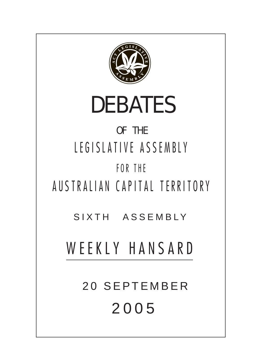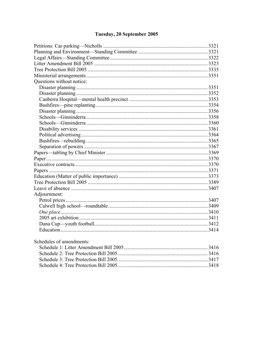# Tuesday, 20 September 2005

| Questions without notice:              |      |
|----------------------------------------|------|
|                                        |      |
|                                        |      |
|                                        |      |
|                                        |      |
|                                        |      |
|                                        |      |
|                                        |      |
|                                        |      |
|                                        |      |
|                                        |      |
|                                        |      |
|                                        |      |
|                                        |      |
|                                        |      |
|                                        |      |
|                                        |      |
|                                        |      |
|                                        |      |
| Adjournment:                           |      |
|                                        |      |
|                                        |      |
|                                        |      |
|                                        |      |
|                                        |      |
|                                        |      |
| Schedules of amendments:               |      |
| Schedule 1: Litter Amendment Bill 2005 | 3416 |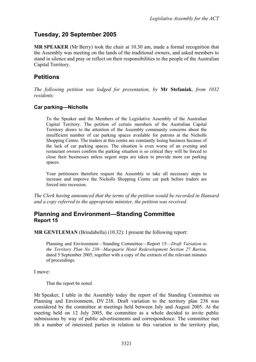# **Tuesday, 20 September 2005**

**MR SPEAKER** (Mr Berry) took the chair at 10.30 am, made a formal recognition that the Assembly was meeting on the lands of the traditional owners, and asked members to stand in silence and pray or reflect on their responsibilities to the people of the Australian Capital Territory.

# **Petitions**

*The following petition was lodged for presentation, by* **Mr Stefaniak**, *from 1032 residents:* 

#### <span id="page-2-0"></span>**Car parking—Nicholls**

To the Speaker and the Members of the Legislative Assembly of the Australian Capital Territory. The petition of certain members of the Australian Capital Territory draws to the attention of the Assembly community concerns about the insufficient number of car parking spaces available for patrons at the Nicholls Shopping Centre. The traders at this centre are constantly losing business because of the lack of car parking spaces. The situation is even worse of an evening and restaurant owners confirm the parking situation is so critical they will be forced to close their businesses unless urgent steps are taken to provide more car parking spaces.

Your petitioners therefore request the Assembly to take all necessary steps to increase and improve the Nicholls Shopping Centre car park before traders are forced into recession.

*The Clerk having announced that the terms of the petition would be recorded in Hansard and a copy referred to the appropriate minister, the petition was received.* 

### <span id="page-2-1"></span>**Planning and Environment—Standing Committee Report 15**

**MR GENTLEMAN** (Brindabella) (10.32): I present the following report:

Planning and Environment—Standing Committee—Report 15—*Draft Variation to the Territory Plan No 238—Macquarie Hotel Redevelopment Section 27 Barton,*  dated 5 September 2005, together with a copy of the extracts of the relevant minutes of proceedings.

I move:

That the report be noted.

Mr Speaker, I table in the Assembly today the report of the Standing Committee on Planning and Environment, DV 238. Draft variation to the territory plan 238 was considered by the committee at meetings held between July and August 2005. At the meeting held on 12 July 2005, the committee as a whole decided to invite public submissions by way of public advertisements and correspondence. The committee met ith a number of interested parties in relation to this variation to the territory plan,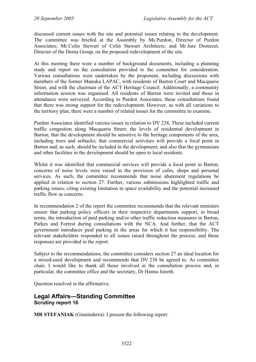discussed current issues with the site and potential issues relating to the development. The committee was briefed at the Assembly by Ms Purdon, Director of Purdon Associates; Mr Colin Stewart of Colin Stewart Architects; and Mr Jure Domezet, Director of the Doma Group, on the proposed redevelopment of the site.

At this meeting there were a number of background documents, including a planning study and report on the consultation provided to the committee for consideration. Various consultations were undertaken by the proponent, including discussions with members of the former Manuka LAPAC, with residents of Barton Court and Macquarie Street, and with the chairman of the ACT Heritage Council. Additionally, a community information session was organised. All residents of Barton were invited and those in attendance were surveyed. According to Purdon Associates, these consultations found that there was strong support for the redevelopment. However, as with all variations to the territory plan, there were a number of related issues for the committee to examine.

Purdon Associates identified various issues in relation to DV 238. These included current traffic congestion along Macquarie Street; the levels of residential development in Barton; that the development should be sensitive to the heritage components of the area, including trees and setbacks; that commercial activities will provide a focal point in Barton and, as such, should be included in the development; and also that the gymnasium and other facilities in the development should be open to local residents.

Whilst it was identified that commercial services will provide a focal point in Barton, concerns of noise levels were raised in the provision of cafes, shops and personal services. As such, the committee recommends that noise abatement regulations be applied in relation to section 27. Further, various submissions highlighted traffic and parking issues, citing existing limitation in space availability and the potential increased traffic flow as concerns.

In recommendation 2 of the report the committee recommends that the relevant ministers ensure that parking policy officers in their respective departments support, in broad terms, the introduction of paid parking and/or other traffic reduction measures in Barton, Parkes and Forrest during consultations with the NCA. And further, that the ACT government introduces paid parking in the areas for which it has responsibility. The relevant stakeholders responded to all issues raised throughout the process, and those responses are provided in the report.

Subject to the recommendations, the committee considers section 27 an ideal location for a mixed-used development and recommends that DV 238 be agreed to. As committee chair, I would like to thank all those involved in the consultation process and, in particular, the committee office and the secretary, Dr Hanna Jaireth.

Question resolved in the affirmative.

## <span id="page-3-0"></span>**Legal Affairs—Standing Committee Scrutiny report 16**

**MR STEFANIAK** (Ginninderra): I present the following report: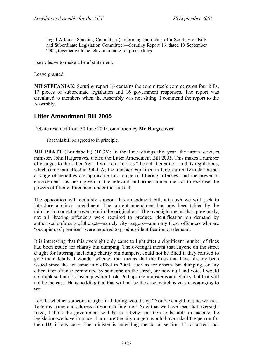Legal Affairs—Standing Committee (performing the duties of a Scrutiny of Bills and Subordinate Legislation Committee)—Scrutiny Report 16*,* dated 19 September 2005, together with the relevant minutes of proceedings.

I seek leave to make a brief statement.

Leave granted.

**MR STEFANIAK**: Scrutiny report 16 contains the committee's comments on four bills, 17 pieces of subordinate legislation and 16 government responses. The report was circulated to members when the Assembly was not sitting. I commend the report to the Assembly.

# <span id="page-4-0"></span>**Litter Amendment Bill 2005**

Debate resumed from 30 June 2005, on motion by **Mr Hargreaves**:

That this bill be agreed to in principle.

**MR PRATT** (Brindabella) (10.36): In the June sittings this year, the urban services minister, John Hargreaves, tabled the Litter Amendment Bill 2005. This makes a number of changes to the Litter Act—I will refer to it as "the act" hereafter—and its regulations, which came into effect in 2004. As the minister explained in June, currently under the act a range of penalties are applicable to a range of littering offences, and the power of enforcement has been given to the relevant authorities under the act to exercise the powers of litter enforcement under the said act.

The opposition will certainly support this amendment bill, although we will seek to introduce a minor amendment. The current amendment has now been tabled by the minister to correct an oversight in the original act. The oversight meant that, previously, not all littering offenders were required to produce identification on demand by authorised enforcers of the act—namely city rangers—and only those offenders who are "occupiers of premises" were required to produce identification on demand.

It is interesting that this oversight only came to light after a significant number of fines had been issued for charity bin dumping. The oversight meant that anyone on the street caught for littering, including charity bin dumpers, could not be fined if they refused to give their details. I wonder whether that means that the fines that have already been issued since the act came into effect in 2004, such as for charity bin dumping, or any other litter offence committed by someone on the street, are now null and void. I would not think so but it is just a question I ask. Perhaps the minister could clarify that that will not be the case. He is nodding that that will not be the case, which is very encouraging to see.

I doubt whether someone caught for littering would say, "You've caught me; no worries. Take my name and address so you can fine me." Now that we have seen that oversight fixed, I think the government will be in a better position to be able to execute the legislation we have in place. I am sure the city rangers would have asked the person for their ID, in any case. The minister is amending the act at section 17 to correct that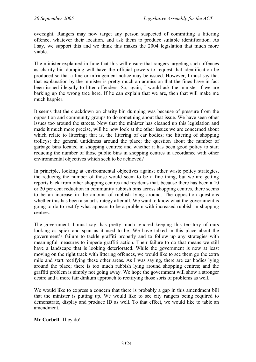oversight. Rangers may now target any person suspected of committing a littering offence, whatever their location, and ask them to produce suitable identification. As I say, we support this and we think this makes the 2004 legislation that much more viable.

The minister explained in June that this will ensure that rangers targeting such offences as charity bin dumping will have the official powers to request that identification be produced so that a fine or infringement notice may be issued. However, I must say that that explanation by the minister is pretty much an admission that the fines have in fact been issued illegally to litter offenders. So, again, I would ask the minister if we are barking up the wrong tree here. If he can explain that we are, then that will make me much happier.

It seems that the crackdown on charity bin dumping was because of pressure from the opposition and community groups to do something about that issue. We have seen other issues too around the streets. Now that the minister has cleaned up this legislation and made it much more precise, will he now look at the other issues we are concerned about which relate to littering; that is, the littering of car bodies; the littering of shopping trolleys; the general untidiness around the place; the question about the number of garbage bins located in shopping centres; and whether it has been good policy to start reducing the number of those public bins in shopping centres in accordance with other environmental objectives which seek to be achieved?

In principle, looking at environmental objectives against other waste policy strategies, the reducing the number of those would seem to be a fine thing, but we are getting reports back from other shopping centres and residents that, because there has been a 10 or 20 per cent reduction in community rubbish bins across shopping centres, there seems to be an increase in the amount of rubbish lying around. The opposition questions whether this has been a smart strategy after all. We want to know what the government is going to do to rectify what appears to be a problem with increased rubbish in shopping centres.

The government, I must say, has pretty much ignored keeping this territory of ours looking as spick and span as it used to be. We have talked in this place about the government's failure to tackle graffiti properly and to follow up any strategies with meaningful measures to impede graffiti action. Their failure to do that means we still have a landscape that is looking deteriorated. While the government is now at least moving on the right track with littering offences, we would like to see them go the extra mile and start rectifying these other areas. As I was saying, there are car bodies lying around the place; there is too much rubbish lying around shopping centres; and the graffiti problem is simply not going away. We hope the government will show a stronger desire and a more fair dinkum approach to rectifying those sorts of problems as well.

We would like to express a concern that there is probably a gap in this amendment bill that the minister is putting up. We would like to see city rangers being required to demonstrate, display and produce ID as well. To that effect, we would like to table an amendment.

**Mr Corbell**: They do!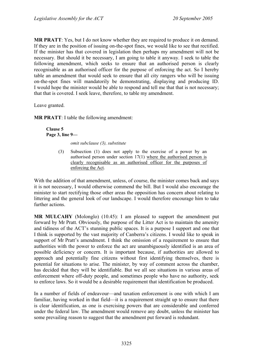**MR PRATT**: Yes, but I do not know whether they are required to produce it on demand. If they are in the position of issuing on-the-spot fines, we would like to see that rectified. If the minister has that covered in legislation then perhaps my amendment will not be necessary. But should it be necessary, I am going to table it anyway. I seek to table the following amendment, which seeks to ensure that an authorised person is clearly recognisable as an authorised officer for the purpose of enforcing the act. So I hereby table an amendment that would seek to ensure that all city rangers who will be issuing on-the-spot fines will mandatorily be demonstrating, displaying and producing ID. I would hope the minister would be able to respond and tell me that that is not necessary; that that is covered. I seek leave, therefore, to table my amendment.

Leave granted.

**MR PRATT**: I table the following amendment:

**Clause 5 Page 3, line 9—** 

*omit subclause (3), substitute* 

(3) Subsection (1) does not apply to the exercise of a power by an authorised person under section 17(1) where the authorised person is clearly recognisable as an authorised officer for the purposes of enforcing the Act.

With the addition of that amendment, unless, of course, the minister comes back and says it is not necessary, I would otherwise commend the bill. But I would also encourage the minister to start rectifying those other areas the opposition has concern about relating to littering and the general look of our landscape. I would therefore encourage him to take further actions.

**MR MULCAHY** (Molonglo) (10.45): I am pleased to support the amendment put forward by Mr Pratt. Obviously, the purpose of the Litter Act is to maintain the amenity and tidiness of the ACT's stunning public spaces. It is a purpose I support and one that I think is supported by the vast majority of Canberra's citizens. I would like to speak in support of Mr Pratt's amendment. I think the omission of a requirement to ensure that authorities with the power to enforce the act are unambiguously identified is an area of possible deficiency or concern. It is important because, if authorities are allowed to approach and potentially fine citizens without first identifying themselves, there is potential for situations to arise. The minister, by way of comment across the chamber, has decided that they will be identifiable. But we all see situations in various areas of enforcement where off-duty people, and sometimes people who have no authority, seek to enforce laws. So it would be a desirable requirement that identification be produced.

In a number of fields of endeavour—and taxation enforcement is one with which I am familiar, having worked in that field—it is a requirement straight up to ensure that there is clear identification, as one is exercising powers that are considerable and conferred under the federal law. The amendment would remove any doubt, unless the minister has some prevailing reason to suggest that the amendment put forward is redundant.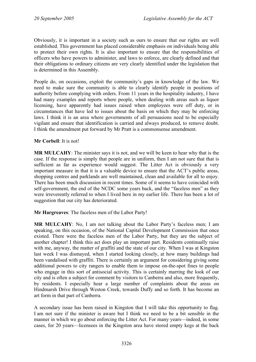Obviously, it is important in a society such as ours to ensure that our rights are well established. This government has placed considerable emphasis on individuals being able to protect their own rights. It is also important to ensure that the responsibilities of officers who have powers to administer, and laws to enforce, are clearly defined and that their obligations to ordinary citizens are very clearly identified under the legislation that is determined in this Assembly.

People do, on occasions, exploit the community's gaps in knowledge of the law. We need to make sure the community is able to clearly identify people in positions of authority before complying with orders. From 11 years in the hospitality industry, I have had many examples and reports where people, when dealing with areas such as liquor licensing, have apparently had issues raised when employees were off duty, or in circumstances that have led to issues about the basis on which they may be enforcing laws. I think it is an area where governments of all persuasions need to be especially vigilant and ensure that identification is carried and always produced, to remove doubt. I think the amendment put forward by Mr Pratt is a commonsense amendment.

#### **Mr Corbell**: It is not!

**MR MULCAHY**: The minister says it is not, and we will be keen to hear why that is the case. If the response is simply that people are in uniform, then I am not sure that that is sufficient as far as experience would suggest. The Litter Act is obviously a very important measure in that it is a valuable device to ensure that the ACT's public areas, shopping centres and parklands are well maintained, clean and available for all to enjoy. There has been much discussion in recent times. Some of it seems to have coincided with self-government, the end of the NCDC some years back, and the "faceless men" as they were irreverently referred to when I lived here in my earlier life. There has been a lot of suggestion that our city has deteriorated.

**Mr Hargreaves**: The faceless men of the Labor Party!

**MR MULCAHY**: No, I am not talking about the Labor Party's faceless men; I am speaking, on this occasion, of the National Capital Development Commission that once existed. There were the faceless men of the Labor Party, but they are the subject of another chapter! I think this act does play an important part. Residents continually raise with me, anyway, the matter of graffiti and the state of our city. When I was at Kingston last week I was dismayed, when I started looking closely, at how many buildings had been vandalised with graffiti. There is certainly an argument for considering giving some additional powers to city rangers to enable them to impose on-the-spot fines to people who engage in this sort of antisocial activity. This is certainly marring the look of our city and is often a subject for comment by visitors to Canberra and also, more frequently, by residents. I especially hear a large number of complaints about the areas on Hindmarsh Drive through Weston Creek, towards Duffy and so forth. It has become an art form in that part of Canberra.

A secondary issue has been raised in Kingston that I will take this opportunity to flag. I am not sure if the minister is aware but I think we need to be a bit sensible in the manner in which we go about enforcing the Litter Act. For many years—indeed, in some cases, for 20 years—licensees in the Kingston area have stored empty kegs at the back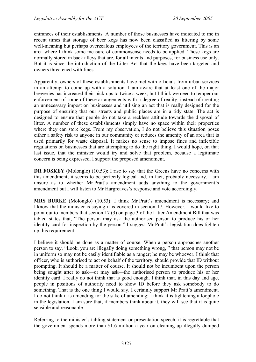entrances of their establishments. A number of those businesses have indicated to me in recent times that storage of beer kegs has now been classified as littering by some well-meaning but perhaps overzealous employees of the territory government. This is an area where I think some measure of commonsense needs to be applied. These kegs are normally stored in back alleys that are, for all intents and purposes, for business use only. But it is since the introduction of the Litter Act that the kegs have been targeted and owners threatened with fines.

Apparently, owners of these establishments have met with officials from urban services in an attempt to come up with a solution. I am aware that at least one of the major breweries has increased their pick-ups to twice a week, but I think we need to temper our enforcement of some of these arrangements with a degree of reality, instead of creating an unnecessary impost on businesses and utilising an act that is really designed for the purpose of ensuring that our streets and public places are in a tidy state. The act is designed to ensure that people do not take a reckless attitude towards the disposal of litter. A number of these establishments simply have no space within their properties where they can store kegs. From my observation, I do not believe this situation poses either a safety risk to anyone in our community or reduces the amenity of an area that is used primarily for waste disposal. It makes no sense to impose fines and inflexible regulations on businesses that are attempting to do the right thing. I would hope, on that last issue, that the minister would try and solve that problem, because a legitimate concern is being expressed. I support the proposed amendment.

**DR FOSKEY** (Molonglo) (10.53): I rise to say that the Greens have no concerns with this amendment; it seems to be perfectly logical and, in fact, probably necessary. I am unsure as to whether Mr Pratt's amendment adds anything to the government's amendment but I will listen to Mr Hargreaves's response and vote accordingly.

**MRS BURKE** (Molonglo) (10.53): I think Mr Pratt's amendment is necessary; and I know that the minister is saying it is covered in section 17. However, I would like to point out to members that section 17 (3) on page 3 of the Litter Amendment Bill that was tabled states that, "The person may ask the authorised person to produce his or her identity card for inspection by the person." I suggest Mr Pratt's legislation does tighten up this requirement.

I believe it should be done as a matter of course. When a person approaches another person to say, "Look, you are illegally doing something wrong, " that person may not be in uniform so may not be easily identifiable as a ranger; he may be whoever. I think that officer, who is authorised to act on behalf of the territory, should provide that ID without prompting. It should be a matter of course. It should not be incumbent upon the person being sought after to ask—or may ask—the authorised person to produce his or her identity card. I really do not think that is good enough. I think that, in this day and age, people in positions of authority need to show ID before they ask somebody to do something. That is the one thing I would say. I certainly support Mr Pratt's amendment. I do not think it is amending for the sake of amending; I think it is tightening a loophole in the legislation. I am sure that, if members think about it, they will see that it is quite sensible and reasonable.

Referring to the minister's tabling statement or presentation speech, it is regrettable that the government spends more than \$1.6 million a year on cleaning up illegally dumped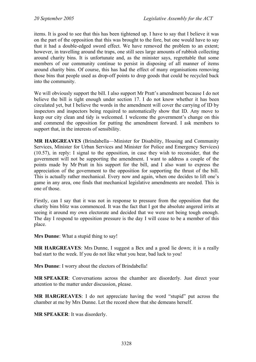items. It is good to see that this has been tightened up. I have to say that I believe it was on the part of the opposition that this was brought to the fore, but one would have to say that it had a double-edged sword effect. We have removed the problem to an extent; however, in travelling around the traps, one still sees large amounts of rubbish collecting around charity bins. It is unfortunate and, as the minister says, regrettable that some members of our community continue to persist in disposing of all manner of items around charity bins. Of course, this has had the effect of many organisations removing those bins that people used as drop-off points to drop goods that could be recycled back into the community.

We will obviously support the bill. I also support Mr Pratt's amendment because I do not believe the bill is tight enough under section 17. I do not know whether it has been circulated yet, but I believe the words in the amendment will cover the carrying of ID by inspectors and inspectors being required to automatically show that ID. Any move to keep our city clean and tidy is welcomed. I welcome the government's change on this and commend the opposition for putting the amendment forward. I ask members to support that, in the interests of sensibility.

**MR HARGREAVES** (Brindabella—Minister for Disability, Housing and Community Services, Minister for Urban Services and Minister for Police and Emergency Services) (10.57), in reply: I signal to the opposition, in case they wish to reconsider, that the government will not be supporting the amendment. I want to address a couple of the points made by Mr Pratt in his support for the bill, and I also want to express the appreciation of the government to the opposition for supporting the thrust of the bill. This is actually rather mechanical. Every now and again, when one decides to lift one's game in any area, one finds that mechanical legislative amendments are needed. This is one of those.

Firstly, can I say that it was not in response to pressure from the opposition that the charity bins blitz was commenced. It was the fact that I got the absolute angered irrits at seeing it around my own electorate and decided that we were not being tough enough. The day I respond to opposition pressure is the day I will cease to be a member of this place.

**Mrs Dunne**: What a stupid thing to say!

**MR HARGREAVES**: Mrs Dunne, I suggest a Bex and a good lie down; it is a really bad start to the week. If you do not like what you hear, bad luck to you!

**Mrs Dunne**: I worry about the electors of Brindabella!

**MR SPEAKER**: Conversations across the chamber are disorderly. Just direct your attention to the matter under discussion, please.

**MR HARGREAVES**: I do not appreciate having the word "stupid" put across the chamber at me by Mrs Dunne. Let the record show that she demeans herself.

**MR SPEAKER**: It was disorderly.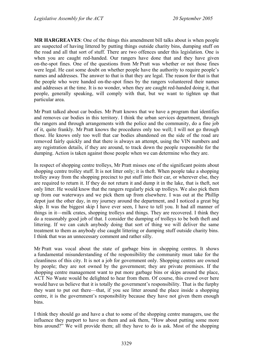**MR HARGREAVES**: One of the things this amendment bill talks about is when people are suspected of having littered by putting things outside charity bins, dumping stuff on the road and all that sort of stuff. There are two offences under this legislation. One is when you are caught red-handed. Our rangers have done that and they have given on-the-spot fines. One of the questions from Mr Pratt was whether or not those fines were legal. He cast some doubt on whether people have the authority to require people's names and addresses. The answer to that is that they are legal. The reason for that is that the people who were handed on-the-spot fines by the rangers volunteered their names and addresses at the time. It is no wonder, when they are caught red-handed doing it, that people, generally speaking, will comply with that, but we want to tighten up that particular area.

Mr Pratt talked about car bodies. Mr Pratt knows that we have a program that identifies and removes car bodies in this territory. I think the urban services department, through the rangers and through arrangements with the police and the community, do a fine job of it, quite frankly. Mr Pratt knows the procedures only too well; I will not go through those. He knows only too well that car bodies abandoned on the side of the road are removed fairly quickly and that there is always an attempt, using the VIN numbers and any registration details, if they are around, to track down the people responsible for the dumping. Action is taken against those people when we can determine who they are.

In respect of shopping centre trolleys, Mr Pratt misses one of the significant points about shopping centre trolley stuff. It is not litter only; it is theft. When people take a shopping trolley away from the shopping precinct to put stuff into their car, or wherever else, they are required to return it. If they do not return it and dump it in the lake, that is theft, not only litter. He would know that the rangers regularly pick up trolleys. We also pick them up from our waterways and we pick them up from elsewhere. I was out at the Phillip depot just the other day, in my journey around the department, and I noticed a great big skip. It was the biggest skip I have ever seen, I have to tell you. It had all manner of things in it—milk crates, shopping trolleys and things. They are recovered. I think they do a reasonably good job of that. I consider the dumping of trolleys to be both theft and littering. If we can catch anybody doing that sort of thing we will deliver the same treatment to them as anybody else caught littering or dumping stuff outside charity bins. I think that was an unnecessary comment and rather silly.

Mr Pratt was vocal about the state of garbage bins in shopping centres. It shows a fundamental misunderstanding of the responsibility the community must take for the cleanliness of this city. It is not a job for government only. Shopping centres are owned by people; they are not owned by the government; they are private premises. If the shopping centre management want to put more garbage bins or skips around the place, ACT No Waste would be delighted to hear from them. Of course, this crowd over here would have us believe that it is totally the government's responsibility. That is the furphy they want to put out there—that, if you see litter around the place inside a shopping centre, it is the government's responsibility because they have not given them enough bins.

I think they should go and have a chat to some of the shopping centre managers, use the influence they purport to have on them and ask them, "How about putting some more bins around?" We will provide them; all they have to do is ask. Most of the shopping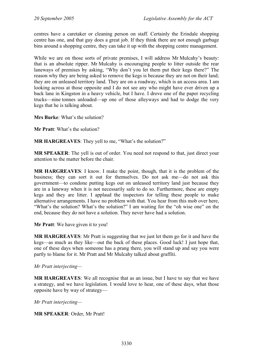centres have a caretaker or cleaning person on staff. Certainly the Erindale shopping centre has one, and that guy does a great job. If they think there are not enough garbage bins around a shopping centre, they can take it up with the shopping centre management.

While we are on those sorts of private premises, I will address Mr Mulcahy's beauty: that is an absolute ripper. Mr Mulcahy is encouraging people to litter outside the rear laneways of premises by asking, "Why don't you let them put their kegs there?" The reason why they are being asked to remove the kegs is because they are not on their land; they are on unleased territory land. They are on a roadway, which is an access area. I am looking across at those opposite and I do not see any who might have ever driven up a back lane in Kingston in a heavy vehicle, but I have. I drove one of the paper recycling trucks—nine tonnes unloaded—up one of those alleyways and had to dodge the very kegs that he is talking about.

**Mrs Burke**: What's the solution?

**Mr Pratt**: What's the solution?

**MR HARGREAVES:** They yell to me, "What's the solution?"

**MR SPEAKER**: The yell is out of order. You need not respond to that, just direct your attention to the matter before the chair.

**MR HARGREAVES**: I know. I make the point, though, that it is the problem of the business; they can sort it out for themselves. Do not ask me—do not ask this government—to condone putting kegs out on unleased territory land just because they are in a laneway when it is not necessarily safe to do so. Furthermore, these are empty kegs and they are litter. I applaud the inspectors for telling these people to make alternative arrangements. I have no problem with that. You hear from this mob over here, "What's the solution? What's the solution?" I am waiting for the "oh wise one" on the end, because they do not have a solution. They never have had a solution.

**Mr Pratt**: We have given it to you!

**MR HARGREAVES**: Mr Pratt is suggesting that we just let them go for it and have the kegs—as much as they like—out the back of these places. Good luck! I just hope that, one of these days when someone has a prang there, you will stand up and say you were partly to blame for it. Mr Pratt and Mr Mulcahy talked about graffiti.

*Mr Pratt interjecting—* 

**MR HARGREAVES**: We all recognise that as an issue, but I have to say that we have a strategy, and we have legislation. I would love to hear, one of these days, what those opposite have by way of strategy—

*Mr Pratt interjecting—* 

**MR SPEAKER**: Order, Mr Pratt!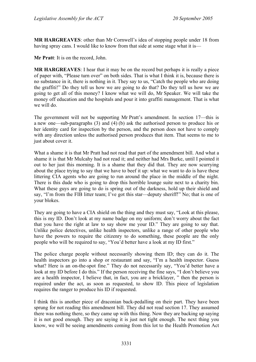**MR HARGREAVES**: other than Mr Cornwell's idea of stopping people under 18 from having spray cans. I would like to know from that side at some stage what it is—

**Mr Pratt**: It is on the record, John.

**MR HARGREAVES**: I hear that it may be on the record but perhaps it is really a piece of paper with, "Please turn over" on both sides. That is what I think it is, because there is no substance in it, there is nothing in it. They say to us, "Catch the people who are doing the graffiti!" Do they tell us how we are going to do that? Do they tell us how we are going to get all of this money? I know what we will do, Mr Speaker. We will take the money off education and the hospitals and pour it into graffiti management. That is what we will do.

The government will not be supporting Mr Pratt's amendment. In section 17—this is a new one—sub-paragraphs (3) and (4) (b) ask the authorised person to produce his or her identity card for inspection by the person, and the person does not have to comply with any direction unless the authorised person produces that item. That seems to me to just about cover it.

What a shame it is that Mr Pratt had not read that part of the amendment bill. And what a shame it is that Mr Mulcahy had not read it; and neither had Mrs Burke, until I pointed it out to her just this morning. It is a shame that they did that. They are now scurrying about the place trying to say that we have to beef it up: what we want to do is have these littering CIA agents who are going to run around the place in the middle of the night. There is this dude who is going to drop this horrible lounge suite next to a charity bin. What these guys are going to do is spring out of the darkness, hold up their shield and say, "I'm from the FIB litter team; I've got this star—deputy sheriff!" No; that is one of your blokes.

They are going to have a CIA shield on the thing and they must say, "Look at this please, this is my ID. Don't look at my name badge on my uniform; don't worry about the fact that you have the right at law to say show me your ID." They are going to say that. Unlike police detectives, unlike health inspectors, unlike a range of other people who have the powers to require the citizenry to do something, these people are the only people who will be required to say, "You'd better have a look at my ID first."

The police charge people without necessarily showing them ID; they can do it. The health inspectors go into a shop or restaurant and say, "I'm a health inspector. Guess what? Here is an on-the-spot fine." They do not necessarily say, "You'd better have a look at my ID before I do this." If the person receiving the fine says, "I don't believe you are a health inspector, I believe that, in fact, you are a bricklayer, " then the person is required under the act, as soon as requested, to show ID. This piece of legislation requires the ranger to produce his ID if requested.

I think this is another piece of draconian back-pedalling on their part. They have been sprung for not reading this amendment bill. They did not read section 17. They assumed there was nothing there, so they came up with this thing. Now they are backing up saying it is not good enough. They are saying it is just not tight enough. The next thing you know, we will be seeing amendments coming from this lot to the Health Promotion Act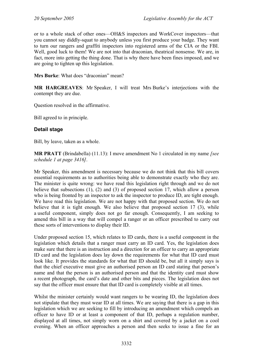or to a whole stack of other ones—OH&S inspectors and WorkCover inspectors—that you cannot say diddly-squat to anybody unless you first produce your badge. They want to turn our rangers and graffiti inspectors into registered arms of the CIA or the FBI. Well, good luck to them! We are not into that draconian, theatrical nonsense. We are, in fact, more into getting the thing done. That is why there have been fines imposed, and we are going to tighten up this legislation.

**Mrs Burke**: What does "draconian" mean?

**MR HARGREAVES**: Mr Speaker, I will treat Mrs Burke's interjections with the contempt they are due.

Question resolved in the affirmative.

Bill agreed to in principle.

### **Detail stage**

Bill, by leave, taken as a whole.

**MR PRATT** (Brindabella) (11.13): I move amendment No 1 circulated in my name *[see schedule 1 at page 3416]*.

Mr Speaker, this amendment is necessary because we do not think that this bill covers essential requirements as to authorities being able to demonstrate exactly who they are. The minister is quite wrong: we have read this legislation right through and we do not believe that subsections (1), (2) and (3) of proposed section 17, which allow a person who is being fronted by an inspector to ask the inspector to produce ID, are tight enough. We have read this legislation. We are not happy with that proposed section. We do not believe that it is tight enough. We also believe that proposed section 17 (3), while a useful component, simply does not go far enough. Consequently, I am seeking to amend this bill in a way that will compel a ranger or an officer prescribed to carry out these sorts of interventions to display their ID.

Under proposed section 15, which relates to ID cards, there is a useful component in the legislation which details that a ranger must carry an ID card. Yes, the legislation does make sure that there is an instruction and a direction for an officer to carry an appropriate ID card and the legislation does lay down the requirements for what that ID card must look like. It provides the standards for what that ID should be, but all it simply says is that the chief executive must give an authorised person an ID card stating that person's name and that the person is an authorised person and that the identity card must show a recent photograph, the card's date and other bits and pieces. The legislation does not say that the officer must ensure that that ID card is completely visible at all times.

Whilst the minister certainly would want rangers to be wearing ID, the legislation does not stipulate that they must wear ID at all times. We are saying that there is a gap in this legislation which we are seeking to fill by introducing an amendment which compels an officer to have ID or at least a component of that ID, perhaps a regulation number, displayed at all times, not simply worn on a shirt and covered by a jacket on a cool evening. When an officer approaches a person and then seeks to issue a fine for an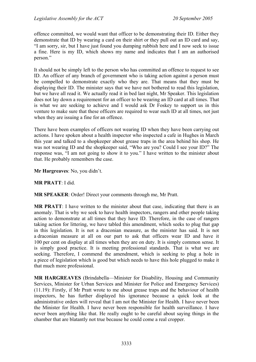offence committed, we would want that officer to be demonstrating their ID. Either they demonstrate that ID by wearing a card on their shirt or they pull out an ID card and say, "I am sorry, sir, but I have just found you dumping rubbish here and I now seek to issue a fine. Here is my ID, which shows my name and indicates that I am an authorised person."

It should not be simply left to the person who has committed an offence to request to see ID. An officer of any branch of government who is taking action against a person must be compelled to demonstrate exactly who they are. That means that they must be displaying their ID. The minister says that we have not bothered to read this legislation, but we have all read it. We actually read it in bed last night, Mr Speaker. This legislation does not lay down a requirement for an officer to be wearing an ID card at all times. That is what we are seeking to achieve and I would ask Dr Foskey to support us in this venture to make sure that these officers are required to wear such ID at all times, not just when they are issuing a fine for an offence.

There have been examples of officers not wearing ID when they have been carrying out actions. I have spoken about a health inspector who inspected a cafe in Hughes in March this year and talked to a shopkeeper about grease traps in the area behind his shop. He was not wearing ID and the shopkeeper said, "Who are you? Could I see your ID?" The response was, "I am not going to show it to you." I have written to the minister about that. He probably remembers the case.

**Mr Hargreaves**: No, you didn't.

#### **MR PRATT**: I did.

**MR SPEAKER**: Order! Direct your comments through me, Mr Pratt.

**MR PRATT**: I have written to the minister about that case, indicating that there is an anomaly. That is why we seek to have health inspectors, rangers and other people taking action to demonstrate at all times that they have ID. Therefore, in the case of rangers taking action for littering, we have tabled this amendment, which seeks to plug that gap in this legislation. It is not a draconian measure, as the minister has said. It is not a draconian measure at all on our part to ask that officers wear ID and have it 100 per cent on display at all times when they are on duty. It is simply common sense. It is simply good practice. It is meeting professional standards. That is what we are seeking. Therefore, I commend the amendment, which is seeking to plug a hole in a piece of legislation which is good but which needs to have this hole plugged to make it that much more professional.

**MR HARGREAVES** (Brindabella—Minister for Disability, Housing and Community Services, Minister for Urban Services and Minister for Police and Emergency Services) (11.19): Firstly, if Mr Pratt wrote to me about grease traps and the behaviour of health inspectors, he has further displayed his ignorance because a quick look at the administrative orders will reveal that I am not the Minister for Health. I have never been the Minister for Health. I have never been responsible for health surveillance. I have never been anything like that. He really ought to be careful about saying things in the chamber that are blatantly not true because he could come a real cropper.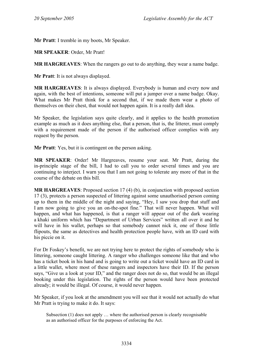**Mr Pratt**: I tremble in my boots, Mr Speaker.

**MR SPEAKER**: Order, Mr Pratt!

**MR HARGREAVES**: When the rangers go out to do anything, they wear a name badge.

**Mr Pratt**: It is not always displayed.

**MR HARGREAVES**: It is always displayed. Everybody is human and every now and again, with the best of intentions, someone will put a jumper over a name badge. Okay. What makes Mr Pratt think for a second that, if we made them wear a photo of themselves on their chest, that would not happen again. It is a really daft idea.

Mr Speaker, the legislation says quite clearly, and it applies to the health promotion example as much as it does anything else, that a person, that is, the litterer, must comply with a requirement made of the person if the authorised officer complies with any request by the person.

**Mr Pratt**: Yes, but it is contingent on the person asking.

**MR SPEAKER**: Order! Mr Hargreaves, resume your seat. Mr Pratt, during the in-principle stage of the bill, I had to call you to order several times and you are continuing to interject. I warn you that I am not going to tolerate any more of that in the course of the debate on this bill.

**MR HARGREAVES**: Proposed section 17 (4) (b), in conjunction with proposed section 17 (3), protects a person suspected of littering against some unauthorised person coming up to them in the middle of the night and saying, "Hey, I saw you drop that stuff and I am now going to give you an on-the-spot fine." That will never happen. What will happen, and what has happened, is that a ranger will appear out of the dark wearing a khaki uniform which has "Department of Urban Services" written all over it and he will have in his wallet, perhaps so that somebody cannot nick it, one of those little flipouts, the same as detectives and health protection people have, with an ID card with his piccie on it.

For Dr Foskey's benefit, we are not trying here to protect the rights of somebody who is littering, someone caught littering. A ranger who challenges someone like that and who has a ticket book in his hand and is going to write out a ticket would have an ID card in a little wallet, where most of these rangers and inspectors have their ID. If the person says, "Give us a look at your ID," and the ranger does not do so, that would be an illegal booking under this legislation. The rights of the person would have been protected already; it would be illegal. Of course, it would never happen.

Mr Speaker, if you look at the amendment you will see that it would not actually do what Mr Pratt is trying to make it do. It says:

Subsection  $(1)$  does not apply  $\ldots$  where the authorised person is clearly recognisable as an authorised officer for the purposes of enforcing the Act.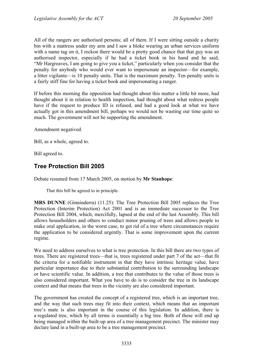All of the rangers are authorised persons; all of them. If I were sitting outside a charity bin with a mattress under my arm and I saw a bloke wearing an urban services uniform with a name tag on it, I reckon there would be a pretty good chance that that guy was an authorised inspector, especially if he had a ticket book in his hand and he said, "Mr Hargreaves, I am going to give you a ticket," particularly when you consider that the penalty for anybody who would ever want to impersonate an inspector—for example, a litter vigilante—is 10 penalty units. That is the maximum penalty. Ten penalty units is a fairly stiff fine for having a ticket book and impersonating a ranger.

If before this morning the opposition had thought about this matter a little bit more, had thought about it in relation to health inspection, had thought about what redress people have if the request to produce ID is refused, and had a good look at what we have actually got in this amendment bill, perhaps we would not be wasting our time quite so much. The government will not be supporting the amendment.

Amendment negatived.

Bill, as a whole, agreed to.

Bill agreed to.

## <span id="page-16-0"></span>**Tree Protection Bill 2005**

Debate resumed from 17 March 2005, on motion by **Mr Stanhope**:

That this bill be agreed to in principle.

**MRS DUNNE** (Ginninderra) (11.25): The Tree Protection Bill 2005 replaces the Tree Protection (Interim Protection) Act 2001 and is an immediate successor to the Tree Protection Bill 2004, which, mercifully, lapsed at the end of the last Assembly. This bill allows householders and others to conduct minor pruning of trees and allows people to make oral application, in the worst case, to get rid of a tree where circumstances require the application to be considered urgently. That is some improvement upon the current regime.

We need to address ourselves to what is tree protection. In this bill there are two types of trees. There are registered trees—that is, trees registered under part 7 of the act—that fit the criteria for a notifiable instrument in that they have intrinsic heritage value, have particular importance due to their substantial contribution to the surrounding landscape or have scientific value. In addition, a tree that contributes to the value of those trees is also considered important. What you have to do is to consider the tree in its landscape context and that means that trees in the vicinity are also considered important.

The government has created the concept of a registered tree, which is an important tree, and the way that such trees may fit into their context, which means that an important tree's mate is also important in the course of this legislation. In addition, there is a regulated tree, which by all terms is essentially a big tree. Both of these will end up being managed within the built-up area of a tree management precinct. The minister may declare land in a built-up area to be a tree management precinct.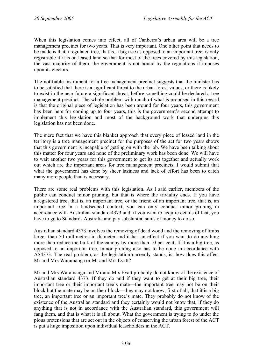When this legislation comes into effect, all of Canberra's urban area will be a tree management precinct for two years. That is very important. One other point that needs to be made is that a regulated tree, that is, a big tree as opposed to an important tree, is only registrable if it is on leased land so that for most of the trees covered by this legislation, the vast majority of them, the government is not bound by the regulations it imposes upon its electors.

The notifiable instrument for a tree management precinct suggests that the minister has to be satisfied that there is a significant threat to the urban forest values, or there is likely to exist in the near future a significant threat, before something could be declared a tree management precinct. The whole problem with much of what is proposed in this regard is that the original piece of legislation has been around for four years, this government has been here for coming up to four years, this is the government's second attempt to implement this legislation and most of the background work that underpins this legislation has not been done.

The mere fact that we have this blanket approach that every piece of leased land in the territory is a tree management precinct for the purposes of the act for two years shows that this government is incapable of getting on with the job. We have been talking about this matter for four years and none of the preliminary work has been done. We will have to wait another two years for this government to get its act together and actually work out which are the important areas for tree management precincts. I would submit that what the government has done by sheer laziness and lack of effort has been to catch many more people than is necessary.

There are some real problems with this legislation. As I said earlier, members of the public can conduct minor pruning, but that is where the triviality ends. If you have a registered tree, that is, an important tree, or the friend of an important tree, that is, an important tree in a landscaped context, you can only conduct minor pruning in accordance with Australian standard 4373 and, if you want to acquire details of that, you have to go to Standards Australia and pay substantial sums of money to do so.

Australian standard 4373 involves the removing of dead wood and the removing of limbs larger than 50 millimetres in diameter and it has an effect if you want to do anything more than reduce the bulk of the canopy by more than 10 per cent. If it is a big tree, as opposed to an important tree, minor pruning also has to be done in accordance with AS4373. The real problem, as the legislation currently stands, is: how does this affect Mr and Mrs Waramanga or Mr and Mrs Evatt?

Mr and Mrs Waramanga and Mr and Mrs Evatt probably do not know of the existence of Australian standard 4373. If they do and if they want to get at their big tree, their important tree or their important tree's mate—the important tree may not be on their block but the mate may be on their block—they may not know, first of all, that it is a big tree, an important tree or an important tree's mate. They probably do not know of the existence of the Australian standard and they certainly would not know that, if they do anything that is not in accordance with the Australian standard, this government will fang them, and that is what it is all about. What the government is trying to do under the pious pretensions that are set out in the objects of conserving the urban forest of the ACT is put a huge imposition upon individual leaseholders in the ACT.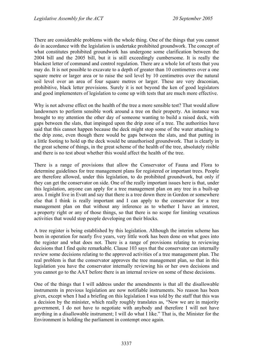There are considerable problems with the whole thing. One of the things that you cannot do in accordance with the legislation is undertake prohibited groundwork. The concept of what constitutes prohibited groundwork has undergone some clarification between the 2004 bill and the 2005 bill, but it is still exceedingly cumbersome. It is really the blackest letter of command and control regulation. There are a whole lot of tests that you may do. It is not possible to excavate to a depth of greater than 10 centimetres over a one square metre or larger area or to raise the soil level by 10 centimetres over the natural soil level over an area of four square metres or larger. These are very draconian, prohibitive, black letter provisions. Surely it is not beyond the ken of good legislators and good implementers of legislation to come up with tests that are much more effective.

Why is not adverse effect on the health of the tree a more sensible test? That would allow landowners to perform sensible work around a tree on their property. An instance was brought to my attention the other day of someone wanting to build a raised deck, with gaps between the slats, that impinged upon the drip zone of a tree. The authorities have said that this cannot happen because the deck might stop some of the water attaching to the drip zone, even though there would be gaps between the slats, and that putting in a little footing to hold up the deck would be unauthorised groundwork. That is clearly in the great scheme of things, in the great scheme of the health of the tree, absolutely risible and there is no test about whether this would affect the health of the tree.

There is a range of provisions that allow the Conservator of Fauna and Flora to determine guidelines for tree management plans for registered or important trees. People are therefore allowed, under this legislation, to do prohibited groundwork, but only if they can get the conservator on side. One of the really important issues here is that, under this legislation, anyone can apply for a tree management plan on any tree in a built-up area. I might live in Evatt and say that there is a tree down there in Gordon or somewhere else that I think is really important and I can apply to the conservator for a tree management plan on that without any inference as to whether I have an interest, a property right or any of those things, so that there is no scope for limiting vexatious activities that would stop people developing on their blocks.

A tree register is being established by this legislation. Although the interim scheme has been in operation for nearly five years, very little work has been done on what goes into the register and what does not. There is a range of provisions relating to reviewing decisions that I find quite remarkable. Clause 103 says that the conservator can internally review some decisions relating to the approved activities of a tree management plan. The real problem is that the conservator approves the tree management plan, so that in this legislation you have the conservator internally reviewing his or her own decisions and you cannot go to the AAT before there is an internal review on some of these decisions.

One of the things that I will address under the amendments is that all the disallowable instruments in previous legislation are now notifiable instruments. No reason has been given, except when I had a briefing on this legislation I was told by the staff that this was a decision by the minister, which really roughly translates as, "Now we are in majority government, I do not have to negotiate with anybody and therefore I will not have anything in a disallowable instrument; I will do what I like." That is, the Minister for the Environment is holding the parliament in contempt once again.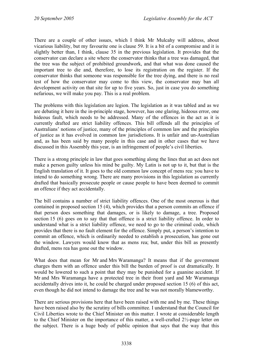There are a couple of other issues, which I think Mr Mulcahy will address, about vicarious liability, but my favourite one is clause 59. It is a bit of a compromise and it is slightly better than, I think, clause 35 in the previous legislation. It provides that the conservator can declare a site where the conservator thinks that a tree was damaged, that the tree was the subject of prohibited groundwork, and that what was done caused the important tree to die and, therefore, to lose its registration on the register. If the conservator thinks that someone was responsible for the tree dying, and there is no real test of how the conservator may come to this view, the conservator may ban all development activity on that site for up to five years. So, just in case you do something nefarious, we will make you pay. This is a real problem.

The problems with this legislation are legion. The legislation as it was tabled and as we are debating it here in the in-principle stage, however, has one glaring, hideous error, one hideous fault, which needs to be addressed. Many of the offences in the act as it is currently drafted are strict liability offences. This bill offends all the principles of Australians' notions of justice, many of the principles of common law and the principles of justice as it has evolved in common law jurisdictions. It is unfair and un-Australian and, as has been said by many people in this case and in other cases that we have discussed in this Assembly this year, is an infringement of people's civil liberties.

There is a strong principle in law that goes something along the lines that an act does not make a person guilty unless his mind be guilty. My Latin is not up to it, but that is the English translation of it. It goes to the old common law concept of mens rea: you have to intend to do something wrong. There are many provisions in this legislation as currently drafted that basically prosecute people or cause people to have been deemed to commit an offence if they act accidentally.

The bill contains a number of strict liability offences. One of the most onerous is that contained in proposed section 15 (4), which provides that a person commits an offence if that person does something that damages, or is likely to damage, a tree. Proposed section 15 (6) goes on to say that that offence is a strict liability offence. In order to understand what is a strict liability offence, we need to go to the criminal code, which provides that there is no fault element for the offence. Simply put, a person's intention to commit an offence, which is ordinarily needed to establish a prosecution, has gone out the window. Lawyers would know that as mens rea; but, under this bill as presently drafted, mens rea has gone out the window.

What does that mean for Mr and Mrs Waramanga? It means that if the government charges them with an offence under this bill the burden of proof is cut dramatically. It would be lowered to such a point that they may be punished for a guanine accident. If Mr and Mrs Waramanga have a protected tree in their front yard and Mr Waramanga accidentally drives into it, he could be charged under proposed section 15 (6) of this act, even though he did not intend to damage the tree and he was not morally blameworthy.

There are serious provisions here that have been raised with me and by me. These things have been raised also by the scrutiny of bills committee. I understand that the Council for Civil Liberties wrote to the Chief Minister on this matter. I wrote at considerable length to the Chief Minister on the importance of this matter, a well-crafted 2½-page letter on the subject. There is a huge body of public opinion that says that the way that this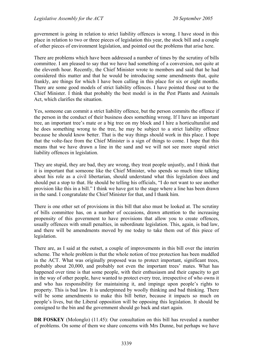government is going in relation to strict liability offences is wrong. I have stood in this place in relation to two or three pieces of legislation this year, the stock bill and a couple of other pieces of environment legislation, and pointed out the problems that arise here.

There are problems which have been addressed a number of times by the scrutiny of bills committee. I am pleased to say that we have had something of a conversion, not quite at the eleventh hour. Recently, the Chief Minister wrote to members and said that he had considered this matter and that he would be introducing some amendments that, quite frankly, are things for which I have been calling in this place for six or eight months. There are some good models of strict liability offences. I have pointed those out to the Chief Minister. I think that probably the best model is in the Pest Plants and Animals Act, which clarifies the situation.

Yes, someone can commit a strict liability offence, but the person commits the offence if the person in the conduct of their business does something wrong. If I have an important tree, an important tree's mate or a big tree on my block and I hire a horticulturalist and he does something wrong to the tree, he may be subject to a strict liability offence because he should know better. That is the way things should work in this place. I hope that the volte-face from the Chief Minister is a sign of things to come. I hope that this means that we have drawn a line in the sand and we will not see more stupid strict liability offences in legislation.

They are stupid, they are bad, they are wrong, they treat people unjustly, and I think that it is important that someone like the Chief Minister, who spends so much time talking about his role as a civil libertarian, should understand what this legislation does and should put a stop to that. He should be telling his officials, "I do not want to see another provision like this in a bill." I think we have got to the stage where a line has been drawn in the sand. I congratulate the Chief Minister for that, and I thank him.

There is one other set of provisions in this bill that also must be looked at. The scrutiny of bills committee has, on a number of occasions, drawn attention to the increasing propensity of this government to have provisions that allow you to create offences, usually offences with small penalties, in subordinate legislation. This, again, is bad law, and there will be amendments moved by me today to take them out of this piece of legislation.

There are, as I said at the outset, a couple of improvements in this bill over the interim scheme. The whole problem is that the whole notion of tree protection has been muddled in the ACT. What was originally proposed was to protect important, significant trees, probably about 20,000, and probably not even the important trees' mates. What has happened over time is that some people, with their enthusiasm and their capacity to get in the way of other people, have wanted to protect every tree, irrespective of who owns it and who has responsibility for maintaining it, and impinge upon people's rights to property. This is bad law. It is underpinned by woolly thinking and bad thinking. There will be some amendments to make this bill better, because it impacts so much on people's lives, but the Liberal opposition will be opposing this legislation. It should be consigned to the bin and the government should go back and start again.

**DR FOSKEY** (Molonglo) (11.45): Our consultation on this bill has revealed a number of problems. On some of them we share concerns with Mrs Dunne, but perhaps we have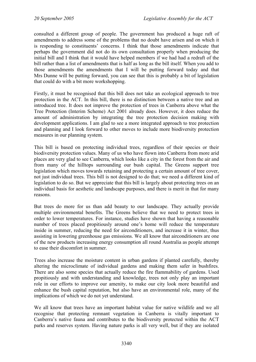consulted a different group of people. The government has produced a huge raft of amendments to address some of the problems that no doubt have arisen and on which it is responding to constituents' concerns. I think that those amendments indicate that perhaps the government did not do its own consultation properly when producing the initial bill and I think that it would have helped members if we had had a redraft of the bill rather than a list of amendments that is half as long as the bill itself. When you add to those amendments the amendments that I will be putting forward today and that Mrs Dunne will be putting forward, you can see that this is probably a bit of legislation that could do with a bit more workshopping.

Firstly, it must be recognised that this bill does not take an ecological approach to tree protection in the ACT. In this bill, there is no distinction between a native tree and an introduced tree. It does not improve the protection of trees in Canberra above what the Tree Protection (Interim Scheme) Act 2001 already does. However, it does reduce the amount of administration by integrating the tree protection decision making with development applications. I am glad to see a more integrated approach to tree protection and planning and I look forward to other moves to include more biodiversity protection measures in our planning system.

This bill is based on protecting individual trees, regardless of their species or their biodiversity protection values. Many of us who have flown into Canberra from more arid places are very glad to see Canberra, which looks like a city in the forest from the air and from many of the hilltops surrounding our bush capital. The Greens support tree legislation which moves towards retaining and protecting a certain amount of tree cover, not just individual trees. This bill is not designed to do that; we need a different kind of legislation to do so. But we appreciate that this bill is largely about protecting trees on an individual basis for aesthetic and landscape purposes, and there is merit in that for many reasons.

But trees do more for us than add beauty to our landscape. They actually provide multiple environmental benefits. The Greens believe that we need to protect trees in order to lower temperatures. For instance, studies have shown that having a reasonable number of trees placed propitiously around one's home will reduce the temperature inside in summer, reducing the need for airconditioners, and increase it in winter, thus assisting in lowering greenhouse gas emissions. We all know that airconditioners are one of the new products increasing energy consumption all round Australia as people attempt to ease their discomfort in summer.

Trees also increase the moisture content in urban gardens if planted carefully, thereby altering the microclimate of individual gardens and making them safer in bushfires. There are also some species that actually reduce the fire flammability of gardens. Used propitiously and with understanding and knowledge, trees not only play an important role in our efforts to improve our amenity, to make our city look more beautiful and enhance the bush capital reputation, but also have an environmental role, many of the implications of which we do not yet understand.

We all know that trees have an important habitat value for native wildlife and we all recognise that protecting remnant vegetation in Canberra is vitally important to Canberra's native fauna and contributes to the biodiversity protected within the ACT parks and reserves system. Having nature parks is all very well, but if they are isolated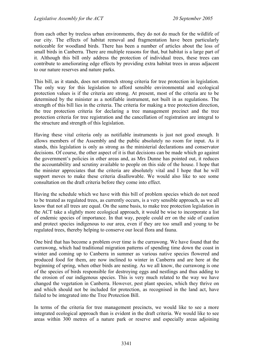from each other by treeless urban environments, they do not do much for the wildlife of our city. The effects of habitat removal and fragmentation have been particularly noticeable for woodland birds. There has been a number of articles about the loss of small birds in Canberra. There are multiple reasons for that, but habitat is a large part of it. Although this bill only address the protection of individual trees, these trees can contribute to ameliorating edge effects by providing extra habitat trees in areas adjacent to our nature reserves and nature parks.

This bill, as it stands, does not entrench strong criteria for tree protection in legislation. The only way for this legislation to afford sensible environmental and ecological protection values is if the criteria are strong. At present, most of the criteria are to be determined by the minister as a notifiable instrument, not built in as regulations. The strength of this bill lies in the criteria. The criteria for making a tree protection direction, the tree protection criteria for declaring a tree management precinct and the tree protection criteria for tree registration and the cancellation of registration are integral to the structure and strength of this legislation.

Having these vital criteria only as notifiable instruments is just not good enough. It allows members of the Assembly and the public absolutely no room for input. As it stands, this legislation is only as strong as the ministerial declarations and conservator decisions. Of course, the other aspect of it is that decisions can be made which go against the government's policies in other areas and, as Mrs Dunne has pointed out, it reduces the accountability and scrutiny available to people on this side of the house. I hope that the minister appreciates that the criteria are absolutely vital and I hope that he will support moves to make these criteria disallowable. We would also like to see some consultation on the draft criteria before they come into effect.

Having the schedule which we have with this bill of problem species which do not need to be treated as regulated trees, as currently occurs, is a very sensible approach, as we all know that not all trees are equal. On the same basis, to make tree protection legislation in the ACT take a slightly more ecological approach, it would be wise to incorporate a list of endemic species of importance. In that way, people could err on the side of caution and protect species indigenous to our area, even if they are too small and young to be regulated trees, thereby helping to conserve our local flora and fauna.

One bird that has become a problem over time is the currawong. We have found that the currawong, which had traditional migration patterns of spending time down the coast in winter and coming up to Canberra in summer as various native species flowered and produced food for them, are now inclined to winter in Canberra and are here at the beginning of spring, when other birds are nesting. As we all know, the currawong is one of the species of birds responsible for destroying eggs and nestlings and thus adding to the erosion of our indigenous species. This is very much related to the way we have changed the vegetation in Canberra. However, pest plant species, which they thrive on and which should not be included for protection, as recognised in the land act, have failed to be integrated into the Tree Protection Bill.

In terms of the criteria for tree management precincts, we would like to see a more integrated ecological approach than is evident in the draft criteria. We would like to see areas within 300 metres of a nature park or reserve and especially areas adjoining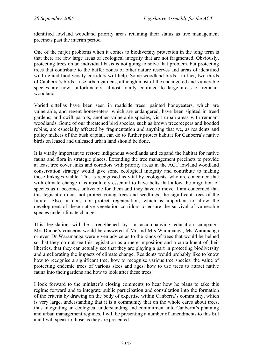identified lowland woodland priority areas retaining their status as tree management precincts past the interim period.

One of the major problems when it comes to biodiversity protection in the long term is that there are few large areas of ecological integrity that are not fragmented. Obviously, protecting trees on an individual basis is not going to solve that problem, but protecting trees that contribute to the buffer zones of other nature reserves and areas of identified wildlife and biodiversity corridors will help. Some woodland birds—in fact, two-thirds of Canberra's birds—use urban gardens, although most of the endangered and vulnerable species are now, unfortunately, almost totally confined to large areas of remnant woodland.

Varied sittellas have been seen in roadside trees; painted honeyeaters, which are vulnerable, and regent honeyeaters, which are endangered, have been sighted in treed gardens; and swift parrots, another vulnerable species, visit urban areas with remnant woodlands. Some of our threatened bird species, such as brown treecreepers and hooded robins, are especially affected by fragmentation and anything that we, as residents and policy makers of the bush capital, can do to further protect habitat for Canberra's native birds on leased and unleased urban land should be done.

It is vitally important to restore indigenous woodlands and expand the habitat for native fauna and flora in strategic places. Extending the tree management precincts to provide at least tree cover links and corridors with priority areas in the ACT lowland woodland conservation strategy would give some ecological integrity and contribute to making those linkages viable. This is recognised as vital by ecologists, who are concerned that with climate change it is absolutely essential to have belts that allow the migration of species as it becomes unliveable for them and they have to move. I am concerned that this legislation does not protect young trees and seedlings, the significant trees of the future. Also, it does not protect regeneration, which is important to allow the development of these native vegetation corridors to ensure the survival of vulnerable species under climate change.

This legislation will be strengthened by an accompanying education campaign. Mrs Dunne's concerns would be answered if Mr and Mrs Waramanga, Ms Waramanga or even Dr Waramanga were given advice as to the kinds of trees that would be helped so that they do not see this legislation as a mere imposition and a curtailment of their liberties, that they can actually see that they are playing a part in protecting biodiversity and ameliorating the impacts of climate change. Residents would probably like to know how to recognise a significant tree, how to recognise various tree species, the value of protecting endemic trees of various sizes and ages, how to use trees to attract native fauna into their gardens and how to look after these trees.

I look forward to the minister's closing comments to hear how he plans to take this regime forward and to integrate public participation and consultation into the formation of the criteria by drawing on the body of expertise within Canberra's community, which is very large, understanding that it is a community that on the whole cares about trees, thus integrating an ecological understanding and commitment into Canberra's planning and urban management regimes. I will be presenting a number of amendments to this bill and I will speak to those as they are presented.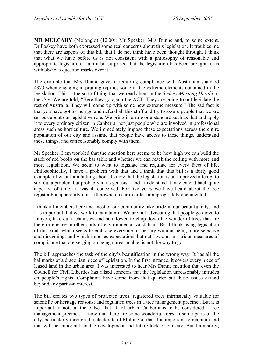**MR MULCAHY** (Molonglo) (12.00): Mr Speaker, Mrs Dunne and, to some extent, Dr Foskey have both expressed some real concerns about this legislation. It troubles me that there are aspects of this bill that I do not think have been thought through. I think that what we have before us is not consistent with a philosophy of reasonable and appropriate legislation. I am a bit surprised that the legislation has been brought to us with obvious question marks over it.

The example that Mrs Dunne gave of requiring compliance with Australian standard 4373 when engaging in pruning typifies some of the extreme elements contained in the legislation. This is the sort of thing that we read about in the *Sydney Morning Herald* or the *Age.* We are told, "Here they go again the ACT. They are going to out-legislate the rest of Australia. They will come up with some new extreme measure." The sad fact is that you have got to then go and defend all this stuff and try to assure people that we are serious about our legislative role. We bring in a rule or a standard such as that and apply it to every ordinary citizen in Canberra, not just people who are involved in professional areas such as horticulture. We immediately impose these expectations across the entire population of our city and assume that people have access to these things, understand these things, and can reasonably comply with them.

Mr Speaker, I am troubled that the question here seems to be how high we can build the stack of red books on the bar table and whether we can reach the ceiling with more and more legislation. We seem to want to legislate and regulate for every facet of life. Philosophically, I have a problem with that and I think that this bill is a fairly good example of what I am talking about. I know that the legislation is an improved attempt to sort out a problem but probably in its genesis—and I understand it may extend back quite a period of time—it was ill conceived. For five years we have heard about the tree register but apparently it is still nowhere near in order or appropriately documented.

I think all members here and most of our community take pride in our beautiful city, and it is important that we work to maintain it. We are not advocating that people go down to Lanyon, take out a chainsaw and be allowed to chop down the wonderful trees that are there or engage in other sorts of environmental vandalism. But I think using legislation of this kind, which seeks to embrace everyone in the city without being more selective and discerning, and which imposes expectations both at law and in various measures of compliance that are verging on being unreasonable, is not the way to go.

The bill approaches the task of the city's beautification in the wrong way. It has all the hallmarks of a draconian piece of legislation. In the first instance, it covers every piece of leased land in the urban area. I was interested to hear Mrs Dunne mention that even the Council for Civil Liberties has raised concerns that the legislation unreasonably intrudes on people's rights. Complaints have come from that quarter but these issues extend beyond any partisan interest.

The bill creates two types of protected trees: registered trees intrinsically valuable for scientific or heritage reasons; and regulated trees in a tree management precinct. But it is important to note at the outset that all of urban Canberra is to be considered a tree management precinct. I know that there are some wonderful trees in some parts of the city, particularly through the electorate of Molonglo, that it is important to maintain and that will be important for the development and future look of our city. But I am sorry,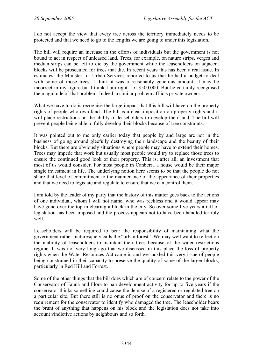I do not accept the view that every tree across the territory immediately needs to be protected and that we need to go to the lengths we are going to under this legislation.

The bill will require an increase in the efforts of individuals but the government is not bound to act in respect of unleased land. Trees, for example, on nature strips, verges and median strips can be left to die by the government while the leaseholders on adjacent blocks will be prosecuted for trees that die. In recent years this has been a real issue. In estimates, the Minister for Urban Services reported to us that he had a budget to deal with some of those trees. I think it was a reasonably generous amount—I may be incorrect in my figure but I think I am right—of \$500,000. But he certainly recognised the magnitude of that problem. Indeed, a similar problem afflicts private owners.

What we have to do is recognise the large impact that this bill will have on the property rights of people who own land. The bill is a clear imposition on property rights and it will place restrictions on the ability of leaseholders to develop their land. The bill will prevent people being able to fully develop their blocks because of tree constraints.

It was pointed out to me only earlier today that people by and large are not in the business of going around gleefully destroying their landscape and the beauty of their blocks. But there are obviously situations where people may have to extend their homes. Trees may impede that work but usually most people would try to replace those trees to ensure the continued good look of their property. This is, after all, an investment that most of us would consider. For most people in Canberra a house would be their major single investment in life. The underlying notion here seems to be that the people do not share that level of commitment to the maintenance of the appearance of their properties and that we need to legislate and regulate to ensure that we can control them.

I am told by the leader of my party that the history of this matter goes back to the actions of one individual, whom I will not name, who was reckless and it would appear may have gone over the top in clearing a block in the city. So over some five years a raft of legislation has been imposed and the process appears not to have been handled terribly well.

Leaseholders will be required to bear the responsibility of maintaining what the government rather picturesquely calls the "urban forest". We may well want to reflect on the inability of leaseholders to maintain their trees because of the water restrictions regime. It was not very long ago that we discussed in this place the loss of property rights when the Water Resources Act came in and we tackled this very issue of people being constrained in their capacity to preserve the quality of some of the larger blocks, particularly in Red Hill and Forrest.

Some of the other things that the bill does which are of concern relate to the power of the Conservator of Fauna and Flora to ban development activity for up to five years if the conservator thinks something could cause the demise of a registered or regulated tree on a particular site. But there still is no onus of proof on the conservator and there is no requirement for the conservator to identify who damaged the tree. The leaseholder bears the brunt of anything that happens on his block and the legislation does not take into account vindictive actions by neighbours and so forth.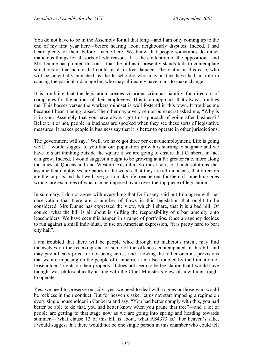You do not have to be in the Assembly for all that long—and I am only coming up to the end of my first year here—before hearing about neighbourly disputes. Indeed, I had heard plenty of them before I came here. We know that people sometimes do rather malicious things for all sorts of odd reasons. It is the contention of the opposition—and Mrs Dunne has pointed this out—that the bill as it presently stands fails to contemplate situations of that nature that could result in tree damage. The victim in this case, who will be potentially punished, is the leaseholder who may in fact have had no role in causing the particular damage but who may ultimately have plans to make change.

It is troubling that the legislation creates vicarious criminal liability for directors of companies for the actions of their employees. This is an approach that always troubles me. This bosses versus the workers mindset is well fostered in this town. It troubles me because I hear it being raised. The other day a very senior bureaucrat asked me, "Why is it in your Assembly that you have always got this approach of going after business?" Believe it or not, people in business are spooked when they see these sorts of legislative measures. It makes people in business say that it is better to operate in other jurisdictions.

The government will say, "Well, we have got three per cent unemployment. Life is going well." I would suggest to you that our population growth is starting to stagnate and we have to start thinking outside the square if we are going to ensure that Canberra in fact can grow. Indeed, I would suggest it ought to be growing at a far greater rate, more along the lines of Queensland and Western Australia. So these sorts of harsh solutions that assume that employees are babes in the woods, that they are all innocents, that directors are the culprits and that we have got to make life treacherous for them if something goes wrong, are examples of what can be imposed by an over-the-top piece of legislation.

In summary, I do not agree with everything that Dr Foskey said but I do agree with her observation that there are a number of flaws in this legislation that ought to be considered. Mrs Dunne has expressed the view, which I share, that it is a bad bill. Of course, what the bill is all about is shifting the responsibility of urban amenity onto leaseholders. We have seen this happen in a range of portfolios. Once an agency decides to run against a small individual, to use an American expression, "it is pretty hard to beat city hall".

I am troubled that there will be people who, through no malicious intent, may find themselves on the receiving end of some of the offences contemplated in this bill and may pay a heavy price for not being across and knowing the rather onerous provisions that we are imposing on the people of Canberra. I am also troubled by the limitation of leaseholders' rights on their property. It does not seem to be legislation that I would have thought was philosophically in line with the Chief Minister's view of how things ought to operate.

Yes, we need to preserve our city; yes, we need to deal with rogues or those who would be reckless in their conduct. But for heaven's sake, let us not start imposing a regime on every single householder in Canberra and say, "You had better comply with this, you had better be able to do that, you had better know when you prune that tree"—and a lot of people are getting to that stage now as we are going into spring and heading towards summer—"what clause 13 of this bill is about, what AS4373 is." For heaven's sake, I would suggest that there would not be one single person in this chamber who could tell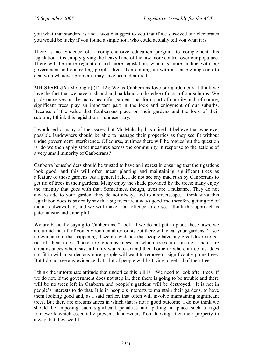you what that standard is and I would suggest to you that if we surveyed our electorates you would be lucky if you found a single soul who could actually tell you what it is.

There is no evidence of a comprehensive education program to complement this legislation. It is simply giving the heavy hand of the law more control over our populace. There will be more regulation and more legislation, which is more in line with big government and controlling peoples lives than coming up with a sensible approach to deal with whatever problems may have been identified.

**MR SESELJA** (Molonglo) (12.12): We as Canberrans love our garden city. I think we love the fact that we have bushland and parkland on the edge of most of our suburbs. We pride ourselves on the many beautiful gardens that form part of our city and, of course, significant trees play an important part in the look and enjoyment of our suburbs. Because of the value that Canberrans place on their gardens and the look of their suburbs, I think this legislation is unnecessary.

I would echo many of the issues that Mr Mulcahy has raised. I believe that wherever possible landowners should be able to manage their properties as they see fit without undue government interference. Of course, at times there will be rogues but the question is: do we then apply strict measures across the community in response to the actions of a very small minority of Canberrans?

Canberra householders should be trusted to have an interest in ensuring that their gardens look good, and this will often mean planting and maintaining significant trees as a feature of those gardens. As a general rule, I do not see any mad rush by Canberrans to get rid of trees in their gardens. Many enjoy the shade provided by the trees; many enjoy the amenity that goes with that. Sometimes, though, trees are a nuisance. They do not always add to your garden, they do not always add to a streetscape. I think what this legislation does is basically say that big trees are always good and therefore getting rid of them is always bad, and we will make it an offence to do so. I think this approach is paternalistic and unhelpful.

We are basically saying to Canberrans, "Look, if we do not put in place these laws, we are afraid that all of you environmental terrorists out there will clear your gardens." I see no evidence of that happening. I see no evidence that people have any great desire to get rid of their trees. There are circumstances in which trees are unsafe. There are circumstances when, say, a family wants to extend their home or where a tree just does not fit in with a garden anymore, people will want to remove or significantly prune trees. But I do not see any evidence that a lot of people will be trying to get rid of their trees.

I think the unfortunate attitude that underlies this bill is, "We need to look after trees. If we do not, if the government does not step in, then there is going to be trouble and there will be no trees left in Canberra and people's gardens will be destroyed." It is not in people's interests to do that. It is in people's interests to maintain their gardens, to have them looking good and, as I said earlier, that often will involve maintaining significant trees. But there are circumstances in which that is not a good outcome. I do not think we should be imposing such significant penalties and putting in place such a rigid framework which essentially prevents landowners from looking after their property in a way that they see fit.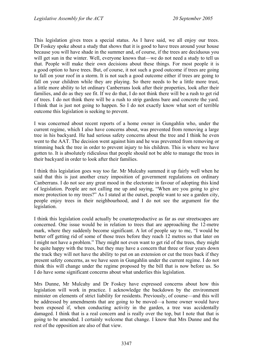This legislation gives trees a special status. As I have said, we all enjoy our trees. Dr Foskey spoke about a study that shows that it is good to have trees around your house because you will have shade in the summer and, of course, if the trees are deciduous you will get sun in the winter. Well, everyone knows that—we do not need a study to tell us that. People will make their own decisions about these things. For most people it is a good option to have trees. But, of course, it not such a good outcome if trees are going to fall on your roof in a storm. It is not such a good outcome either if trees are going to fall on your children while they are playing. So there needs to be a little more trust, a little more ability to let ordinary Canberrans look after their properties, look after their families, and do as they see fit. If we do that, I do not think there will be a rush to get rid of trees. I do not think there will be a rush to strip gardens bare and concrete the yard. I think that is just not going to happen. So I do not exactly know what sort of terrible outcome this legislation is seeking to prevent.

I was concerned about recent reports of a home owner in Gungahlin who, under the current regime, which I also have concerns about, was prevented from removing a large tree in his backyard. He had serious safety concerns about the tree and I think he even went to the AAT. The decision went against him and he was prevented from removing or trimming back the tree in order to prevent injury to his children. This is where we have gotten to. It is absolutely ridiculous that people should not be able to manage the trees in their backyard in order to look after their families.

I think this legislation goes way too far. Mr Mulcahy summed it up fairly well when he said that this is just another crazy imposition of government regulations on ordinary Canberrans. I do not see any great mood in the electorate in favour of adopting this kind of legislation. People are not calling me up and saying, "When are you going to give more protection to my trees?" As I stated at the outset, people want to see a garden city, people enjoy trees in their neighbourhood, and I do not see the argument for the legislation.

I think this legislation could actually be counterproductive as far as our streetscapes are concerned. One issue would be in relation to trees that are approaching the 12-metre mark, where they suddenly become significant. A lot of people say to me, "I would be better off getting rid of some of those trees before they reach 12 metres so that later on I might not have a problem." They might not even want to get rid of the trees, they might be quite happy with the trees, but they may have a concern that three or four years down the track they will not have the ability to put on an extension or cut the trees back if they present safety concerns, as we have seen in Gungahlin under the current regime. I do not think this will change under the regime proposed by the bill that is now before us. So I do have some significant concerns about what underlies this legislation.

Mrs Dunne, Mr Mulcahy and Dr Foskey have expressed concerns about how this legislation will work in practice. I acknowledge the backdown by the environment minister on elements of strict liability for residents. Previously, of course—and this will be addressed by amendments that are going to be moved—a home owner would have been exposed if, when conducting activity in the garden, a tree was accidentally damaged. I think that is a real concern and is really over the top, but I note that that is going to be amended. I certainly welcome that change. I know that Mrs Dunne and the rest of the opposition are also of that view.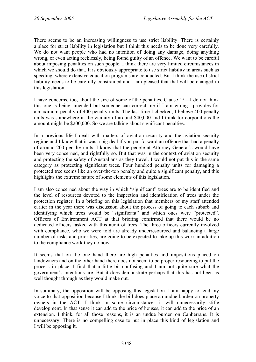There seems to be an increasing willingness to use strict liability. There is certainly a place for strict liability in legislation but I think this needs to be done very carefully. We do not want people who had no intention of doing any damage, doing anything wrong, or even acting recklessly, being found guilty of an offence. We want to be careful about imposing penalties on such people. I think there are very limited circumstances in which we should do that. It is obviously appropriate to use strict liability in areas such as speeding, where extensive education programs are conducted. But I think the use of strict liability needs to be carefully constrained and I am pleased that that will be changed in this legislation.

I have concerns, too, about the size of some of the penalties. Clause 15—I do not think this one is being amended but someone can correct me if I am wrong—provides for a maximum penalty of 400 penalty units. The last time I checked, I believe 400 penalty units was somewhere in the vicinity of around \$40,000 and I think for corporations the amount might be \$200,000. So we are talking about significant penalties.

In a previous life I dealt with matters of aviation security and the aviation security regime and I know that it was a big deal if you put forward an offence that had a penalty of around 200 penalty units. I know that the people at Attorney-General's would have been very concerned, and rightfully so. But that was in the context of aviation security and protecting the safety of Australians as they travel. I would not put this in the same category as protecting significant trees. Four hundred penalty units for damaging a protected tree seems like an over-the-top penalty and quite a significant penalty, and this highlights the extreme nature of some elements of this legislation.

I am also concerned about the way in which "significant" trees are to be identified and the level of resources devoted to the inspection and identification of trees under the protection register. In a briefing on this legislation that members of my staff attended earlier in the year there was discussion about the process of going to each suburb and identifying which trees would be "significant" and which ones were "protected". Officers of Environment ACT at that briefing confirmed that there would be no dedicated officers tasked with this audit of trees. The three officers currently involved with compliance, who we were told are already underresourced and balancing a large number of tasks and priorities, are going to be expected to take up this work in addition to the compliance work they do now.

It seems that on the one hand there are high penalties and impositions placed on landowners and on the other hand there does not seem to be proper resourcing to put the process in place. I find that a little bit confusing and I am not quite sure what the government's intentions are. But it does demonstrate perhaps that this has not been as well thought through as they would make out.

In summary, the opposition will be opposing this legislation. I am happy to lend my voice to that opposition because I think the bill does place an undue burden on property owners in the ACT. I think in some circumstances it will unnecessarily stifle development. In that sense it can add to the price of houses, it can add to the price of an extension. I think, for all those reasons, it is an undue burden on Canberrans. It is unnecessary. There is no compelling case to put in place this kind of legislation and I will be opposing it.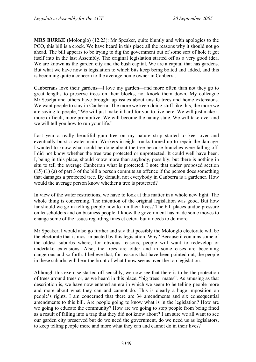**MRS BURKE** (Molonglo) (12.23): Mr Speaker, quite bluntly and with apologies to the PCO, this bill is a crock. We have heard in this place all the reasons why it should not go ahead. The bill appears to be trying to dig the government out of some sort of hole it got itself into in the last Assembly. The original legislation started off as a very good idea. We are known as the garden city and the bush capital. We are a capital that has gardens. But what we have now is legislation to which bits keep being bolted and added, and this is becoming quite a concern to the average home owner in Canberra.

Canberrans love their gardens—I love my garden—and more often than not they go to great lengths to preserve trees on their blocks, not knock them down. My colleague Mr Seselja and others have brought up issues about unsafe trees and home extensions. We want people to stay in Canberra. The more we keep doing stuff like this, the more we are saying to people, "We will just make it hard for you to live here. We will just make it more difficult, more prohibitive. We will become the nanny state. We will take over and we will tell you how to run your life."

Last year a really beautiful gum tree on my nature strip started to keel over and eventually burst a water main. Workers in eight trucks turned up to repair the damage. I wanted to know what could be done about the tree because branches were falling off. I did not know whether the tree was protected or unprotected. It could well have been. I, being in this place, should know more than anybody, possibly, but there is nothing in situ to tell the average Canberran what is protected. I note that under proposed section (15) (1) (a) of part 3 of the bill a person commits an offence if the person does something that damages a protected tree. By default, not everybody in Canberra is a gardener. How would the average person know whether a tree is protected?

In view of the water restrictions, we have to look at this matter in a whole new light. The whole thing is concerning. The intention of the original legislation was good. But how far should we go in telling people how to run their lives? The bill places undue pressure on leaseholders and on business people. I know the government has made some moves to change some of the issues regarding fines et cetera but it needs to do more.

Mr Speaker, I would also go further and say that possibly the Molonglo electorate will be the electorate that is most impacted by this legislation. Why? Because it contains some of the oldest suburbs where, for obvious reasons, people will want to redevelop or undertake extensions. Also, the trees are older and in some cases are becoming dangerous and so forth. I believe that, for reasons that have been pointed out, the people in these suburbs will bear the brunt of what I now see as over-the-top legislation.

Although this exercise started off sensibly, we now see that there is to be the protection of trees around trees or, as we heard in this place, "big trees' mates". As amusing as that description is, we have now entered an era in which we seem to be telling people more and more about what they can and cannot do. This is clearly a huge imposition on people's rights. I am concerned that there are 34 amendments and six consequential amendments to this bill. Are people going to know what is in the legislation? How are we going to educate the community? How are we going to stop people from being fined as a result of falling into a trap that they did not know about? I am sure we all want to see our garden city preserved but do we need the government, do we need us as legislators, to keep telling people more and more what they can and cannot do in their lives?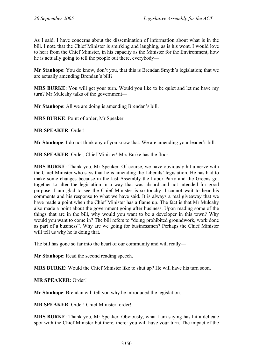As I said, I have concerns about the dissemination of information about what is in the bill. I note that the Chief Minister is smirking and laughing, as is his wont. I would love to hear from the Chief Minister, in his capacity as the Minister for the Environment, how he is actually going to tell the people out there, everybody—

**Mr Stanhope**: You do know, don't you, that this is Brendan Smyth's legislation; that we are actually amending Brendan's bill?

**MRS BURKE**: You will get your turn. Would you like to be quiet and let me have my turn? Mr Mulcahy talks of the government—

**Mr Stanhope**: All we are doing is amending Brendan's bill.

**MRS BURKE**: Point of order, Mr Speaker.

**MR SPEAKER**: Order!

**Mr Stanhope**: I do not think any of you know that. We are amending your leader's bill.

**MR SPEAKER**: Order, Chief Minister! Mrs Burke has the floor.

**MRS BURKE**: Thank you, Mr Speaker. Of course, we have obviously hit a nerve with the Chief Minister who says that he is amending the Liberals' legislation. He has had to make some changes because in the last Assembly the Labor Party and the Greens got together to alter the legislation in a way that was absurd and not intended for good purpose. I am glad to see the Chief Minister is so touchy. I cannot wait to hear his comments and his response to what we have said. It is always a real giveaway that we have made a point when the Chief Minister has a flame up. The fact is that Mr Mulcahy also made a point about the government going after business. Upon reading some of the things that are in the bill, why would you want to be a developer in this town? Why would you want to come in? The bill refers to "doing prohibited groundwork, work done as part of a business". Why are we going for businessmen? Perhaps the Chief Minister will tell us why he is doing that.

The bill has gone so far into the heart of our community and will really—

**Mr Stanhope**: Read the second reading speech.

**MRS BURKE**: Would the Chief Minister like to shut up? He will have his turn soon.

**MR SPEAKER**: Order!

**Mr Stanhope**: Brendan will tell you why he introduced the legislation.

**MR SPEAKER**: Order! Chief Minister, order!

**MRS BURKE**: Thank you, Mr Speaker. Obviously, what I am saying has hit a delicate spot with the Chief Minister but there, there: you will have your turn. The impact of the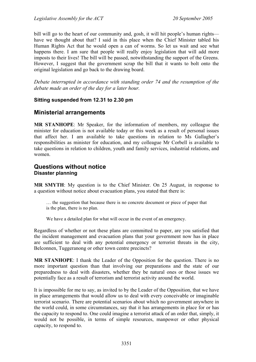bill will go to the heart of our community and, gosh, it will hit people's human rights have we thought about that? I said in this place when the Chief Minister tabled his Human Rights Act that he would open a can of worms. So let us wait and see what happens there. I am sure that people will really enjoy legislation that will add more imposts to their lives! The bill will be passed, notwithstanding the support of the Greens. However, I suggest that the government scrap the bill that it wants to bolt onto the original legislation and go back to the drawing board.

*Debate interrupted in accordance with standing order 74 and the resumption of the debate made an order of the day for a later hour.* 

## **Sitting suspended from 12.31 to 2.30 pm**

## <span id="page-32-0"></span>**Ministerial arrangements**

**MR STANHOPE**: Mr Speaker, for the information of members, my colleague the minister for education is not available today or this week as a result of personal issues that affect her. I am available to take questions in relation to Ms Gallagher's responsibilities as minister for education, and my colleague Mr Corbell is available to take questions in relation to children, youth and family services, industrial relations, and women.

## <span id="page-32-1"></span>**Questions without notice Disaster planning**

**MR SMYTH**: My question is to the Chief Minister. On 25 August, in response to a question without notice about evacuation plans, you stated that there is:

… the suggestion that because there is no concrete document or piece of paper that is the plan, there is no plan.

We have a detailed plan for what will occur in the event of an emergency.

Regardless of whether or not these plans are committed to paper, are you satisfied that the incident management and evacuation plans that your government now has in place are sufficient to deal with any potential emergency or terrorist threats in the city, Belconnen, Tuggeranong or other town centre precincts?

**MR STANHOPE**: I thank the Leader of the Opposition for the question. There is no more important question than that involving our preparations and the state of our preparedness to deal with disasters, whether they be natural ones or those issues we potentially face as a result of terrorism and terrorist activity around the world.

It is impossible for me to say, as invited to by the Leader of the Opposition, that we have in place arrangements that would allow us to deal with every conceivable or imaginable terrorist scenario. There are potential scenarios about which no government anywhere in the world could, in some circumstances, say that it has arrangements in place for or has the capacity to respond to. One could imagine a terrorist attack of an order that, simply, it would not be possible, in terms of simple resources, manpower or other physical capacity, to respond to.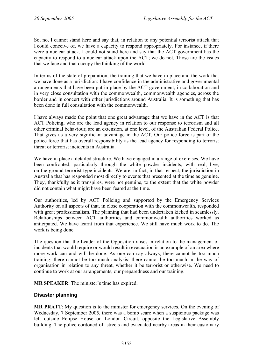So, no, I cannot stand here and say that, in relation to any potential terrorist attack that I could conceive of, we have a capacity to respond appropriately. For instance, if there were a nuclear attack, I could not stand here and say that the ACT government has the capacity to respond to a nuclear attack upon the ACT; we do not. Those are the issues that we face and that occupy the thinking of the world.

In terms of the state of preparation, the training that we have in place and the work that we have done as a jurisdiction: I have confidence in the administrative and governmental arrangements that have been put in place by the ACT government, in collaboration and in very close consultation with the commonwealth, commonwealth agencies, across the border and in concert with other jurisdictions around Australia. It is something that has been done in full consultation with the commonwealth.

I have always made the point that one great advantage that we have in the ACT is that ACT Policing, who are the lead agency in relation to our response to terrorism and all other criminal behaviour, are an extension, at one level, of the Australian Federal Police. That gives us a very significant advantage in the ACT. Our police force is part of the police force that has overall responsibility as the lead agency for responding to terrorist threat or terrorist incidents in Australia.

We have in place a detailed structure. We have engaged in a range of exercises. We have been confronted, particularly through the white powder incidents, with real, live, on-the-ground terrorist-type incidents. We are, in fact, in that respect, the jurisdiction in Australia that has responded most directly to events that presented at the time as genuine. They, thankfully as it transpires, were not genuine, to the extent that the white powder did not contain what might have been feared at the time.

Our authorities, led by ACT Policing and supported by the Emergency Services Authority on all aspects of that, in close cooperation with the commonwealth, responded with great professionalism. The planning that had been undertaken kicked in seamlessly. Relationships between ACT authorities and commonwealth authorities worked as anticipated. We have learnt from that experience. We still have much work to do. The work is being done.

The question that the Leader of the Opposition raises in relation to the management of incidents that would require or would result in evacuation is an example of an area where more work can and will be done. As one can say always, there cannot be too much training; there cannot be too much analysis; there cannot be too much in the way of organisation in relation to any threat, whether it be terrorist or otherwise. We need to continue to work at our arrangements, our preparedness and our training.

**MR SPEAKER**: The minister's time has expired.

### <span id="page-33-0"></span>**Disaster planning**

**MR PRATT**: My question is to the minister for emergency services. On the evening of Wednesday, 7 September 2005, there was a bomb scare when a suspicious package was left outside Eclipse House on London Circuit, opposite the Legislative Assembly building. The police cordoned off streets and evacuated nearby areas in their customary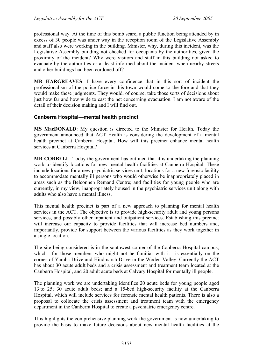professional way. At the time of this bomb scare, a public function being attended by in excess of 30 people was under way in the reception room of the Legislative Assembly and staff also were working in the building. Minister, why, during this incident, was the Legislative Assembly building not checked for occupants by the authorities, given the proximity of the incident? Why were visitors and staff in this building not asked to evacuate by the authorities or at least informed about the incident when nearby streets and other buildings had been cordoned off?

**MR HARGREAVES**: I have every confidence that in this sort of incident the professionalism of the police force in this town would come to the fore and that they would make these judgments. They would, of course, take those sorts of decisions about just how far and how wide to cast the net concerning evacuation. I am not aware of the detail of their decision making and I will find out.

### <span id="page-34-0"></span>**Canberra Hospital—mental health precinct**

**MS MacDONALD**: My question is directed to the Minister for Health. Today the government announced that ACT Health is considering the development of a mental health precinct at Canberra Hospital. How will this precinct enhance mental health services at Canberra Hospital?

**MR CORBELL**: Today the government has outlined that it is undertaking the planning work to identify locations for new mental health facilities at Canberra Hospital. These include locations for a new psychiatric services unit; locations for a new forensic facility to accommodate mentally ill persons who would otherwise be inappropriately placed in areas such as the Belconnen Remand Centre; and facilities for young people who are currently, in my view, inappropriately housed in the psychiatric services unit along with adults who also have a mental illness.

This mental health precinct is part of a new approach to planning for mental health services in the ACT. The objective is to provide high-security adult and young persons services, and possibly other inpatient and outpatient services. Establishing this precinct will increase our capacity to provide facilities that will increase bed numbers and, importantly, provide for support between the various facilities as they work together in a single location.

The site being considered is in the southwest corner of the Canberra Hospital campus, which—for those members who might not be familiar with it—is essentially on the corner of Yamba Drive and Hindmarsh Drive in the Woden Valley. Currently the ACT has about 30 acute adult beds and a crisis assessment and treatment team located at the Canberra Hospital, and 20 adult acute beds at Calvary Hospital for mentally ill people.

The planning work we are undertaking identifies 20 acute beds for young people aged 13 to 25; 30 acute adult beds; and a 15-bed high-security facility at the Canberra Hospital, which will include services for forensic mental health patients. There is also a proposal to collocate the crisis assessment and treatment team with the emergency department in the Canberra Hospital to create a psychiatric emergency centre.

This highlights the comprehensive planning work the government is now undertaking to provide the basis to make future decisions about new mental health facilities at the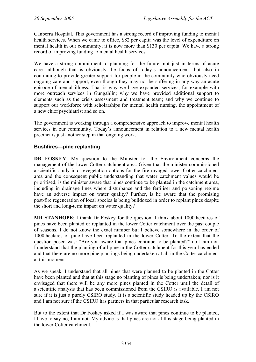Canberra Hospital. This government has a strong record of improving funding to mental health services. When we came to office, \$82 per capita was the level of expenditure on mental health in our community; it is now more than \$130 per capita. We have a strong record of improving funding to mental health services.

We have a strong commitment to planning for the future, not just in terms of acute care—although that is obviously the focus of today's announcement—but also in continuing to provide greater support for people in the community who obviously need ongoing care and support, even though they may not be suffering in any way an acute episode of mental illness. That is why we have expanded services, for example with more outreach services in Gungahlin; why we have provided additional support to elements such as the crisis assessment and treatment team; and why we continue to support our workforce with scholarships for mental health nursing, the appointment of a new chief psychiatrist and so on.

The government is working through a comprehensive approach to improve mental health services in our community. Today's announcement in relation to a new mental health precinct is just another step in that ongoing work.

### <span id="page-35-0"></span>**Bushfires—pine replanting**

**DR FOSKEY**: My question to the Minister for the Environment concerns the management of the lower Cotter catchment area. Given that the minister commissioned a scientific study into revegetation options for the fire ravaged lower Cotter catchment area and the consequent public understanding that water catchment values would be prioritised, is the minister aware that pines continue to be planted in the catchment area, including in drainage lines where disturbance and the fertiliser and poisoning regime have an adverse impact on water quality? Further, is he aware that the promising post-fire regeneration of local species is being bulldozed in order to replant pines despite the short and long-term impact on water quality?

**MR STANHOPE:** I thank Dr Foskey for the question. I think about 1000 hectares of pines have been planted or replanted in the lower Cotter catchment over the past couple of seasons. I do not know the exact number but I believe somewhere in the order of 1000 hectares of pine have been replanted in the lower Cotter. To the extent that the question posed was: "Are you aware that pines continue to be planted?" no I am not. I understand that the planting of all pine in the Cotter catchment for this year has ended and that there are no more pine plantings being undertaken at all in the Cotter catchment at this moment.

As we speak, I understand that all pines that were planned to be planted in the Cotter have been planted and that at this stage no planting of pines is being undertaken; nor is it envisaged that there will be any more pines planted in the Cotter until the detail of a scientific analysis that has been commissioned from the CSIRO is available. I am not sure if it is just a purely CSIRO study. It is a scientific study headed up by the CSIRO and I am not sure if the CSIRO has partners in that particular research task.

But to the extent that Dr Foskey asked if I was aware that pines continue to be planted, I have to say no, I am not. My advice is that pines are not at this stage being planted in the lower Cotter catchment.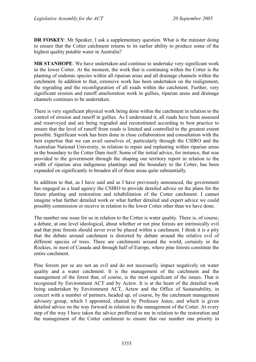**DR FOSKEY**: Mr Speaker, I ask a supplementary question. What is the minister doing to ensure that the Cotter catchment returns to its earlier ability to produce some of the highest quality potable water in Australia?

**MR STANHOPE**: We have undertaken and continue to undertake very significant work in the lower Cotter. At the moment, the work that is continuing within the Cotter is the planting of endemic species within all riparian areas and all drainage channels within the catchment. In addition to that, extensive work has been undertaken on the realignment, the regrading and the reconfiguration of all roads within the catchment. Further, very significant erosion and runoff amelioration work in gullies, riparian areas and drainage channels continues to be undertaken.

There is very significant physical work being done within the catchment in relation to the control of erosion and runoff in gullies. As I understand it, all roads have been assessed and resurveyed and are being regraded and reconstituted according to best practice to ensure that the level of runoff from roads is limited and controlled to the greatest extent possible. Significant work has been done in close collaboration and consultation with the best expertise that we can avail ourselves of, particularly through the CSIRO and the Australian National University, in relation to repair and replanting within riparian areas in the boundary to the Cotter Dam itself. Some of the initial advice, for instance, that was provided to the government through the shaping our territory report in relation to the width of riparian area indigenous plantings and the boundary to the Cotter, has been expanded on significantly to broaden all of those areas quite substantially.

In addition to that, as I have said and as I have previously announced, the government has engaged as a lead agency the CSIRO to provide detailed advice on the plans for the future planting and restoration and rehabilitation of the Cotter catchment. I cannot imagine what further detailed work or what further detailed and expert advice we could possibly commission or receive in relation to the lower Cotter other than we have done.

The number one issue for us in relation to the Cotter is water quality. There is, of course, a debate, at one level ideological, about whether or not pine forests are intrinsically evil and that pine forests should never ever be placed within a catchment. I think it is a pity that the debate around catchment is distorted by debate around the relative evil of different species of trees. There are catchments around the world, certainly in the Rockies, in most of Canada and through half of Europe, where pine forests constitute the entire catchment.

Pine forests per se are not an evil and do not necessarily impact negatively on water quality and a water catchment. It is the management of the catchment and the management of the forest that, of course, is the most significant of the issues. That is recognised by Environment ACT and by Actew. It is at the heart of the detailed work being undertaken by Environment ACT, Actew and the Office of Sustainability, in concert with a number of partners, headed up, of course, by the catchment management advisory group, which I appointed, chaired by Professor Jones, and which is given detailed advice on the way forward in relation to the management of the Cotter. At every step of the way I have taken the advice proffered to me in relation to the restoration and the management of the Cotter catchment to ensure that our number one priority in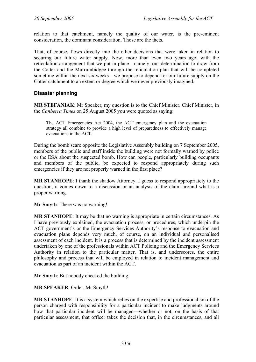relation to that catchment, namely the quality of our water, is the pre-eminent consideration, the dominant consideration. Those are the facts.

That, of course, flows directly into the other decisions that were taken in relation to securing our future water supply. Now, more than even two years ago, with the reticulation arrangement that we put in place—namely, our determination to draw from the Cotter and the Murrumbidgee through the reticulation plan that will be completed sometime within the next six weeks—we propose to depend for our future supply on the Cotter catchment to an extent or degree which we never previously imagined.

## **Disaster planning**

**MR STEFANIAK**: Mr Speaker, my question is to the Chief Minister. Chief Minister, in the *Canberra Times* on 25 August 2005 you were quoted as saying:

The ACT Emergencies Act 2004, the ACT emergency plan and the evacuation strategy all combine to provide a high level of preparedness to effectively manage evacuations in the ACT.

During the bomb scare opposite the Legislative Assembly building on 7 September 2005, members of the public and staff inside the building were not formally warned by police or the ESA about the suspected bomb. How can people, particularly building occupants and members of the public, be expected to respond appropriately during such emergencies if they are not properly warned in the first place?

**MR STANHOPE**: I thank the shadow Attorney. I guess to respond appropriately to the question, it comes down to a discussion or an analysis of the claim around what is a proper warning.

**Mr Smyth**: There was no warning!

**MR STANHOPE**: It may be that no warning is appropriate in certain circumstances. As I have previously explained, the evacuation process, or procedures, which underpin the ACT government's or the Emergency Services Authority's response to evacuation and evacuation plans depends very much, of course, on an individual and personalised assessment of each incident. It is a process that is determined by the incident assessment undertaken by one of the professionals within ACT Policing and the Emergency Services Authority in relation to the particular matter. That is, and underscores, the entire philosophy and process that will be employed in relation to incident management and evacuation as part of an incident within the ACT.

**Mr Smyth**: But nobody checked the building!

**MR SPEAKER**: Order, Mr Smyth!

**MR STANHOPE**: It is a system which relies on the expertise and professionalism of the person charged with responsibility for a particular incident to make judgments around how that particular incident will be managed—whether or not, on the basis of that particular assessment, that officer takes the decision that, in the circumstances, and all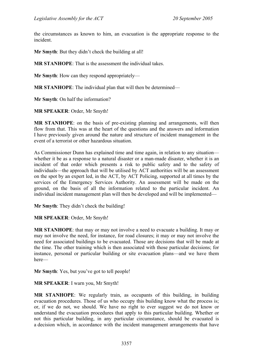the circumstances as known to him, an evacuation is the appropriate response to the incident.

**Mr Smyth**: But they didn't check the building at all!

**MR STANHOPE**: That is the assessment the individual takes.

**Mr Smyth**: How can they respond appropriately—

**MR STANHOPE**: The individual plan that will then be determined—

**Mr Smyth**: On half the information?

**MR SPEAKER**: Order, Mr Smyth!

**MR STANHOPE**: on the basis of pre-existing planning and arrangements, will then flow from that. This was at the heart of the questions and the answers and information I have previously given around the nature and structure of incident management in the event of a terrorist or other hazardous situation.

As Commissioner Dunn has explained time and time again, in relation to any situation whether it be as a response to a natural disaster or a man-made disaster, whether it is an incident of that order which presents a risk to public safety and to the safety of individuals—the approach that will be utilised by ACT authorities will be an assessment on the spot by an expert led, in the ACT, by ACT Policing, supported at all times by the services of the Emergency Services Authority. An assessment will be made on the ground, on the basis of all the information related to the particular incident. An individual incident management plan will then be developed and will be implemented—

**Mr Smyth**: They didn't check the building!

**MR SPEAKER**: Order, Mr Smyth!

**MR STANHOPE**: that may or may not involve a need to evacuate a building. It may or may not involve the need, for instance, for road closures; it may or may not involve the need for associated buildings to be evacuated. Those are decisions that will be made at the time. The other training which is then associated with those particular decisions; for instance, personal or particular building or site evacuation plans—and we have them here—

**Mr Smyth**: Yes, but you've got to tell people!

### **MR SPEAKER**: I warn you, Mr Smyth!

**MR STANHOPE**: We regularly train, as occupants of this building, in building evacuation procedures. Those of us who occupy this building know what the process is; or, if we do not, we should. We have no right to ever suggest we do not know or understand the evacuation procedures that apply to this particular building. Whether or not this particular building, in any particular circumstance, should be evacuated is a decision which, in accordance with the incident management arrangements that have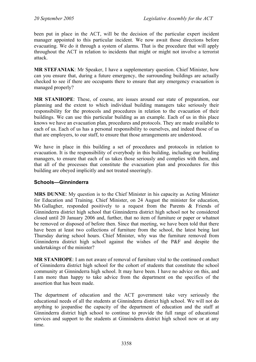been put in place in the ACT, will be the decision of the particular expert incident manager appointed to this particular incident. We now await those directions before evacuating. We do it through a system of alarms. That is the procedure that will apply throughout the ACT in relation to incidents that might or might not involve a terrorist attack.

**MR STEFANIAK**: Mr Speaker, I have a supplementary question. Chief Minister, how can you ensure that, during a future emergency, the surrounding buildings are actually checked to see if there are occupants there to ensure that any emergency evacuation is managed properly?

**MR STANHOPE**: These, of course, are issues around our state of preparation, our planning and the extent to which individual building managers take seriously their responsibility for the protocols and procedures in relation to the evacuation of their buildings. We can use this particular building as an example. Each of us in this place knows we have an evacuation plan, procedures and protocols. They are made available to each of us. Each of us has a personal responsibility to ourselves, and indeed those of us that are employers, to our staff, to ensure that those arrangements are understood.

We have in place in this building a set of procedures and protocols in relation to evacuation. It is the responsibility of everybody in this building, including our building managers, to ensure that each of us takes those seriously and complies with them, and that all of the processes that constitute the evacuation plan and procedures for this building are obeyed implicitly and not treated sneeringly.

### **Schools—Ginninderra**

**MRS DUNNE**: My question is to the Chief Minister in his capacity as Acting Minister for Education and Training. Chief Minister, on 24 August the minister for education, Ms Gallagher, responded positively to a request from the Parents  $\&$  Friends of Ginninderra district high school that Ginninderra district high school not be considered closed until 20 January 2006 and, further, that no item of furniture or paper or whatnot be removed or disposed of before then. Since that meeting, we have been told that there have been at least two collections of furniture from the school, the latest being last Thursday during school hours. Chief Minister, why was the furniture removed from Ginninderra district high school against the wishes of the P&F and despite the undertakings of the minister?

**MR STANHOPE**: I am not aware of removal of furniture vital to the continued conduct of Ginninderra district high school for the cohort of students that constitute the school community at Ginninderra high school. It may have been. I have no advice on this, and I am more than happy to take advice from the department on the specifics of the assertion that has been made.

The department of education and the ACT government take very seriously the educational needs of all the students at Ginninderra district high school. We will not do anything to jeopardise the capacity of the department of education and the staff at Ginninderra district high school to continue to provide the full range of educational services and support to the students at Ginninderra district high school now or at any time.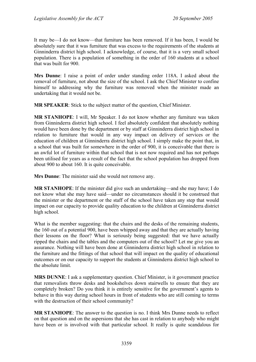It may be—I do not know—that furniture has been removed. If it has been, I would be absolutely sure that it was furniture that was excess to the requirements of the students at Ginninderra district high school. I acknowledge, of course, that it is a very small school population. There is a population of something in the order of 160 students at a school that was built for 900.

**Mrs Dunne**: I raise a point of order under standing order 118A. I asked about the removal of furniture, not about the size of the school. I ask the Chief Minister to confine himself to addressing why the furniture was removed when the minister made an undertaking that it would not be.

**MR SPEAKER**: Stick to the subject matter of the question, Chief Minister.

**MR STANHOPE**: I will, Mr Speaker. I do not know whether any furniture was taken from Ginninderra district high school. I feel absolutely confident that absolutely nothing would have been done by the department or by staff at Ginninderra district high school in relation to furniture that would in any way impact on delivery of services or the education of children at Ginninderra district high school. I simply make the point that, in a school that was built for somewhere in the order of 900, it is conceivable that there is an awful lot of furniture within that school that is not now required and has not perhaps been utilised for years as a result of the fact that the school population has dropped from about 900 to about 160. It is quite conceivable.

**Mrs Dunne**: The minister said she would not remove any.

**MR STANHOPE**: If the minister did give such an undertaking—and she may have; I do not know what she may have said—under no circumstances should it be construed that the minister or the department or the staff of the school have taken any step that would impact on our capacity to provide quality education to the children at Ginninderra district high school.

What is the member suggesting: that the chairs and the desks of the remaining students, the 160 out of a potential 900, have been whipped away and that they are actually having their lessons on the floor? What is seriously being suggested: that we have actually ripped the chairs and the tables and the computers out of the school? Let me give you an assurance. Nothing will have been done at Ginninderra district high school in relation to the furniture and the fittings of that school that will impact on the quality of educational outcomes or on our capacity to support the students at Ginninderra district high school to the absolute limit.

**MRS DUNNE**: I ask a supplementary question. Chief Minister, is it government practice that removalists throw desks and bookshelves down stairwells to ensure that they are completely broken? Do you think it is entirely sensitive for the government's agents to behave in this way during school hours in front of students who are still coming to terms with the destruction of their school community?

**MR STANHOPE**: The answer to the question is no. I think Mrs Dunne needs to reflect on that question and on the aspersions that she has cast in relation to anybody who might have been or is involved with that particular school. It really is quite scandalous for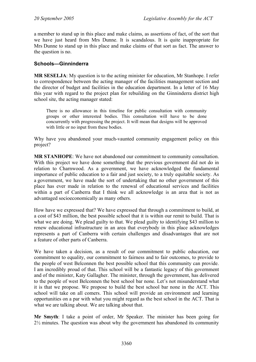a member to stand up in this place and make claims, as assertions of fact, of the sort that we have just heard from Mrs Dunne. It is scandalous. It is quite inappropriate for Mrs Dunne to stand up in this place and make claims of that sort as fact. The answer to the question is no.

### **Schools—Ginninderra**

**MR SESELJA**: My question is to the acting minister for education, Mr Stanhope. I refer to correspondence between the acting manager of the facilities management section and the director of budget and facilities in the education department. In a letter of 16 May this year with regard to the project plan for rebuilding on the Ginninderra district high school site, the acting manager stated:

There is no allowance in this timeline for public consultation with community groups or other interested bodies. This consultation will have to be done concurrently with progressing the project. It will mean that designs will be approved with little or no input from these bodies.

Why have you abandoned your much-vaunted community engagement policy on this project?

**MR STANHOPE**: We have not abandoned our commitment to community consultation. With this project we have done something that the previous government did not do in relation to Charnwood. As a government, we have acknowledged the fundamental importance of public education to a fair and just society, to a truly equitable society. As a government, we have made the sort of undertaking that no other government of this place has ever made in relation to the renewal of educational services and facilities within a part of Canberra that I think we all acknowledge is an area that is not as advantaged socioeconomically as many others.

How have we expressed that? We have expressed that through a commitment to build, at a cost of \$43 million, the best possible school that it is within our remit to build. That is what we are doing. We plead guilty to that. We plead guilty to identifying \$43 million to renew educational infrastructure in an area that everybody in this place acknowledges represents a part of Canberra with certain challenges and disadvantages that are not a feature of other parts of Canberra.

We have taken a decision, as a result of our commitment to public education, our commitment to equality, our commitment to fairness and to fair outcomes, to provide to the people of west Belconnen the best possible school that this community can provide. I am incredibly proud of that. This school will be a fantastic legacy of this government and of the minister, Katy Gallagher. The minister, through the government, has delivered to the people of west Belconnen the best school bar none. Let's not misunderstand what it is that we propose. We propose to build the best school bar none in the ACT. This school will take on all comers. This school will provide an environment and learning opportunities on a par with what you might regard as the best school in the ACT. That is what we are talking about. We are talking about that.

**Mr Smyth**: I take a point of order, Mr Speaker. The minister has been going for  $2\frac{1}{2}$  minutes. The question was about why the government has abandoned its community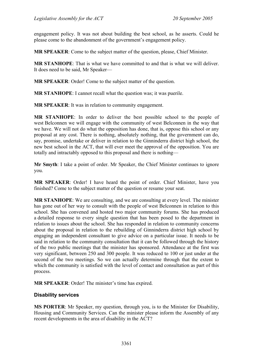engagement policy. It was not about building the best school, as he asserts. Could he please come to the abandonment of the government's engagement policy.

**MR SPEAKER**: Come to the subject matter of the question, please, Chief Minister.

**MR STANHOPE**: That is what we have committed to and that is what we will deliver. It does need to be said, Mr Speaker—

**MR SPEAKER**: Order! Come to the subject matter of the question.

**MR STANHOPE**: I cannot recall what the question was; it was puerile.

**MR SPEAKER**: It was in relation to community engagement.

**MR STANHOPE**: In order to deliver the best possible school to the people of west Belconnen we will engage with the community of west Belconnen in the way that we have. We will not do what the opposition has done, that is, oppose this school or any proposal at any cost. There is nothing, absolutely nothing, that the government can do, say, promise, undertake or deliver in relation to the Ginninderra district high school, the new best school in the ACT, that will ever meet the approval of the opposition. You are totally and intractably opposed to this proposal and there is nothing—

**Mr Smyth**: I take a point of order. Mr Speaker, the Chief Minister continues to ignore you.

**MR SPEAKER**: Order! I have heard the point of order. Chief Minister, have you finished? Come to the subject matter of the question or resume your seat.

**MR STANHOPE**: We are consulting, and we are consulting at every level. The minister has gone out of her way to consult with the people of west Belconnen in relation to this school. She has convened and hosted two major community forums. She has produced a detailed response to every single question that has been posed to the department in relation to issues about the school. She has responded in relation to community concerns about the proposal in relation to the rebuilding of Ginninderra district high school by engaging an independent consultant to give advice on a particular issue. It needs to be said in relation to the community consultation that it can be followed through the history of the two public meetings that the minister has sponsored. Attendance at the first was very significant, between 250 and 300 people. It was reduced to 100 or just under at the second of the two meetings. So we can actually determine through that the extent to which the community is satisfied with the level of contact and consultation as part of this process.

**MR SPEAKER**: Order! The minister's time has expired.

### **Disability services**

**MS PORTER**: Mr Speaker, my question, through you, is to the Minister for Disability, Housing and Community Services. Can the minister please inform the Assembly of any recent developments in the area of disability in the ACT?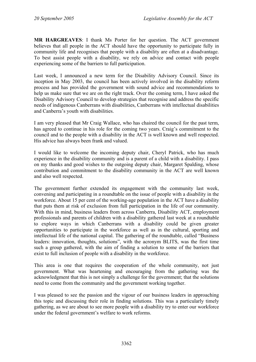**MR HARGREAVES**: I thank Ms Porter for her question. The ACT government believes that all people in the ACT should have the opportunity to participate fully in community life and recognises that people with a disability are often at a disadvantage. To best assist people with a disability, we rely on advice and contact with people experiencing some of the barriers to full participation.

Last week, I announced a new term for the Disability Advisory Council. Since its inception in May 2003, the council has been actively involved in the disability reform process and has provided the government with sound advice and recommendations to help us make sure that we are on the right track. Over the coming term, I have asked the Disability Advisory Council to develop strategies that recognise and address the specific needs of indigenous Canberrans with disabilities, Canberrans with intellectual disabilities and Canberra's youth with disabilities.

I am very pleased that Mr Craig Wallace, who has chaired the council for the past term, has agreed to continue in his role for the coming two years. Craig's commitment to the council and to the people with a disability in the ACT is well known and well respected. His advice has always been frank and valued.

I would like to welcome the incoming deputy chair, Cheryl Patrick, who has much experience in the disability community and is a parent of a child with a disability. I pass on my thanks and good wishes to the outgoing deputy chair, Margaret Spalding, whose contribution and commitment to the disability community in the ACT are well known and also well respected.

The government further extended its engagement with the community last week, convening and participating in a roundtable on the issue of people with a disability in the workforce. About 15 per cent of the working-age population in the ACT have a disability that puts them at risk of exclusion from full participation in the life of our community. With this in mind, business leaders from across Canberra, Disability ACT, employment professionals and parents of children with a disability gathered last week at a roundtable to explore ways in which Canberrans with a disability could be given greater opportunities to participate in the workforce as well as in the cultural, sporting and intellectual life of the national capital. The gathering of the roundtable, called "Business leaders: innovation, thoughts, solutions", with the acronym BLITS, was the first time such a group gathered, with the aim of finding a solution to some of the barriers that exist to full inclusion of people with a disability in the workforce.

This area is one that requires the cooperation of the whole community, not just government. What was heartening and encouraging from the gathering was the acknowledgment that this is not simply a challenge for the government; that the solutions need to come from the community and the government working together.

I was pleased to see the passion and the vigour of our business leaders in approaching this topic and discussing their role in finding solutions. This was a particularly timely gathering, as we are about to see more people with a disability try to enter our workforce under the federal government's welfare to work reforms.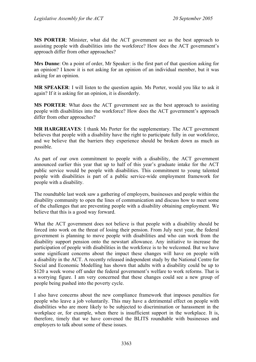**MS PORTER**: Minister, what did the ACT government see as the best approach to assisting people with disabilities into the workforce? How does the ACT government's approach differ from other approaches?

**Mrs Dunne**: On a point of order, Mr Speaker: is the first part of that question asking for an opinion? I know it is not asking for an opinion of an individual member, but it was asking for an opinion.

**MR SPEAKER**: I will listen to the question again. Ms Porter, would you like to ask it again? If it is asking for an opinion, it is disorderly.

**MS PORTER**: What does the ACT government see as the best approach to assisting people with disabilities into the workforce? How does the ACT government's approach differ from other approaches?

**MR HARGREAVES**: I thank Ms Porter for the supplementary. The ACT government believes that people with a disability have the right to participate fully in our workforce, and we believe that the barriers they experience should be broken down as much as possible.

As part of our own commitment to people with a disability, the ACT government announced earlier this year that up to half of this year's graduate intake for the ACT public service would be people with disabilities. This commitment to young talented people with disabilities is part of a public service-wide employment framework for people with a disability.

The roundtable last week saw a gathering of employers, businesses and people within the disability community to open the lines of communication and discuss how to meet some of the challenges that are preventing people with a disability obtaining employment. We believe that this is a good way forward.

What the ACT government does not believe is that people with a disability should be forced into work on the threat of losing their pension. From July next year, the federal government is planning to move people with disabilities and who can work from the disability support pension onto the newstart allowance. Any initiative to increase the participation of people with disabilities in the workforce is to be welcomed. But we have some significant concerns about the impact these changes will have on people with a disability in the ACT. A recently released independent study by the National Centre for Social and Economic Modelling has shown that adults with a disability could be up to \$120 a week worse off under the federal government's welfare to work reforms. That is a worrying figure. I am very concerned that these changes could see a new group of people being pushed into the poverty cycle.

I also have concerns about the new compliance framework that imposes penalties for people who leave a job voluntarily. This may have a detrimental effect on people with disabilities who are more likely to be subjected to discrimination or harassment in the workplace or, for example, when there is insufficient support in the workplace. It is, therefore, timely that we have convened the BLITS roundtable with businesses and employers to talk about some of these issues.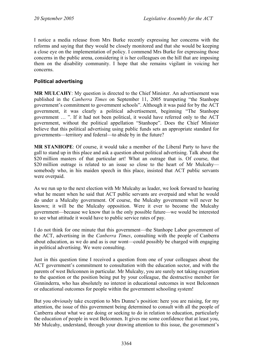I notice a media release from Mrs Burke recently expressing her concerns with the reforms and saying that they would be closely monitored and that she would be keeping a close eye on the implementation of policy. I commend Mrs Burke for expressing those concerns in the public arena, considering it is her colleagues on the hill that are imposing them on the disability community. I hope that she remains vigilant in voicing her concerns.

## **Political advertising**

**MR MULCAHY**: My question is directed to the Chief Minister. An advertisement was published in the *Canberra Times* on September 11, 2005 trumpeting "the Stanhope government's commitment to government schools". Although it was paid for by the ACT government, it was clearly a political advertisement, beginning "The Stanhope government … ". If it had not been political, it would have referred only to the ACT government, without the political appellation "Stanhope". Does the Chief Minister believe that this political advertising using public funds sets an appropriate standard for governments—territory and federal—to abide by in the future?

**MR STANHOPE**: Of course, it would take a member of the Liberal Party to have the gall to stand up in this place and ask a question about political advertising. Talk about the \$20 million masters of that particular art! What an outrage that is. Of course, that \$20 million outrage is related to an issue so close to the heart of Mr Mulcahysomebody who, in his maiden speech in this place, insisted that ACT public servants were overpaid.

As we run up to the next election with Mr Mulcahy as leader, we look forward to hearing what he meant when he said that ACT public servants are overpaid and what he would do under a Mulcahy government. Of course, the Mulcahy government will never be known; it will be the Mulcahy opposition. Were it ever to become the Mulcahy government—because we know that is the only possible future—we would be interested to see what attitude it would have to public service rates of pay.

I do not think for one minute that this government—the Stanhope Labor government of the ACT, advertising in the *Canberra Times*, consulting with the people of Canberra about education, as we do and as is our wont—could possibly be charged with engaging in political advertising. We were consulting.

Just in this question time I received a question from one of your colleagues about the ACT government's commitment to consultation with the education sector, and with the parents of west Belconnen in particular. Mr Mulcahy, you are surely not taking exception to the question or the position being put by your colleague, the destructive member for Ginninderra, who has absolutely no interest in educational outcomes in west Belconnen or educational outcomes for people within the government schooling system!

But you obviously take exception to Mrs Dunne's position: here you are raising, for my attention, the issue of this government being determined to consult with all the people of Canberra about what we are doing or seeking to do in relation to education, particularly the education of people in west Belconnen. It gives me some confidence that at least you, Mr Mulcahy, understand, through your drawing attention to this issue, the government's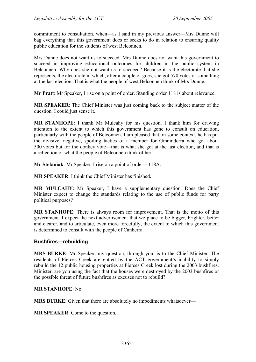commitment to consultation, when—as I said in my previous answer—Mrs Dunne will bag everything that this government does or seeks to do in relation to ensuring quality public education for the students of west Belconnen.

Mrs Dunne does not want us to succeed. Mrs Dunne does not want this government to succeed in improving educational outcomes for children in the public system in Belconnen. Why does she not want us to succeed? Because it is the electorate that she represents, the electorate in which, after a couple of goes, she got 570 votes or something at the last election. That is what the people of west Belconnen think of Mrs Dunne.

**Mr Pratt**: Mr Speaker, I rise on a point of order. Standing order 118 is about relevance.

**MR SPEAKER**: The Chief Minister was just coming back to the subject matter of the question. I could just sense it.

**MR STANHOPE**: I thank Mr Mulcahy for his question. I thank him for drawing attention to the extent to which this government has gone to consult on education, particularly with the people of Belconnen. I am pleased that, in some context, he has put the divisive, negative, spoiling tactics of a member for Ginninderra who got about 500 votes but for the donkey vote—that is what she got at the last election, and that is a reflection of what the people of Belconnen think of her—

**Mr Stefaniak**: Mr Speaker, I rise on a point of order—118A.

**MR SPEAKER**: I think the Chief Minister has finished.

**MR MULCAHY**: Mr Speaker, I have a supplementary question. Does the Chief Minister expect to change the standards relating to the use of public funds for party political purposes?

**MR STANHOPE**: There is always room for improvement. That is the motto of this government. I expect the next advertisement that we place to be bigger, brighter, better and clearer, and to articulate, even more forcefully, the extent to which this government is determined to consult with the people of Canberra.

### **Bushfires—rebuilding**

**MRS BURKE**: Mr Speaker, my question, through you, is to the Chief Minister. The residents of Pierces Creek are gutted by the ACT government's inability to simply rebuild the 12 public housing properties at Pierces Creek lost during the 2003 bushfires. Minister, are you using the fact that the houses were destroyed by the 2003 bushfires or the possible threat of future bushfires as excuses not to rebuild?

### **MR STANHOPE**: No.

**MRS BURKE**: Given that there are absolutely no impediments whatsoever—

**MR SPEAKER**: Come to the question.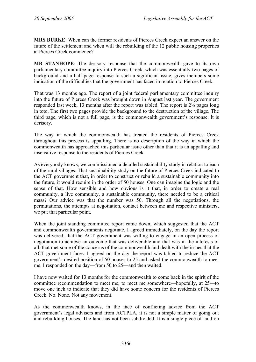**MRS BURKE**: When can the former residents of Pierces Creek expect an answer on the future of the settlement and when will the rebuilding of the 12 public housing properties at Pierces Creek commence?

**MR STANHOPE**: The derisory response that the commonwealth gave to its own parliamentary committee inquiry into Pierces Creek, which was essentially two pages of background and a half-page response to such a significant issue, gives members some indication of the difficulties that the government has faced in relation to Pierces Creek.

That was 13 months ago. The report of a joint federal parliamentary committee inquiry into the future of Pierces Creek was brought down in August last year. The government responded last week, 13 months after the report was tabled. The report is 2½ pages long in toto. The first two pages provide the background to the destruction of the village. The third page, which is not a full page, is the commonwealth government's response. It is derisory.

The way in which the commonwealth has treated the residents of Pierces Creek throughout this process is appalling. There is no description of the way in which the commonwealth has approached this particular issue other than that it is an appalling and insensitive response to the residents of Pierces Creek.

As everybody knows, we commissioned a detailed sustainability study in relation to each of the rural villages. That sustainability study on the future of Pierces Creek indicated to the ACT government that, in order to construct or rebuild a sustainable community into the future, it would require in the order of 50 houses. One can imagine the logic and the sense of that. How sensible and how obvious is it that, in order to create a real community, a live community, a sustainable community, there needed to be a critical mass? Our advice was that the number was 50. Through all the negotiations, the permutations, the attempts at negotiation, contact between me and respective ministers, we put that particular point.

When the joint standing committee report came down, which suggested that the ACT and commonwealth governments negotiate, I agreed immediately, on the day the report was delivered, that the ACT government was willing to engage in an open process of negotiation to achieve an outcome that was deliverable and that was in the interests of all, that met some of the concerns of the commonwealth and dealt with the issues that the ACT government faces. I agreed on the day the report was tabled to reduce the ACT government's desired position of 50 houses to 25 and asked the commonwealth to meet me. I responded on the day—from 50 to 25—and then waited.

I have now waited for 13 months for the commonwealth to come back in the spirit of the committee recommendation to meet me, to meet me somewhere—hopefully, at 25—to move one inch to indicate that they did have some concern for the residents of Pierces Creek. No. None. Not any movement.

As the commonwealth knows, in the face of conflicting advice from the ACT government's legal advisers and from ACTPLA, it is not a simple matter of going out and rebuilding houses. The land has not been subdivided. It is a single piece of land on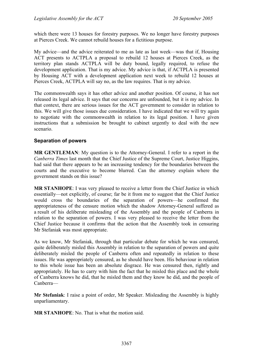which there were 13 houses for forestry purposes. We no longer have forestry purposes at Pierces Creek. We cannot rebuild houses for a fictitious purpose.

My advice—and the advice reiterated to me as late as last week—was that if, Housing ACT presents to ACTPLA a proposal to rebuild 12 houses at Pierces Creek, as the territory plan stands ACTPLA will be duty bound, legally required, to refuse the development application. That is my advice. My advice is that, if ACTPLA is presented by Housing ACT with a development application next week to rebuild 12 houses at Pierces Creek, ACTPLA will say no, as the law requires. That is my advice.

The commonwealth says it has other advice and another position. Of course, it has not released its legal advice. It says that our concerns are unfounded, but it is my advice. In that context, there are serious issues for the ACT government to consider in relation to this. We will give those issues due consideration. I have indicated that we will try again to negotiate with the commonwealth in relation to its legal position. I have given instructions that a submission be brought to cabinet urgently to deal with the new scenario.

### **Separation of powers**

**MR GENTLEMAN**: My question is to the Attorney-General. I refer to a report in the *Canberra Times* last month that the Chief Justice of the Supreme Court, Justice Higgins, had said that there appears to be an increasing tendency for the boundaries between the courts and the executive to become blurred. Can the attorney explain where the government stands on this issue?

**MR STANHOPE**: I was very pleased to receive a letter from the Chief Justice in which essentially—not explicitly, of course; far be it from me to suggest that the Chief Justice would cross the boundaries of the separation of powers—he confirmed the appropriateness of the censure motion which the shadow Attorney-General suffered as a result of his deliberate misleading of the Assembly and the people of Canberra in relation to the separation of powers. I was very pleased to receive the letter from the Chief Justice because it confirms that the action that the Assembly took in censuring Mr Stefaniak was most appropriate.

As we know, Mr Stefaniak, through that particular debate for which he was censured, quite deliberately misled this Assembly in relation to the separation of powers and quite deliberately misled the people of Canberra often and repeatedly in relation to these issues. He was appropriately censured, as he should have been. His behaviour in relation to this whole issue has been an absolute disgrace. He was censured then, rightly and appropriately. He has to carry with him the fact that he misled this place and the whole of Canberra knows he did, that he misled them and they know he did, and the people of Canberra—

**Mr Stefaniak**: I raise a point of order, Mr Speaker. Misleading the Assembly is highly unparliamentary.

**MR STANHOPE**: No. That is what the motion said.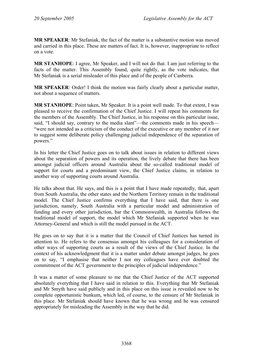**MR SPEAKER**: Mr Stefaniak, the fact of the matter is a substantive motion was moved and carried in this place. These are matters of fact. It is, however, inappropriate to reflect on a vote.

**MR STANHOPE**: I agree, Mr Speaker, and I will not do that. I am just referring to the facts of the matter. This Assembly found, quite rightly, as the vote indicates, that Mr Stefaniak is a serial misleader of this place and of the people of Canberra.

**MR SPEAKER**: Order! I think the motion was fairly clearly about a particular matter, not about a sequence of matters.

**MR STANHOPE**: Point taken, Mr Speaker. It is a point well made. To that extent, I was pleased to receive the confirmation of the Chief Justice. I will repeat his comments for the members of the Assembly. The Chief Justice, in his response on this particular issue, said, "I should say, contrary to the media slant"—the comments made in his speech— "were not intended as a criticism of the conduct of the executive or any member of it nor to suggest some deliberate policy challenging judicial independence of the separation of powers."

In his letter the Chief Justice goes on to talk about issues in relation to different views about the separation of powers and its operation, the lively debate that there has been amongst judicial officers around Australia about the so-called traditional model of support for courts and a predominant view, the Chief Justice claims, in relation to another way of supporting courts around Australia.

He talks about that. He says, and this is a point that I have made repeatedly, that, apart from South Australia, the other states and the Northern Territory remain in the traditional model. The Chief Justice confirms everything that I have said, that there is one jurisdiction, namely, South Australia with a particular model and administration of funding and every other jurisdiction, bar the Commonwealth, in Australia follows the traditional model of support, the model which Mr Stefaniak supported when he was Attorney-General and which is still the model pursued in the ACT.

He goes on to say that it is a matter that the Council of Chief Justices has turned its attention to. He refers to the consensus amongst his colleagues for a consideration of other ways of supporting courts as a result of the views of the Chief Justice. In the context of his acknowledgment that it is a matter under debate amongst judges, he goes on to say, "I emphasise that neither I nor my colleagues have ever doubted the commitment of the ACT government to the principles of judicial independence."

It was a matter of some pleasure to me that the Chief Justice of the ACT supported absolutely everything that I have said in relation to this. Everything that Mr Stefaniak and Mr Smyth have said publicly and in this place on this issue is revealed now to be complete opportunistic bunkum, which led, of course, to the censure of Mr Stefaniak in this place. Mr Stefaniak should have known that he was wrong and he was censured appropriately for misleading the Assembly in the way that he did.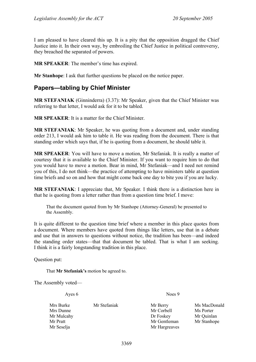I am pleased to have cleared this up. It is a pity that the opposition dragged the Chief Justice into it. In their own way, by embroiling the Chief Justice in political controversy, they breached the separated of powers.

**MR SPEAKER**: The member's time has expired.

**Mr Stanhope**: I ask that further questions be placed on the notice paper.

# **Papers—tabling by Chief Minister**

**MR STEFANIAK** (Ginninderra) (3.37): Mr Speaker, given that the Chief Minister was referring to that letter, I would ask for it to be tabled.

**MR SPEAKER**: It is a matter for the Chief Minister.

**MR STEFANIAK**: Mr Speaker, he was quoting from a document and, under standing order 213, I would ask him to table it. He was reading from the document. There is that standing order which says that, if he is quoting from a document, he should table it.

**MR SPEAKER**: You will have to move a motion, Mr Stefaniak. It is really a matter of courtesy that it is available to the Chief Minister. If you want to require him to do that you would have to move a motion. Bear in mind, Mr Stefaniak—and I need not remind you of this, I do not think—the practice of attempting to have ministers table at question time briefs and so on and how that might come back one day to bite you if you are lucky.

**MR STEFANIAK**: I appreciate that, Mr Speaker. I think there is a distinction here in that he is quoting from a letter rather than from a question time brief. I move:

That the document quoted from by Mr Stanhope (Attorney-General) be presented to the Assembly.

It is quite different to the question time brief where a member in this place quotes from a document. Where members have quoted from things like letters, use that in a debate and use that in answers to questions without notice, the tradition has been—and indeed the standing order states—that that document be tabled. That is what I am seeking. I think it is a fairly longstanding tradition in this place.

Question put:

That **Mr Stefaniak's** motion be agreed to.

The Assembly voted—

| Ayes 6                                                                         | Noes 9                                                               |                                                        |
|--------------------------------------------------------------------------------|----------------------------------------------------------------------|--------------------------------------------------------|
| Mrs Burke<br>Mr Stefaniak<br>Mrs Dunne<br>Mr Mulcahy<br>Mr Pratt<br>Mr Seselja | Mr Berry<br>Mr Corbell<br>Dr Foskey<br>Mr Gentleman<br>Mr Hargreaves | Ms MacDonald<br>Ms Porter<br>Mr Quinlan<br>Mr Stanhope |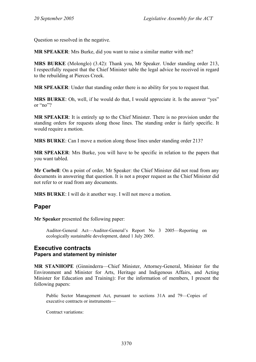Question so resolved in the negative.

**MR SPEAKER**: Mrs Burke, did you want to raise a similar matter with me?

**MRS BURKE** (Molonglo) (3.42): Thank you, Mr Speaker. Under standing order 213, I respectfully request that the Chief Minister table the legal advice he received in regard to the rebuilding at Pierces Creek.

**MR SPEAKER**: Under that standing order there is no ability for you to request that.

**MRS BURKE:** Oh, well, if he would do that, I would appreciate it. Is the answer "yes" or "no"?

**MR SPEAKER**: It is entirely up to the Chief Minister. There is no provision under the standing orders for requests along those lines. The standing order is fairly specific. It would require a motion.

**MRS BURKE**: Can I move a motion along those lines under standing order 213?

**MR SPEAKER**: Mrs Burke, you will have to be specific in relation to the papers that you want tabled.

**Mr Corbell**: On a point of order, Mr Speaker: the Chief Minister did not read from any documents in answering that question. It is not a proper request as the Chief Minister did not refer to or read from any documents.

**MRS BURKE**: I will do it another way. I will not move a motion.

# **Paper**

**Mr Speaker** presented the following paper:

Auditor-General Act—Auditor-General's Report No 3 2005—Reporting on ecologically sustainable development, dated 1 July 2005.

## **Executive contracts Papers and statement by minister**

**MR STANHOPE** (Ginninderra—Chief Minister, Attorney-General, Minister for the Environment and Minister for Arts, Heritage and Indigenous Affairs, and Acting Minister for Education and Training): For the information of members, I present the following papers:

Public Sector Management Act, pursuant to sections 31A and 79—Copies of executive contracts or instruments—

Contract variations: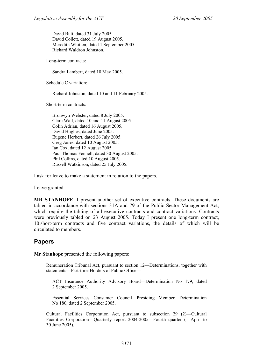David Butt, dated 31 July 2005. David Collett, dated 19 August 2005. Meredith Whitten, dated 1 September 2005. Richard Waldron Johnston.

Long-term contracts:

Sandra Lambert, dated 10 May 2005.

Schedule C variation:

Richard Johnston, dated 10 and 11 February 2005.

Short-term contracts:

Bronwyn Webster, dated 8 July 2005. Clare Wall, dated 10 and 11 August 2005. Colin Adrian, dated 16 August 2005. David Hughes, dated June 2005. Eugene Herbert, dated 26 July 2005. Greg Jones, dated 10 August 2005. Ian Cox, dated 12 August 2005. Paul Thomas Fennell, dated 30 August 2005. Phil Collins, dated 10 August 2005. Russell Watkinson, dated 25 July 2005.

I ask for leave to make a statement in relation to the papers.

Leave granted.

**MR STANHOPE**: I present another set of executive contracts. These documents are tabled in accordance with sections 31A and 79 of the Public Sector Management Act, which require the tabling of all executive contracts and contract variations. Contracts were previously tabled on 23 August 2005. Today I present one long-term contract, 10 short-term contracts and five contract variations, the details of which will be circulated to members.

# **Papers**

**Mr Stanhope** presented the following papers:

Remuneration Tribunal Act, pursuant to section 12—Determinations, together with statements—Part-time Holders of Public Office—

ACT Insurance Authority Advisory Board—Determination No 179, dated 2 September 2005.

Essential Services Consumer Council—Presiding Member—Determination No 180, dated 2 September 2005.

Cultural Facilities Corporation Act, pursuant to subsection 29 (2)—Cultural Facilities Corporation—Quarterly report 2004-2005—Fourth quarter (1 April to 30 June 2005).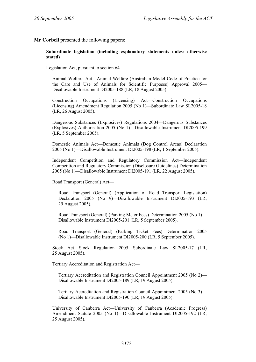#### **Mr Corbell** presented the following papers:

#### **Subordinate legislation (including explanatory statements unless otherwise stated)**

Legislation Act, pursuant to section 64—

Animal Welfare Act—Animal Welfare (Australian Model Code of Practice for the Care and Use of Animals for Scientific Purposes) Approval 2005— Disallowable Instrument DI2005-188 (LR, 18 August 2005).

Construction Occupations (Licensing) Act—Construction Occupations (Licensing) Amendment Regulation 2005 (No 1)—Subordinate Law SL2005-18 (LR, 26 August 2005).

Dangerous Substances (Explosives) Regulations 2004—Dangerous Substances (Explosives) Authorisation 2005 (No 1)—Disallowable Instrument DI2005-199 (LR, 5 September 2005).

Domestic Animals Act—Domestic Animals (Dog Control Areas) Declaration 2005 (No 1)—Disallowable Instrument DI2005-198 (LR, 1 September 2005).

Independent Competition and Regulatory Commission Act—Independent Competition and Regulatory Commission (Disclosure Guidelines) Determination 2005 (No 1)—Disallowable Instrument DI2005-191 (LR, 22 August 2005).

Road Transport (General) Act—

Road Transport (General) (Application of Road Transport Legislation) Declaration 2005 (No 9)—Disallowable Instrument DI2005-193 (LR, 29 August 2005).

Road Transport (General) (Parking Meter Fees) Determination 2005 (No 1)— Disallowable Instrument DI2005-201 (LR, 5 September 2005).

Road Transport (General) (Parking Ticket Fees) Determination 2005 (No 1)—Disallowable Instrument DI2005-200 (LR, 5 September 2005).

Stock Act—Stock Regulation 2005—Subordinate Law SL2005-17 (LR, 25 August 2005).

Tertiary Accreditation and Registration Act—

Tertiary Accreditation and Registration Council Appointment 2005 (No 2)— Disallowable Instrument DI2005-189 (LR, 19 August 2005).

Tertiary Accreditation and Registration Council Appointment 2005 (No 3)— Disallowable Instrument DI2005-190 (LR, 19 August 2005).

University of Canberra Act—University of Canberra (Academic Progress) Amendment Statute 2005 (No 1)—Disallowable Instrument DI2005-192 (LR, 25 August 2005).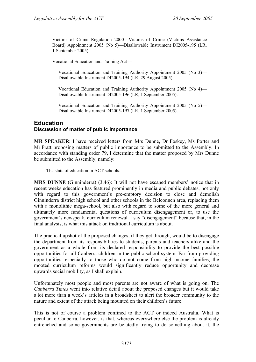Victims of Crime Regulation 2000—Victims of Crime (Victims Assistance Board) Appointment 2005 (No 5)—Disallowable Instrument DI2005-195 (LR, 1 September 2005).

Vocational Education and Training Act—

Vocational Education and Training Authority Appointment 2005 (No 3)— Disallowable Instrument DI2005-194 (LR, 29 August 2005).

Vocational Education and Training Authority Appointment 2005 (No 4)— Disallowable Instrument DI2005-196 (LR, 1 September 2005).

Vocational Education and Training Authority Appointment 2005 (No 5)— Disallowable Instrument DI2005-197 (LR, 1 September 2005).

## **Education Discussion of matter of public importance**

**MR SPEAKER**: I have received letters from Mrs Dunne, Dr Foskey, Ms Porter and Mr Pratt proposing matters of public importance to be submitted to the Assembly. In accordance with standing order 79, I determine that the matter proposed by Mrs Dunne be submitted to the Assembly, namely:

The state of education in ACT schools.

**MRS DUNNE** (Ginninderra) (3.46): It will not have escaped members' notice that in recent weeks education has featured prominently in media and public debates, not only with regard to this government's pre-emptory decision to close and demolish Ginninderra district high school and other schools in the Belconnen area, replacing them with a monolithic mega-school, but also with regard to some of the more general and ultimately more fundamental questions of curriculum disengagement or, to use the government's newspeak, curriculum renewal. I say "disengagement" because that, in the final analysis, is what this attack on traditional curriculum is about.

The practical upshot of the proposed changes, if they get through, would be to disengage the department from its responsibilities to students, parents and teachers alike and the government as a whole from its declared responsibility to provide the best possible opportunities for all Canberra children in the public school system. Far from providing opportunities, especially to those who do not come from high-income families, the mooted curriculum reforms would significantly reduce opportunity and decrease upwards social mobility, as I shall explain.

Unfortunately most people and most parents are not aware of what is going on. The *Canberra Times* went into relative detail about the proposed changes but it would take a lot more than a week's articles in a broadsheet to alert the broader community to the nature and extent of the attack being mounted on their children's future.

This is not of course a problem confined to the ACT or indeed Australia. What is peculiar to Canberra, however, is that, whereas everywhere else the problem is already entrenched and some governments are belatedly trying to do something about it, the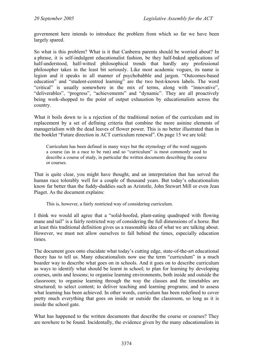government here intends to introduce the problem from which so far we have been largely spared.

So what is this problem? What is it that Canberra parents should be worried about? In a phrase, it is self-indulgent educationalist fashion, be they half-baked applications of half-understood, half-witted philosophical trends that hardly any professional philosopher takes in the least bit seriously. Like most academic vogues, its name is legion and it speaks in all manner of psychobabble and jargon. "Outcomes-based education" and "student-centred learning" are the two best-known labels. The word "critical" is usually somewhere in the mix of terms, along with "innovative", "deliverables", "progress", "achievements" and "dynamic". They are all proactively being work-shopped to the point of output exhaustion by educationalists across the country.

What it boils down to is a rejection of the traditional notion of the curriculum and its replacement by a set of defining criteria that combine the more asinine elements of managerialism with the dead leaves of flower power. This is no better illustrated than in the booklet "Future direction in ACT curriculum renewal". On page 15 we are told:

Curriculum has been defined in many ways but the etymology of the word suggests a course (as in a race to be run) and so "curriculum" is most commonly used to describe a course of study, in particular the written documents describing the course or courses.

That is quite clear, you might have thought, and an interpretation that has served the human race tolerably well for a couple of thousand years. But today's educationalists know far better than the fuddy-duddies such as Aristotle, John Stewart Mill or even Jean Piaget. As the document explains:

This is, however, a fairly restricted way of considering curriculum.

I think we would all agree that a "solid-hoofed, plant-eating quadruped with flowing mane and tail" is a fairly restricted way of considering the full dimensions of a horse. But at least this traditional definition gives us a reasonable idea of what we are talking about. However, we must not allow ourselves to fall behind the times, especially education times.

The document goes onto elucidate what today's cutting edge, state-of-the-art educational theory has to tell us. Many educationalists now use the term "curriculum" in a much boarder way to describe what goes on in schools. And it goes on to describe curriculum as ways to identify what should be learnt in school; to plan for learning by developing courses, units and lessons; to organise learning environments, both inside and outside the classroom; to organise learning through the way the classes and the timetables are structured; to select content; to deliver teaching and learning programs; and to assess what learning has been achieved. In other words, curriculum has been redefined to cover pretty much everything that goes on inside or outside the classroom, so long as it is inside the school gate.

What has happened to the written documents that describe the course or courses? They are nowhere to be found. Incidentally, the evidence given by the many educationalists in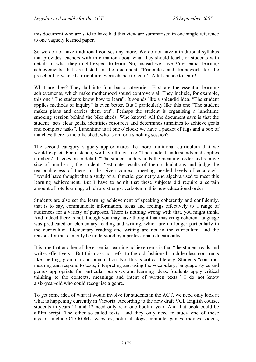this document who are said to have had this view are summarised in one single reference to one vaguely learned paper.

So we do not have traditional courses any more. We do not have a traditional syllabus that provides teachers with information about what they should teach, or students with details of what they might expect to learn. No, instead we have 36 essential learning achievements that are listed in the document "Principles and framework for the preschool to year 10 curriculum: every chance to learn". A fat chance to learn!

What are they? They fall into four basic categories. First are the essential learning achievements, which make motherhood sound controversial. They include, for example, this one "The students know how to learn". It sounds like a splendid idea. "The student applies methods of inquiry" is even better. But I particularly like this one "The student makes plans and carries them out". Perhaps the student is organising a lunchtime smoking session behind the bike sheds. Who knows! All the document says is that the student "sets clear goals, identifies resources and determines timelines to achieve goals and complete tasks". Lunchtime is at one o'clock; we have a packet of fags and a box of matches; there is the bike shed; who is on for a smoking session?

The second category vaguely approximates the more traditional curriculum that we would expect. For instance, we have things like "The student understands and applies numbers". It goes on in detail. "The student understands the meaning, order and relative size of numbers"; the students "estimate results of their calculations and judge the reasonableness of these in the given context, meeting needed levels of accuracy". I would have thought that a study of arithmetic, geometry and algebra used to meet this learning achievement. But I have to admit that these subjects did require a certain amount of rote learning, which are strengst verboten in this new educational order.

Students are also set the learning achievement of speaking coherently and confidently, that is to say, communicate information, ideas and feelings effectively to a range of audiences for a variety of purposes. There is nothing wrong with that, you might think. And indeed there is not, though you may have thought that mastering coherent language was predicated on elementary reading and writing, which are no longer particularly in the curriculum. Elementary reading and writing are not in the curriculum, and the reasons for that can only be understood by a professional educationalist.

It is true that another of the essential learning achievements is that "the student reads and writes effectively". But this does not refer to the old-fashioned, middle-class constructs like spelling, grammar and punctuation. No, this is critical literacy. Students "construct meaning and respond to texts, interpreting and using the vocabulary, language styles and genres appropriate for particular purposes and learning ideas. Students apply critical thinking to the contexts, meanings and intent of written texts." I do not know a six-year-old who could recognise a genre.

To get some idea of what it would involve for students in the ACT, we need only look at what is happening currently in Victoria. According to the new draft VCE English course, students in years 11 and 12 need only read one book a year. And that book could be a film script. The other so-called texts—and they only need to study one of those a year—include CD ROMs, websites, political blogs, computer games, movies, videos,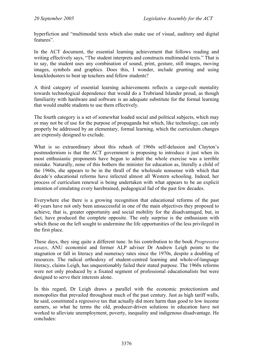hyperfiction and "multimodal texts which also make use of visual, auditory and digital features".

In the ACT document, the essential learning achievement that follows reading and writing effectively says, "The student interprets and constructs multimodal texts." That is to say, the student uses any combination of sound, print, gesture, still images, moving images, symbols and graphics. Does this, I wonder, include grunting and using knuckledusters to beat up teachers and fellow students?

A third category of essential learning achievements reflects a cargo-cult mentality towards technological dependence that would do a Trobriand Islander proud, as though familiarity with hardware and software is an adequate substitute for the formal learning that would enable students to use them effectively.

The fourth category is a set of somewhat loaded social and political subjects, which may or may not be of use for the purpose of propaganda but which, like technology, can only properly be addressed by an elementary, formal learning, which the curriculum changes are expressly designed to exclude.

What is so extraordinary about this rehash of 1960s self-delusion and Clayton's postmodernism is that the ACT government is proposing to introduce it just when its most enthusiastic proponents have begun to admit the whole exercise was a terrible mistake. Naturally, none of this bothers the minister for education as, literally a child of the 1960s, she appears to be in the thrall of the wholesale nonsense with which that decade's educational reforms have infected almost all Western schooling. Indeed, her process of curriculum renewal is being undertaken with what appears to be an explicit intention of emulating every harebrained, pedagogical fad of the past few decades.

Everywhere else there is a growing recognition that educational reforms of the past 40 years have not only been unsuccessful in one of the main objectives they proposed to achieve, that is, greater opportunity and social mobility for the disadvantaged, but, in fact, have produced the complete opposite. The only surprise is the enthusiasm with which those on the left sought to undermine the life opportunities of the less privileged in the first place.

These days, they sing quite a different tune. In his contribution to the book *Progressive essays*, ANU economist and former ALP adviser Dr Andrew Leigh points to the stagnation or fall in literacy and numeracy rates since the 1970s, despite a doubling of resources. The radical orthodoxy of student-centred learning and whole-of-language literacy, claims Leigh, has unquestionably failed their stated purpose. The 1960s reforms were not only produced by a fixated segment of professional educationalists but were designed to serve their interests alone.

In this regard, Dr Leigh draws a parallel with the economic protectionism and monopolies that prevailed throughout much of the past century. Just as high tariff walls, he said, constituted a regressive tax that actually did more harm than good to low income earners, so what he terms the old, producer-driven solutions in education have not worked to alleviate unemployment, poverty, inequality and indigenous disadvantage. He concludes: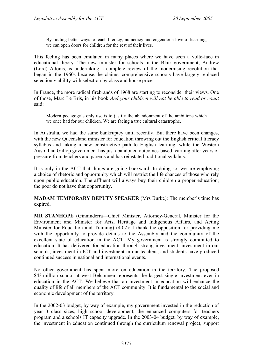By finding better ways to teach literacy, numeracy and engender a love of learning, we can open doors for children for the rest of their lives.

This feeling has been emulated in many places where we have seen a volte-face in educational theory. The new minister for schools in the Blair government, Andrew (Lord) Adonis, is undertaking a complete review of the modernising revolution that began in the 1960s because, he claims, comprehensive schools have largely replaced selection viability with selection by class and house price.

In France, the more radical firebrands of 1968 are starting to reconsider their views. One of those, Marc Le Bris, in his book *And your children will not be able to read or count* said:

Modern pedagogy's only use is to justify the abandonment of the ambitions which we once had for our children. We are facing a true cultural catastrophe.

In Australia, we had the same bankruptcy until recently. But there have been changes, with the new Queensland minister for education throwing out the English critical literacy syllabus and taking a new constructive path to English learning, while the Western Australian Gallop government has just abandoned outcomes-based learning after years of pressure from teachers and parents and has reinstated traditional syllabus.

It is only in the ACT that things are going backward. In doing so, we are employing a choice of rhetoric and opportunity which will restrict the life chances of those who rely upon public education. The affluent will always buy their children a proper education; the poor do not have that opportunity.

**MADAM TEMPORARY DEPUTY SPEAKER** (Mrs Burke): The member's time has expired.

**MR STANHOPE** (Ginninderra—Chief Minister, Attorney-General, Minister for the Environment and Minister for Arts, Heritage and Indigenous Affairs, and Acting Minister for Education and Training) (4.02): I thank the opposition for providing me with the opportunity to provide details to the Assembly and the community of the excellent state of education in the ACT. My government is strongly committed to education. It has delivered for education through strong investment, investment in our schools, investment in ICT and investment in our teachers, and students have produced continued success in national and international events.

No other government has spent more on education in the territory. The proposed \$43 million school at west Belconnen represents the largest single investment ever in education in the ACT. We believe that an investment in education will enhance the quality of life of all members of the ACT community. It is fundamental to the social and economic development of the territory.

In the 2002-03 budget, by way of example, my government invested in the reduction of year 3 class sizes, high school development, the enhanced computers for teachers program and a schools IT capacity upgrade. In the 2003-04 budget, by way of example, the investment in education continued through the curriculum renewal project, support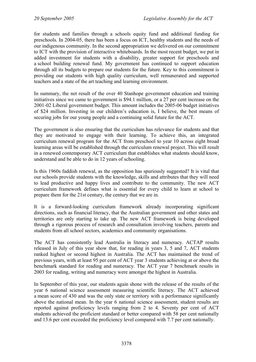for students and families through a schools equity fund and additional funding for preschools. In 2004-05, there has been a focus on ICT, healthy students and the needs of our indigenous community. In the second appropriation we delivered on our commitment to ICT with the provision of interactive whiteboards. In the most recent budget, we put in added investment for students with a disability, greater support for preschools and a school building renewal fund. My government has continued to support education through all its budgets to prepare our students for the future. Key to this commitment is providing our students with high quality curriculum, well remunerated and supported teachers and a state of the art teaching and learning environment.

In summary, the net result of the over 40 Stanhope government education and training initiatives since we came to government is \$94.1 million, or a 27 per cent increase on the 2001-02 Liberal government budget. This amount includes the 2005-06 budget initiatives of \$24 million. Investing in our children's education is, I believe, the best means of securing jobs for our young people and a continuing solid future for the ACT.

The government is also ensuring that the curriculum has relevance for students and that they are motivated to engage with their learning. To achieve this, an integrated curriculum renewal program for the ACT from preschool to year 10 across eight broad learning areas will be established through the curriculum renewal project. This will result in a renewed contemporary ACT curriculum that establishes what students should know, understand and be able to do in 12 years of schooling.

Is this 1960s faddish renewal, as the opposition has spuriously suggested? It is vital that our schools provide students with the knowledge, skills and attributes that they will need to lead productive and happy lives and contribute to the community. The new ACT curriculum framework defines what is essential for every child to learn at school to prepare them for the 21st century, the century that we are in.

It is a forward-looking curriculum framework already incorporating significant directions, such as financial literacy, that the Australian government and other states and territories are only starting to take up. The new ACT framework is being developed through a rigorous process of research and consultation involving teachers, parents and students from all school sectors, academics and community organisations.

The ACT has consistently lead Australia in literacy and numeracy. ACTAP results released in July of this year show that, for reading in years 3, 5 and 7, ACT students ranked highest or second highest in Australia. The ACT has maintained the trend of previous years, with at least 95 per cent of ACT year 3 students achieving at or above the benchmark standard for reading and numeracy. The ACT year 7 benchmark results in 2003 for reading, writing and numeracy were amongst the highest in Australia.

In September of this year, our students again shone with the release of the results of the year 6 national science assessment measuring scientific literacy. The ACT achieved a mean score of 430 and was the only state or territory with a performance significantly above the national mean. In the year 6 national science assessment, student results are reported against proficiency levels ranging from 2 to 4. Seventy per cent of ACT students achieved the proficient standard or better compared with 58 per cent nationally and 13.6 per cent exceeded the proficiency level compared with 7.7 per cent nationally.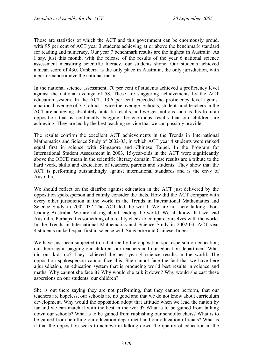Those are statistics of which the ACT and this government can be enormously proud, with 95 per cent of ACT year 3 students achieving at or above the benchmark standard for reading and numeracy. Our year 7 benchmark results are the highest in Australia. As I say, just this month, with the release of the results of the year 6 national science assessment measuring scientific literacy, our students shone. Our students achieved a mean score of 430. Canberra is the only place in Australia, the only jurisdiction, with a performance above the national mean.

In the national science assessment, 70 per cent of students achieved a proficiency level against the national average of 58. These are staggering achievements by the ACT education system. In the ACT, 13.6 per cent exceeded the proficiency level against a national average of 7.7, almost twice the average. Schools, students and teachers in the ACT are achieving absolutely fantastic results, and we get motions such as this from an opposition that is continually bagging the enormous results that our children are achieving. They are led by the best teaching service that we can possibly provide.

The results confirm the excellent ACT achievements in the Trends in International Mathematics and Science Study of 2002-03, in which ACT year 4 students were ranked equal first in science with Singapore and Chinese Taipei. In the Program for International Student Assessment in 2003, 15-year-olds in the ACT were significantly above the OECD mean in the scientific literacy domain. These results are a tribute to the hard work, skills and dedication of teachers, parents and students. They show that the ACT is performing outstandingly against international standards and is the envy of Australia.

We should reflect on the diatribe against education in the ACT just delivered by the opposition spokesperson and calmly consider the facts. How did the ACT compare with every other jurisdiction in the world in the Trends in International Mathematics and Science Study in 2002-03? The ACT led the world. We are not here talking about leading Australia. We are talking about leading the world. We all know that we lead Australia. Perhaps it is something of a reality check to compare ourselves with the world. In the Trends in International Mathematics and Science Study in 2002-03, ACT year 4 students ranked equal first in science with Singapore and Chinese Taipei.

We have just been subjected to a diatribe by the opposition spokesperson on education, out there again bagging our children, our teachers and our education department. What did our kids do? They achieved the best year 4 science results in the world. The opposition spokesperson cannot face this. She cannot face the fact that we have here a jurisdiction, an education system that is producing world best results in science and maths. Why cannot she face it? Why would she talk it down? Why would she cast these aspersions on our students, our children?

She is out there saying they are not performing, that they cannot perform, that our teachers are hopeless, our schools are no good and that we do not know about curriculum development. Why would the opposition adopt that attitude when we lead the nation by far and we can match it with the best in the world? What is to be gained from talking down our schools? What is to be gained from rubbishing our schoolteachers? What is to be gained from belittling our education department and our education officials? What is it that the opposition seeks to achieve in talking down the quality of education in the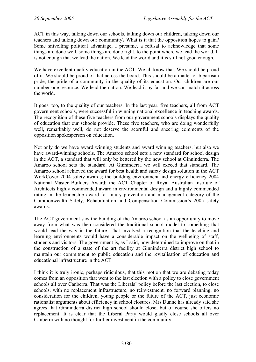ACT in this way, talking down our schools, talking down our children, talking down our teachers and talking down our community? What is it that the opposition hopes to gain? Some snivelling political advantage, I presume, a refusal to acknowledge that some things are done well, some things are done right, to the point where we lead the world. It is not enough that we lead the nation. We lead the world and it is still not good enough.

We have excellent quality education in the ACT. We all know that. We should be proud of it. We should be proud of that across the board. This should be a matter of bipartisan pride, the pride of a community in the quality of its education. Our children are our number one resource. We lead the nation. We lead it by far and we can match it across the world.

It goes, too, to the quality of our teachers. In the last year, five teachers, all from ACT government schools, were successful in winning national excellence in teaching awards. The recognition of these five teachers from our government schools displays the quality of education that our schools provide. These five teachers, who are doing wonderfully well, remarkably well, do not deserve the scornful and sneering comments of the opposition spokesperson on education.

Not only do we have award winning students and award winning teachers, but also we have award-winning schools. The Amaroo school sets a new standard for school design in the ACT, a standard that will only be bettered by the new school at Ginninderra. The Amaroo school sets the standard. At Ginninderra we will exceed that standard. The Amaroo school achieved the award for best health and safety design solution in the ACT WorkCover 2004 safety awards; the building environment and energy efficiency 2004 National Master Builders Award; the ACT Chapter of Royal Australian Institute of Architects highly commended award in environmental design and a highly commended rating in the leadership award for injury prevention and management category of the Commonwealth Safety, Rehabilitation and Compensation Commission's 2005 safety awards.

The ACT government saw the building of the Amaroo school as an opportunity to move away from what was then considered the traditional school model to something that would lead the way in the future. That involved a recognition that the teaching and learning environments would have a considerable impact on the wellbeing of staff, students and visitors. The government is, as I said, now determined to improve on that in the construction of a state of the art facility at Ginninderra district high school to maintain our commitment to public education and the revitalisation of education and educational infrastructure in the ACT.

I think it is truly ironic, perhaps ridiculous, that this motion that we are debating today comes from an opposition that went to the last election with a policy to close government schools all over Canberra. That was the Liberals' policy before the last election, to close schools, with no replacement infrastructure, no reinvestment, no forward planning, no consideration for the children, young people or the future of the ACT, just economic rationalist arguments about efficiency in school closures. Mrs Dunne has already said she agrees that Ginninderra district high school should close, but of course she offers no replacement. It is clear that the Liberal Party would gladly close schools all over Canberra with no thought for further investment in the community.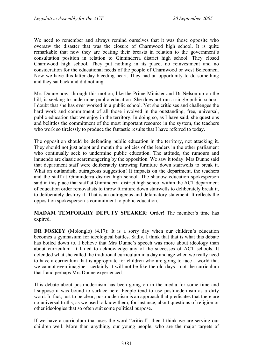We need to remember and always remind ourselves that it was those opposite who oversaw the disaster that was the closure of Charnwood high school. It is quite remarkable that now they are beating their breasts in relation to the government's consultation position in relation to Ginninderra district high school. They closed Charnwood high school. They put nothing in its place, no reinvestment and no consideration for the educational needs of the people of Charnwood or west Belconnen. Now we have this latter day bleeding heart. They had an opportunity to do something and they sat back and did nothing.

Mrs Dunne now, through this motion, like the Prime Minister and Dr Nelson up on the hill, is seeking to undermine public education. She does not run a single public school. I doubt that she has ever worked in a public school. Yet she criticises and challenges the hard work and commitment of all those involved in the outstanding, free, universal, public education that we enjoy in the territory. In doing so, as I have said, she questions and belittles the commitment of the most important resource in the system, the teachers who work so tirelessly to produce the fantastic results that I have referred to today.

The opposition should be defending public education in the territory, not attacking it. They should not just adopt and mouth the policies of the leaders in the other parliament who continually seek to undermine public education. The attitude, the rumours and innuendo are classic scaremongering by the opposition. We saw it today. Mrs Dunne said that department staff were deliberately throwing furniture down stairwells to break it. What an outlandish, outrageous suggestion! It impacts on the department, the teachers and the staff at Ginninderra district high school. The shadow education spokesperson said in this place that staff at Ginninderra district high school within the ACT department of education order removalists to throw furniture down stairwells to deliberately break it, to deliberately destroy it. That is an outrageous and defamatory statement. It reflects the opposition spokesperson's commitment to public education.

**MADAM TEMPORARY DEPUTY SPEAKER**: Order! The member's time has expired.

**DR FOSKEY** (Molonglo) (4.17): It is a sorry day when our children's education becomes a gymnasium for ideological battles. Sadly, I think that that is what this debate has boiled down to. I believe that Mrs Dunne's speech was more about ideology than about curriculum. It failed to acknowledge any of the successes of ACT schools. It defended what she called the traditional curriculum in a day and age when we really need to have a curriculum that is appropriate for children who are going to face a world that we cannot even imagine—certainly it will not be like the old days—not the curriculum that I and perhaps Mrs Dunne experienced.

This debate about postmodernism has been going on in the media for some time and I suppose it was bound to surface here. People tend to use postmodernism as a dirty word. In fact, just to be clear, postmodernism is an approach that predicates that there are no universal truths, as we used to know them, for instance, about questions of religion or other ideologies that so often suit some political purpose.

If we have a curriculum that uses the word "critical", then I think we are serving our children well. More than anything, our young people, who are the major targets of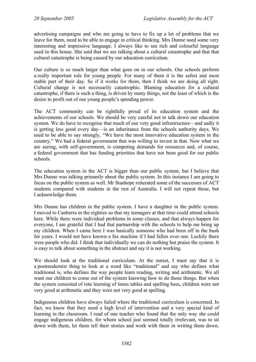advertising campaigns and who are going to have to fix up a lot of problems that we leave for them, need to be able to engage in critical thinking. Mrs Dunne used some very interesting and impressive language. I always like to see rich and colourful language used in this house. She said that we are talking about a cultural catastrophe and that that cultural catastrophe is being caused by our education curriculum.

Our culture is so much larger than what goes on in our schools. Our schools perform a really important role for young people. For many of them it is the safest and most stable part of their day. So if it works for them, then I think we are doing all right. Cultural change is not necessarily catastrophic. Blaming education for a cultural catastrophe, if there is such a thing, is driven by many things, not the least of which is the desire to profit out of our young people's spending power.

The ACT community can be rightfully proud of its education system and the achievements of our schools. We should be very careful not to talk down our education system. We do have to recognise that much of our very good infrastructure—and sadly it is getting less good every day—is an inheritance from the schools authority days. We used to be able to say strongly, "We have the most innovative education system in the country." We had a federal government that was willing to invest in that. Now what we are seeing, with self-government, is competing demands for resources and, of course, a federal government that has funding priorities that have not been good for our public schools.

The education system in the ACT is bigger than our public system, but I believe that Mrs Dunne was talking primarily about the public system. In this instance I am going to focus on the public system as well. Mr Stanhope reiterated some of the successes of ACT students compared with students in the rest of Australia. I will not repeat those, but I acknowledge them.

Mrs Dunne has children in the public system. I have a daughter in the public system. I moved to Canberra in the eighties so that my teenagers at that time could attend schools here. While there were individual problems in some classes, and that always happen for everyone, I am grateful that I had that partnership with the schools to help me bring up my children. When I came here I was basically someone who had been off in the bush for years. I would not have known a fax machine if I had fallen over one. Luckily there were people who did. I think that individually we can do nothing but praise the system. It is easy to talk about something in the abstract and say it is not working.

We should look at the traditional curriculum. At the outset, I must say that it is a postmodernist thing to look at a word like "traditional" and say who defines what traditional is, who defines the way people learn reading, writing and arithmetic. We all want our children to come out of the system knowing how to do those things. But when the system consisted of rote learning of times tables and spelling bees, children were not very good at arithmetic and they were not very good at spelling.

Indigenous children have always failed where the traditional curriculum is concerned. In fact, we know that they need a high level of intervention and a very special kind of learning in the classroom. I read of one teacher who found that the only way she could engage indigenous children, for whom school just seemed totally irrelevant, was to sit down with them, let them tell their stories and work with them in writing them down.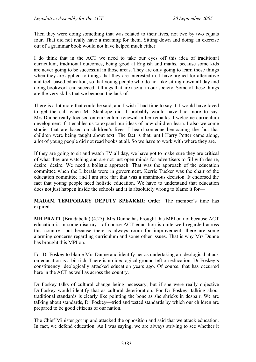Then they were doing something that was related to their lives, not two by two equals four. That did not really have a meaning for them. Sitting down and doing an exercise out of a grammar book would not have helped much either.

I do think that in the ACT we need to take our eyes off this idea of traditional curriculum, traditional outcomes, being good at English and maths, because some kids are never going to be successful in those areas. They are only going to learn those things when they are applied to things that they are interested in. I have argued for alternative and tech-based education, so that young people who do not like sitting down all day and doing bookwork can succeed at things that are useful in our society. Some of these things are the very skills that we bemoan the lack of.

There is a lot more that could be said, and I wish I had time to say it. I would have loved to get the call when Mr Stanhope did. I probably would have had more to say. Mrs Dunne really focused on curriculum renewal in her remarks. I welcome curriculum development if it enables us to expand our ideas of how children learn. I also welcome studies that are based on children's lives. I heard someone bemoaning the fact that children were being taught about text. The fact is that, until Harry Potter came along, a lot of young people did not read books at all. So we have to work with where they are.

If they are going to sit and watch TV all day, we have got to make sure they are critical of what they are watching and are not just open minds for advertisers to fill with desire, desire, desire. We need a holistic approach. That was the approach of the education committee when the Liberals were in government. Kerrie Tucker was the chair of the education committee and I am sure that that was a unanimous decision. It endorsed the fact that young people need holistic education. We have to understand that education does not just happen inside the schools and it is absolutely wrong to blame it for—

**MADAM TEMPORARY DEPUTY SPEAKER**: Order! The member's time has expired.

**MR PRATT** (Brindabella) (4.27): Mrs Dunne has brought this MPI on not because ACT education is in some disarray—of course ACT education is quite well regarded across this country—but because there is always room for improvement; there are some alarming concerns regarding curriculum and some other issues. That is why Mrs Dunne has brought this MPI on.

For Dr Foskey to blame Mrs Dunne and identify her as undertaking an ideological attack on education is a bit rich. There is no ideological ground left on education. Dr Foskey's constituency ideologically attacked education years ago. Of course, that has occurred here in the ACT as well as across the country.

Dr Foskey talks of cultural change being necessary, but if she were really objective Dr Foskey would identify that as cultural deterioration. For Dr Foskey, talking about traditional standards is clearly like pointing the bone as she shrieks in despair. We are talking about standards, Dr Foskey—tried and tested standards by which our children are prepared to be good citizens of our nation.

The Chief Minister got up and attacked the opposition and said that we attack education. In fact, we defend education. As I was saying, we are always striving to see whether it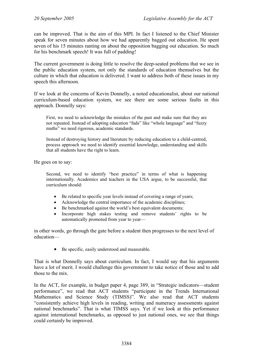can be improved. That is the aim of this MPI. In fact I listened to the Chief Minister speak for seven minutes about how we had apparently bagged out education. He spent seven of his 15 minutes ranting on about the opposition bagging out education. So much for his benchmark speech! It was full of padding!

The current government is doing little to resolve the deep-seated problems that we see in the public education system, not only the standards of education themselves but the culture in which that education is delivered. I want to address both of these issues in my speech this afternoon.

If we look at the concerns of Kevin Donnelly, a noted educationalist, about our national curriculum-based education system, we see there are some serious faults in this approach. Donnelly says:

First, we need to acknowledge the mistakes of the past and make sure that they are not repeated. Instead of adopting education "fads" like "whole language" and "fuzzy maths" we need rigorous, academic standards.

Instead of destroying history and literature by reducing education to a child-centred, process approach we need to identify essential knowledge, understanding and skills that all students have the right to learn.

He goes on to say:

Second, we need to identify "best practice" in terms of what is happening internationally. Academics and teachers in the USA argue, to be successful, that curriculum should:

- Be related to specific year levels instead of covering a range of years;
- Acknowledge the central importance of the academic disciplines:
- Be benchmarked against the world's best equivalent documents;
- Incorporate high stakes testing and remove students' rights to be automatically promoted from year to year—

in other words, go through the gate before a student then progresses to the next level of education—

• Be specific, easily understood and measurable.

That is what Donnelly says about curriculum. In fact, I would say that his arguments have a lot of merit. I would challenge this government to take notice of those and to add those to the mix.

In the ACT, for example, in budget paper 4, page 389, in "Strategic indicators—student performance", we read that ACT students "participate in the Trends International Mathematics and Science Study (TIMSS)". We also read that ACT students "consistently achieve high levels in reading, writing and numeracy assessments against national benchmarks". That is what TIMSS says. Yet if we look at this performance against international benchmarks, as opposed to just national ones, we see that things could certainly be improved.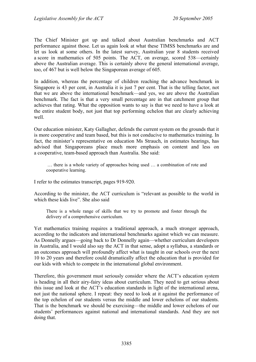The Chief Minister got up and talked about Australian benchmarks and ACT performance against those. Let us again look at what these TIMSS benchmarks are and let us look at some others. In the latest survey, Australian year 8 students received a score in mathematics of 505 points. The ACT, on average, scored 538—certainly above the Australian average. This is certainly above the general international average, too, of 467 but is well below the Singaporean average of 605.

In addition, whereas the percentage of children reaching the advance benchmark in Singapore is 43 per cent, in Australia it is just 7 per cent. That is the telling factor, not that we are above the international benchmark—and yes, we are above the Australian benchmark. The fact is that a very small percentage are in that catchment group that achieves that rating. What the opposition wants to say is that we need to have a look at the entire student body, not just that top performing echelon that are clearly achieving well.

Our education minister, Katy Gallagher, defends the current system on the grounds that it is more cooperative and team based, but this is not conducive to mathematics training. In fact, the minister's representative on education Ms Strauch, in estimates hearings, has advised that Singaporeans place much more emphasis on content and less on a cooperative, team-based approach than Australia. She said:

 … there is a whole variety of approaches being used … a combination of rote and cooperative learning.

I refer to the estimates transcript, pages 919-920.

According to the minister, the ACT curriculum is "relevant as possible to the world in which these kids live". She also said

There is a whole range of skills that we try to promote and foster through the delivery of a comprehensive curriculum.

Yet mathematics training requires a traditional approach, a much stronger approach, according to the indicators and international benchmarks against which we can measure. As Donnelly argues—going back to Dr Donnelly again—whether curriculum developers in Australia, and I would also say the ACT in that sense, adopt a syllabus, a standards or an outcomes approach will profoundly affect what is taught in our schools over the next 10 to 20 years and therefore could dramatically affect the education that is provided for our kids with which to compete in the international global environment.

Therefore, this government must seriously consider where the ACT's education system is heading in all their airy-fairy ideas about curriculum. They need to get serious about this issue and look at the ACT's education standards in light of the international arena, not just the national sphere. I repeat: they need to look at it against the performance of the top echelon of our students versus the middle and lower echelons of our students. That is the benchmark we should be exercising—the middle and lower echelons of our students' performances against national and international standards. And they are not doing that.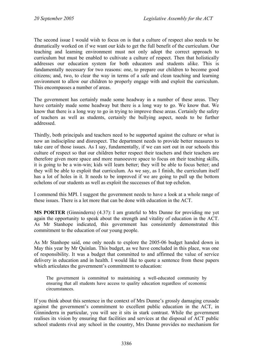The second issue I would wish to focus on is that a culture of respect also needs to be dramatically worked on if we want our kids to get the full benefit of the curriculum. Our teaching and learning environment must not only adopt the correct approach to curriculum but must be enabled to cultivate a culture of respect. Then that holistically addresses our education system for both educators and students alike. This is fundamentally necessary for two reasons: one, to prepare our children to become good citizens; and, two, to clear the way in terms of a safe and clean teaching and learning environment to allow our children to properly engage with and exploit the curriculum. This encompasses a number of areas.

The government has certainly made some headway in a number of these areas. They have certainly made some headway but there is a long way to go. We know that. We know that there is a long way to go in trying to improve these areas. Certainly the safety of teachers as well as students, certainly the bullying aspect, needs to be further addressed.

Thirdly, both principals and teachers need to be supported against the culture or what is now an indiscipline and disrespect. The department needs to provide better measures to take care of those issues. As I say, fundamentally, if we can sort out in our schools this culture of respect so that our children better respect their teachers and their teachers are therefore given more space and more manoeuvre space to focus on their teaching skills, it is going to be a win-win; kids will learn better; they will be able to focus better; and they will be able to exploit that curriculum. As we say, as I finish, the curriculum itself has a lot of holes in it. It needs to be improved if we are going to pull up the bottom echelons of our students as well as exploit the successes of that top echelon.

I commend this MPI. I suggest the government needs to have a look at a whole range of these issues. There is a lot more that can be done with education in the ACT.

**MS PORTER** (Ginninderra) (4.37): I am grateful to Mrs Dunne for providing me yet again the opportunity to speak about the strength and vitality of education in the ACT. As Mr Stanhope indicated, this government has consistently demonstrated this commitment to the education of our young people.

As Mr Stanhope said, one only needs to explore the 2005-06 budget handed down in May this year by Mr Quinlan. This budget, as we have concluded in this place, was one of responsibility. It was a budget that committed to and affirmed the value of service delivery in education and in health. I would like to quote a sentence from these papers which articulates the government's commitment to education:

The government is committed to maintaining a well-educated community by ensuring that all students have access to quality education regardless of economic circumstances.

If you think about this sentence in the context of Mrs Dunne's grossly damaging crusade against the government's commitment to excellent public education in the ACT, in Ginninderra in particular, you will see it sits in stark contrast. While the government realises its vision by ensuring that facilities and services at the disposal of ACT public school students rival any school in the country, Mrs Dunne provides no mechanism for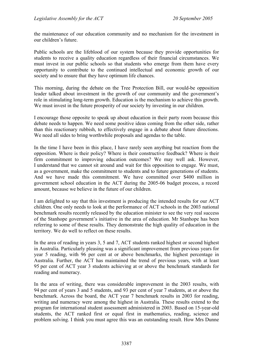the maintenance of our education community and no mechanism for the investment in our children's future.

Public schools are the lifeblood of our system because they provide opportunities for students to receive a quality education regardless of their financial circumstances. We must invest in our public schools so that students who emerge from them have every opportunity to contribute to the continued intellectual and economic growth of our society and to ensure that they have optimum life chances.

This morning, during the debate on the Tree Protection Bill, our would-be opposition leader talked about investment in the growth of our community and the government's role in stimulating long-term growth. Education is the mechanism to achieve this growth. We must invest in the future prosperity of our society by investing in our children.

I encourage those opposite to speak up about education in their party room because this debate needs to happen. We need some positive ideas coming from the other side, rather than this reactionary rubbish, to effectively engage in a debate about future directions. We need all sides to bring worthwhile proposals and agendas to the table.

In the time I have been in this place, I have rarely seen anything but reaction from the opposition. Where is their policy? Where is their constructive feedback? Where is their firm commitment to improving education outcomes? We may well ask. However, I understand that we cannot sit around and wait for this opposition to engage. We must, as a government, make the commitment to students and to future generations of students. And we have made this commitment. We have committed over \$400 million in government school education in the ACT during the 2005-06 budget process, a record amount, because we believe in the future of our children.

I am delighted to say that this investment is producing the intended results for our ACT children. One only needs to look at the performance of ACT schools in the 2003 national benchmark results recently released by the education minister to see the very real success of the Stanhope government's initiative in the area of education. Mr Stanhope has been referring to some of these results. They demonstrate the high quality of education in the territory. We do well to reflect on these results.

In the area of reading in years 3, 5 and 7, ACT students ranked highest or second highest in Australia. Particularly pleasing was a significant improvement from previous years for year 5 reading, with 96 per cent at or above benchmarks, the highest percentage in Australia. Further, the ACT has maintained the trend of previous years, with at least 95 per cent of ACT year 3 students achieving at or above the benchmark standards for reading and numeracy.

In the area of writing, there was considerable improvement in the 2003 results, with 94 per cent of years 3 and 5 students, and 93 per cent of year 7 students, at or above the benchmark. Across the board, the ACT year 7 benchmark results in 2003 for reading, writing and numeracy were among the highest in Australia. These results extend to the program for international student assessment administered in 2003. Based on 15-year-old students, the ACT ranked first or equal first in mathematics, reading, science and problem solving. I think you must agree this was an outstanding result. How Mrs Dunne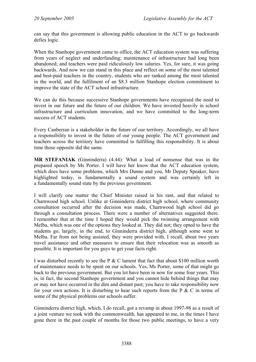can say that this government is allowing public education in the ACT to go backwards defies logic.

When the Stanhope government came to office, the ACT education system was suffering from years of neglect and underfunding; maintenance of infrastructure had long been abandoned; and teachers were paid ridiculously low salaries. Yes, for sure, it was going backwards. And now we can stand in this place and reflect on some of the most talented and best-paid teachers in the country, students who are ranked among the most talented in the world, and the fulfilment of an \$8.3 million Stanhope election commitment to improve the state of the ACT school infrastructure.

We can do this because successive Stanhope governments have recognised the need to invest in our future and the future of our children. We have invested heavily in school infrastructure and curriculum innovation, and we have committed to the long-term success of ACT students.

Every Canberran is a stakeholder in the future of our territory. Accordingly, we all have a responsibility to invest in the future of our young people. The ACT government and teachers across the territory have committed to fulfilling this responsibility. It is about time those opposite did the same.

**MR STEFANIAK** (Ginninderra) (4.44): What a load of nonsense that was in the prepared speech by Ms Porter. I will have her know that the ACT education system, which does have some problems, which Mrs Dunne and you, Mr Deputy Speaker, have highlighted today, is fundamentally a sound system and was certainly left in a fundamentally sound state by the previous government.

I will clarify one matter the Chief Minister raised in his rant, and that related to Charnwood high school. Unlike at Ginninderra district high school, where community consultation occurred after the decision was made, Charnwood high school did go through a consultation process. There were a number of alternatives suggested there. I remember that at the time I hoped they would pick the twinning arrangement with Melba, which was one of the options they looked at. They did not; they opted to have the students go, largely, in the end, to Ginninderra district high, although some went to Melba. Far from not being assisted, they were provided with, I recall, about two years travel assistance and other measures to ensure that their relocation was as smooth as possible. It is important for you guys to get your facts right.

I was disturbed recently to see the P  $&$  C lament that fact that about \$100 million worth of maintenance needs to be spent on our schools. Yes, Ms Porter, some of that might go back to the previous government. But you lot have been in now for some four years. This is, in fact, the second Stanhope government and you cannot hide behind things that may or may not have occurred in the dim and distant past; you have to take responsibility now for your own actions. It is disturbing to hear such reports from the P  $&$  C in terms of some of the physical problems our schools suffer.

Ginninderra district high, which, I do recall, got a revamp in about 1997-98 as a result of a joint venture we took with the commonwealth, has appeared to me, in the times I have gone there in the past couple of months for those two public meetings, to have a very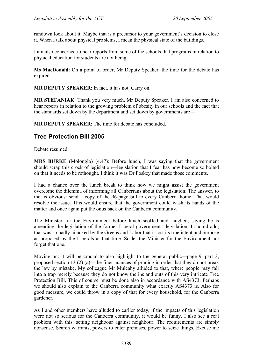rundown look about it. Maybe that is a precursor to your government's decision to close it. When I talk about physical problems, I mean the physical state of the buildings.

I am also concerned to hear reports from some of the schools that programs in relation to physical education for students are not being—

**Ms MacDonald**: On a point of order, Mr Deputy Speaker: the time for the debate has expired.

**MR DEPUTY SPEAKER**: In fact, it has not. Carry on.

**MR STEFANIAK**: Thank you very much, Mr Deputy Speaker. I am also concerned to hear reports in relation to the growing problem of obesity in our schools and the fact that the standards set down by the department and set down by governments are—

**MR DEPUTY SPEAKER**: The time for debate has concluded.

# **Tree Protection Bill 2005**

Debate resumed.

**MRS BURKE** (Molonglo) (4.47): Before lunch, I was saying that the government should scrap this crock of legislation—legislation that I fear has now become so bolted on that it needs to be rethought. I think it was Dr Foskey that made those comments.

I had a chance over the lunch break to think how we might assist the government overcome the dilemma of informing all Canberrans about the legislation. The answer, to me, is obvious: send a copy of the 96-page bill to every Canberra home. That would resolve the issue. This would ensure that the government could wash its hands of the matter and once again put the onus back on the Canberra community.

The Minister for the Environment before lunch scoffed and laughed, saying he is amending the legislation of the former Liberal government—legislation, I should add, that was so badly hijacked by the Greens and Labor that it lost its true intent and purpose as proposed by the Liberals at that time. So let the Minister for the Environment not forget that one.

Moving on: it will be crucial to also highlight to the general public—page 9, part 3, proposed section 13 (2) (a)—the finer nuances of pruning in order that they do not break the law by mistake. My colleague Mr Mulcahy alluded to that, where people may fall into a trap merely because they do not know the ins and outs of this very intricate Tree Protection Bill. This of course must be done also in accordance with AS4373. Perhaps we should also explain to the Canberra community what exactly AS4373 is. Also for good measure, we could throw in a copy of that for every household, for the Canberra gardener.

As I and other members have alluded to earlier today, if the impacts of this legislation were not so serious for the Canberra community, it would be funny. I also see a real problem with this, setting neighbour against neighbour. The requirements are simply nonsense. Search warrants, powers to enter premises, power to seize things. Excuse me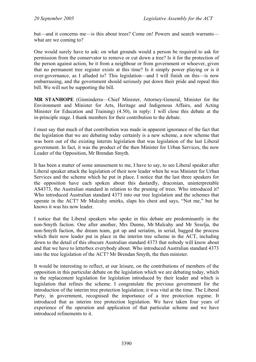but—and it concerns me—is this about trees? Come on! Powers and search warrants what are we coming to?

One would surely have to ask: on what grounds would a person be required to ask for permission from the conservator to remove or cut down a tree? Is it for the protection of the person against action, be it from a neighbour or from government or whoever, given that no permanent tree register exists at this time? Is it simply power playing or is it over-governance, as I alluded to? This legislation—and I will finish on this—is now embarrassing, and the government should seriously put down their pride and repeal this bill. We will not be supporting the bill.

**MR STANHOPE** (Ginninderra—Chief Minister, Attorney-General, Minister for the Environment and Minister for Arts, Heritage and Indigenous Affairs, and Acting Minister for Education and Training) (4.50), in reply: I will close this debate at the in-principle stage. I thank members for their contribution to the debate.

I must say that much of that contribution was made in apparent ignorance of the fact that the legislation that we are debating today certainly is a new scheme, a new scheme that was born out of the existing interim legislation that was legislation of the last Liberal government. In fact, it was the product of the then Minister for Urban Services, the now Leader of the Opposition, Mr Brendan Smyth.

It has been a matter of some amusement to me, I have to say, to see Liberal speaker after Liberal speaker attack the legislation of their now leader when he was Minister for Urban Services and the scheme which he put in place. I notice that the last three speakers for the opposition have each spoken about this dastardly, draconian, uninterpretable AS4373, the Australian standard in relation to the pruning of trees. Who introduced it? Who introduced Australian standard 4373 into our tree legislation and the schemes that operate in the ACT? Mr Mulcahy smirks, slaps his chest and says, "Not me," but he knows it was his now leader.

I notice that the Liberal speakers who spoke in this debate are predominantly in the non-Smyth faction. One after another, Mrs Dunne, Mr Mulcahy and Mr Seselja, the non-Smyth faction, the dream team, got up and seriatim, in serial, bagged the process which their now leader put in place in the interim tree scheme in the ACT, including down to the detail of this obscure Australian standard 4373 that nobody will know about and that we have to letterbox everybody about. Who introduced Australian standard 4373 into the tree legislation of the ACT? Mr Brendan Smyth, the then minister.

It would be interesting to reflect, at our leisure, on the contributions of members of the opposition in this particular debate on the legislation which we are debating today, which is the replacement legislation for legislation introduced by their leader and which is legislation that refines the scheme. I congratulate the previous government for the introduction of the interim tree protection legislation; it was vital at the time. The Liberal Party, in government, recognised the importance of a tree protection regime. It introduced that as interim tree protection legislation. We have taken four years of experience of the operation and application of that particular scheme and we have introduced refinements to it.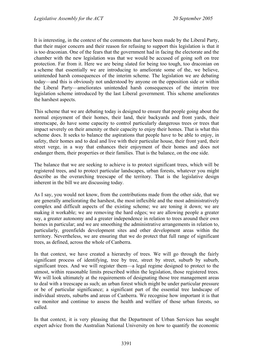It is interesting, in the context of the comments that have been made by the Liberal Party, that their major concern and their reason for refusing to support this legislation is that it is too draconian. One of the fears that the government had in facing the electorate and the chamber with the new legislation was that we would be accused of going soft on tree protection. Far from it. Here we are being slated for being too tough, too draconian on a scheme that essentially we are introducing to ameliorate some of the, we believe, unintended harsh consequences of the interim scheme. The legislation we are debating today—and this is obviously not understood by anyone on the opposition side or within the Liberal Party—ameliorates unintended harsh consequences of the interim tree legislation scheme introduced by the last Liberal government. This scheme ameliorates the harshest aspects.

This scheme that we are debating today is designed to ensure that people going about the normal enjoyment of their homes, their land, their backyards and front yards, their streetscape, do have some capacity to control particularly dangerous trees or trees that impact severely on their amenity or their capacity to enjoy their homes. That is what this scheme does. It seeks to balance the aspirations that people have to be able to enjoy, in safety, their homes and to deal and live with their particular house, their front yard, their street verge, in a way that enhances their enjoyment of their homes and does not endanger them, their properties or their families. That is the balance, on the one side.

The balance that we are seeking to achieve is to protect significant trees, which will be registered trees, and to protect particular landscapes, urban forests, whatever you might describe as the overarching treescape of the territory. That is the legislative design inherent in the bill we are discussing today.

As I say, you would not know, from the contributions made from the other side, that we are generally ameliorating the harshest, the most inflexible and the most administratively complex and difficult aspects of the existing scheme; we are toning it down; we are making it workable; we are removing the hard edges; we are allowing people a greater say, a greater autonomy and a greater independence in relation to trees around their own homes in particular; and we are smoothing the administrative arrangements in relation to, particularly, greenfields development sites and other development areas within the territory. Nevertheless, we are ensuring that we do protect that full range of significant trees, as defined, across the whole of Canberra.

In that context, we have created a hierarchy of trees. We will go through the fairly significant process of identifying, tree by tree, street by street, suburb by suburb, significant trees. And we will register them—a legal regime designed to protect to the utmost, within reasonable limits prescribed within the legislation, those registered trees. We will look ultimately at the requirements of designating those tree management areas to deal with a treescape as such; an urban forest which might be under particular pressure or be of particular significance; a significant part of the essential tree landscape of individual streets, suburbs and areas of Canberra. We recognise how important it is that we monitor and continue to assess the health and welfare of those urban forests, so called.

In that context, it is very pleasing that the Department of Urban Services has sought expert advice from the Australian National University on how to quantify the economic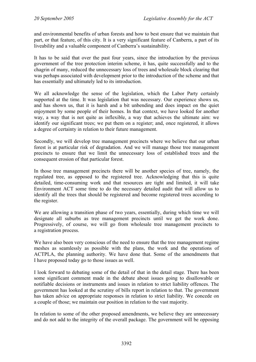and environmental benefits of urban forests and how to best ensure that we maintain that part, or that feature, of this city. It is a very significant feature of Canberra, a part of its liveability and a valuable component of Canberra's sustainability.

It has to be said that over the past four years, since the introduction by the previous government of the tree protection interim scheme, it has, quite successfully and to the chagrin of many, reduced the unnecessary loss of trees and wholesale block clearing that was perhaps associated with development prior to the introduction of the scheme and that has essentially and ultimately led to its introduction.

We all acknowledge the sense of the legislation, which the Labor Party certainly supported at the time. It was legislation that was necessary. Our experience shows us, and has shown us, that it is harsh and a bit unbending and does impact on the quiet enjoyment by some people of their homes. In that context, we have looked for another way, a way that is not quite as inflexible, a way that achieves the ultimate aim: we identify our significant trees; we put them on a register; and, once registered, it allows a degree of certainty in relation to their future management.

Secondly, we will develop tree management precincts where we believe that our urban forest is at particular risk of degradation. And we will manage those tree management precincts to ensure that we limit the unnecessary loss of established trees and the consequent erosion of that particular forest.

In those tree management precincts there will be another species of tree, namely, the regulated tree, as opposed to the registered tree. Acknowledging that this is quite detailed, time-consuming work and that resources are tight and limited, it will take Environment ACT some time to do the necessary detailed audit that will allow us to identify all the trees that should be registered and become registered trees according to the register.

We are allowing a transition phase of two years, essentially, during which time we will designate all suburbs as tree management precincts until we get the work done. Progressively, of course, we will go from wholesale tree management precincts to a registration process.

We have also been very conscious of the need to ensure that the tree management regime meshes as seamlessly as possible with the plans, the work and the operations of ACTPLA, the planning authority. We have done that. Some of the amendments that I have proposed today go to those issues as well.

I look forward to debating some of the detail of that in the detail stage. There has been some significant comment made in the debate about issues going to disallowable or notifiable decisions or instruments and issues in relation to strict liability offences. The government has looked at the scrutiny of bills report in relation to that. The government has taken advice on appropriate responses in relation to strict liability. We concede on a couple of those; we maintain our position in relation to the vast majority.

In relation to some of the other proposed amendments, we believe they are unnecessary and do not add to the integrity of the overall package. The government will be opposing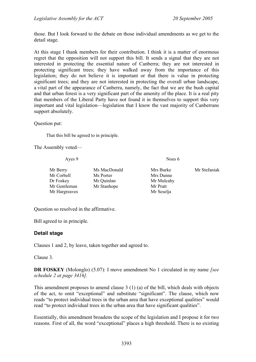those. But I look forward to the debate on those individual amendments as we get to the detail stage.

At this stage I thank members for their contribution. I think it is a matter of enormous regret that the opposition will not support this bill. It sends a signal that they are not interested in protecting the essential nature of Canberra; they are not interested in protecting significant trees; they have walked away from the importance of this legislation; they do not believe it is important or that there is value in protecting significant trees; and they are not interested in protecting the overall urban landscape, a vital part of the appearance of Canberra, namely, the fact that we are the bush capital and that urban forest is a very significant part of the amenity of the place. It is a real pity that members of the Liberal Party have not found it in themselves to support this very important and vital legislation—legislation that I know the vast majority of Canberrans support absolutely.

Question put:

That this bill be agreed to in principle.

The Assembly voted—

Ayes 9 Noes 6 Mr Berry Mrs MacDonald Mrs Burke Mr Stefaniak Mr Corbell Ms Porter Mrs Dunne Dr Foskey Mr Quinlan Mr Mulcahy Mr Gentleman Mr Stanhope Mr Pratt Mr Hargreaves Mr Seselja

Question so resolved in the affirmative.

Bill agreed to in principle.

## **Detail stage**

Clauses 1 and 2, by leave, taken together and agreed to.

Clause 3.

**DR FOSKEY** (Molonglo) (5.07): I move amendment No 1 circulated in my name *[see schedule 2 at page 3416].*

This amendment proposes to amend clause 3 (1) (a) of the bill, which deals with objects of the act, to omit "exceptional" and substitute "significant". The clause, which now reads "to protect individual trees in the urban area that have exceptional qualities" would read "to protect individual trees in the urban area that have significant qualities".

Essentially, this amendment broadens the scope of the legislation and I propose it for two reasons. First of all, the word "exceptional" places a high threshold. There is no existing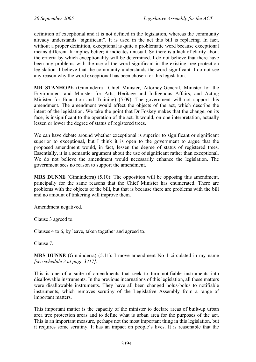definition of exceptional and it is not defined in the legislation, whereas the community already understands "significant". It is used in the act this bill is replacing. In fact, without a proper definition, exceptional is quite a problematic word because exceptional means different. It implies better; it indicates unusual. So there is a lack of clarity about the criteria by which exceptionality will be determined. I do not believe that there have been any problems with the use of the word significant in the existing tree protection legislation. I believe that the community understands the word significant. I do not see any reason why the word exceptional has been chosen for this legislation.

**MR STANHOPE** (Ginninderra—Chief Minister, Attorney-General, Minister for the Environment and Minister for Arts, Heritage and Indigenous Affairs, and Acting Minister for Education and Training) (5.09): The government will not support this amendment. The amendment would affect the objects of the act, which describe the intent of the legislation. We take the point that Dr Foskey makes that the change, on its face, is insignificant to the operation of the act. It would, on one interpretation, actually lessen or lower the degree of status of registered trees.

We can have debate around whether exceptional is superior to significant or significant superior to exceptional, but I think it is open to the government to argue that the proposed amendment would, in fact, lessen the degree of status of registered trees. Essentially, it is a semantic argument about the use of significant rather than exceptional. We do not believe the amendment would necessarily enhance the legislation. The government sees no reason to support the amendment.

**MRS DUNNE** (Ginninderra) (5.10): The opposition will be opposing this amendment, principally for the same reasons that the Chief Minister has enumerated. There are problems with the objects of the bill, but that is because there are problems with the bill and no amount of tinkering will improve them.

Amendment negatived.

Clause 3 agreed to.

Clauses 4 to 6, by leave, taken together and agreed to.

Clause 7.

**MRS DUNNE** (Ginninderra) (5.11): I move amendment No 1 circulated in my name *[see schedule 3 at page 3417].*

This is one of a suite of amendments that seek to turn notifiable instruments into disallowable instruments. In the previous incarnations of this legislation, all these matters were disallowable instruments. They have all been changed holus-bolus to notifiable instruments, which removes scrutiny of the Legislative Assembly from a range of important matters.

This important matter is the capacity of the minister to declare areas of built-up urban area tree protection areas and to define what is urban area for the purposes of the act. This is an important measure, perhaps not the most important thing in this legislation, but it requires some scrutiny. It has an impact on people's lives. It is reasonable that the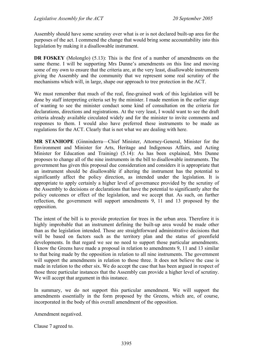Assembly should have some scrutiny over what is or is not declared built-up area for the purposes of the act. I commend the change that would bring some accountability into this legislation by making it a disallowable instrument.

**DR FOSKEY** (Molonglo) (5.13): This is the first of a number of amendments on the same theme. I will be supporting Mrs Dunne's amendments on this line and moving some of my own to ensure that the criteria are, at the very least, disallowable instruments giving the Assembly and the community that we represent some real scrutiny of the mechanisms which will, in large, shape our approach to tree protection in the ACT.

We must remember that much of the real, fine-grained work of this legislation will be done by staff interpreting criteria set by the minister. I made mention in the earlier stage of wanting to see the minister conduct some kind of consultation on the criteria for declarations, directions and registrations. At the very least, I would want to see the draft criteria already available circulated widely and for the minister to invite comments and responses to them. I would also have preferred these instruments to be made as regulations for the ACT. Clearly that is not what we are dealing with here.

**MR STANHOPE** (Ginninderra—Chief Minister, Attorney-General, Minister for the Environment and Minister for Arts, Heritage and Indigenous Affairs, and Acting Minister for Education and Training) (5.14): As has been explained, Mrs Dunne proposes to change all of the nine instruments in the bill to disallowable instruments. The government has given this proposal due consideration and considers it is appropriate that an instrument should be disallowable if altering the instrument has the potential to significantly affect the policy direction, as intended under the legislation. It is appropriate to apply certainly a higher level of governance provided by the scrutiny of the Assembly to decisions or declarations that have the potential to significantly alter the policy outcomes or effect of the legislation, and we accept that. As such, on further reflection, the government will support amendments 9, 11 and 13 proposed by the opposition.

The intent of the bill is to provide protection for trees in the urban area. Therefore it is highly improbable that an instrument defining the built-up area would be made other than as the legislation intended. Those are straightforward administrative decisions that will be based on factors such as the territory plan and the status of greenfield developments. In that regard we see no need to support those particular amendments. I know the Greens have made a proposal in relation to amendments 9, 11 and 13 similar to that being made by the opposition in relation to all nine instruments. The government will support the amendments in relation to those three. It does not believe the case is made in relation to the other six. We do accept the case that has been argued in respect of those three particular instances that the Assembly can provide a higher level of scrutiny. We will accept that argument in this instance.

In summary, we do not support this particular amendment. We will support the amendments essentially in the form proposed by the Greens, which are, of course, incorporated in the body of this overall amendment of the opposition.

Amendment negatived.

Clause 7 agreed to.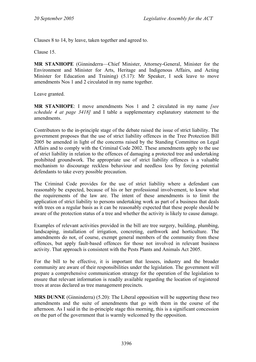Clauses 8 to 14, by leave, taken together and agreed to.

Clause 15.

**MR STANHOPE** (Ginninderra—Chief Minister, Attorney-General, Minister for the Environment and Minister for Arts, Heritage and Indigenous Affairs, and Acting Minister for Education and Training) (5.17): Mr Speaker, I seek leave to move amendments Nos 1 and 2 circulated in my name together.

Leave granted.

**MR STANHOPE**: I move amendments Nos 1 and 2 circulated in my name *[see schedule 4 at page 3418]* and I table a supplementary explanatory statement to the amendments.

Contributors to the in-principle stage of the debate raised the issue of strict liability. The government proposes that the use of strict liability offences in the Tree Protection Bill 2005 be amended in light of the concerns raised by the Standing Committee on Legal Affairs and to comply with the Criminal Code 2002. These amendments apply to the use of strict liability in relation to the offences of damaging a protected tree and undertaking prohibited groundwork. The appropriate use of strict liability offences is a valuable mechanism to discourage reckless behaviour and needless loss by forcing potential defendants to take every possible precaution.

The Criminal Code provides for the use of strict liability where a defendant can reasonably be expected, because of his or her professional involvement, to know what the requirements of the law are. The intent of these amendments is to limit the application of strict liability to persons undertaking work as part of a business that deals with trees on a regular basis as it can be reasonably expected that these people should be aware of the protection status of a tree and whether the activity is likely to cause damage.

Examples of relevant activities provided in the bill are tree surgery, building, plumbing, landscaping, installation of irrigation, concreting, earthwork and horticulture. The amendments do not, of course, exempt general members of the community from these offences, but apply fault-based offences for those not involved in relevant business activity. That approach is consistent with the Pests Plants and Animals Act 2005.

For the bill to be effective, it is important that lessees, industry and the broader community are aware of their responsibilities under the legislation. The government will prepare a comprehensive communication strategy for the operation of the legislation to ensure that relevant information is readily available regarding the location of registered trees at areas declared as tree management precincts.

**MRS DUNNE** (Ginninderra) (5.20): The Liberal opposition will be supporting these two amendments and the suite of amendments that go with them in the course of the afternoon. As I said in the in-principle stage this morning, this is a significant concession on the part of the government that is warmly welcomed by the opposition.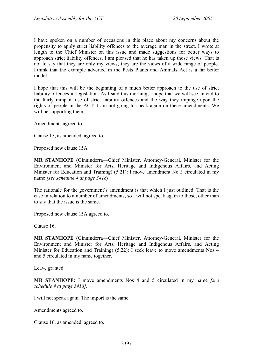I have spoken on a number of occasions in this place about my concerns about the propensity to apply strict liability offences to the average man in the street. I wrote at length to the Chief Minister on this issue and made suggestions for better ways to approach strict liability offences. I am pleased that he has taken up those views. That is not to say that they are only my views; they are the views of a wide range of people. I think that the example adverted in the Pests Plants and Animals Act is a far better model.

I hope that this will be the beginning of a much better approach to the use of strict liability offences in legislation. As I said this morning, I hope that we will see an end to the fairly rampant use of strict liability offences and the way they impinge upon the rights of people in the ACT. I am not going to speak again on these amendments. We will be supporting them.

Amendments agreed to.

Clause 15, as amended, agreed to.

Proposed new clause 15A.

**MR STANHOPE** (Ginninderra—Chief Minister, Attorney-General, Minister for the Environment and Minister for Arts, Heritage and Indigenous Affairs, and Acting Minister for Education and Training) (5.21): I move amendment No 3 circulated in my name *[see schedule 4 at page 3418].*

The rationale for the government's amendment is that which I just outlined. That is the case in relation to a number of amendments, so I will not speak again to those, other than to say that the issue is the same.

Proposed new clause 15A agreed to.

Clause 16.

**MR STANHOPE** (Ginninderra—Chief Minister, Attorney-General, Minister for the Environment and Minister for Arts, Heritage and Indigenous Affairs, and Acting Minister for Education and Training) (5.22): I seek leave to move amendments Nos 4 and 5 circulated in my name together.

Leave granted.

**MR STANHOPE:** I move amendments Nos 4 and 5 circulated in my name *[see schedule 4 at page 3418].* 

I will not speak again. The import is the same.

Amendments agreed to.

Clause 16, as amended, agreed to.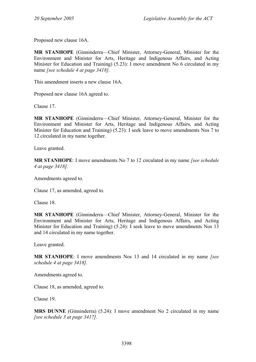Proposed new clause 16A.

**MR STANHOPE** (Ginninderra—Chief Minister, Attorney-General, Minister for the Environment and Minister for Arts, Heritage and Indigenous Affairs, and Acting Minister for Education and Training) (5.23): I move amendment No 6 circulated in my name *[see schedule 4 at page 3418].*

This amendment inserts a new clause 16A.

Proposed new clause 16A agreed to.

Clause 17.

**MR STANHOPE** (Ginninderra—Chief Minister, Attorney-General, Minister for the Environment and Minister for Arts, Heritage and Indigenous Affairs, and Acting Minister for Education and Training) (5.23): I seek leave to move amendments Nos 7 to 12 circulated in my name together.

Leave granted.

**MR STANHOPE**: I move amendments No 7 to 12 circulated in my name *[see schedule 4 at page 3418].*

Amendments agreed to.

Clause 17, as amended, agreed to.

Clause 18.

**MR STANHOPE** (Ginninderra—Chief Minister, Attorney-General, Minister for the Environment and Minister for Arts, Heritage and Indigenous Affairs, and Acting Minister for Education and Training) (5.24): I seek leave to move amendments Nos 13 and 14 circulated in my name together.

Leave granted.

**MR STANHOPE**: I move amendments Nos 13 and 14 circulated in my name *[see schedule 4 at page 3418].*

Amendments agreed to.

Clause 18, as amended, agreed to.

Clause 19.

**MRS DUNNE** (Ginninderra) (5.24): I move amendment No 2 circulated in my name *[see schedule 3 at page 3417].*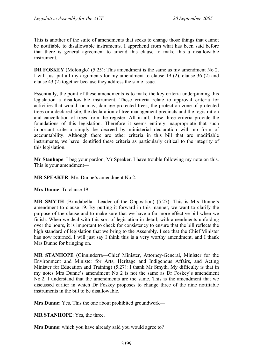This is another of the suite of amendments that seeks to change those things that cannot be notifiable to disallowable instruments. I apprehend from what has been said before that there is general agreement to amend this clause to make this a disallowable instrument.

**DR FOSKEY** (Molonglo) (5.25): This amendment is the same as my amendment No 2. I will just put all my arguments for my amendment to clause 19 (2), clause 36 (2) and clause 43 (2) together because they address the same issue.

Essentially, the point of these amendments is to make the key criteria underpinning this legislation a disallowable instrument. These criteria relate to approval criteria for activities that would, or may, damage protected trees, the protection zone of protected trees or a declared site, the declaration of tree management precincts and the registration and cancellation of trees from the register. All in all, these three criteria provide the foundations of this legislation. Therefore it seems entirely inappropriate that such important criteria simply be decreed by ministerial declaration with no form of accountability. Although there are other criteria in this bill that are modifiable instruments, we have identified these criteria as particularly critical to the integrity of this legislation.

**Mr Stanhope**: I beg your pardon, Mr Speaker. I have trouble following my note on this. This is your amendment—

**MR SPEAKER**: Mrs Dunne's amendment No 2.

**Mrs Dunne**: To clause 19.

**MR SMYTH** (Brindabella—Leader of the Opposition) (5.27): This is Mrs Dunne's amendment to clause 19. By putting it forward in this manner, we want to clarify the purpose of the clause and to make sure that we have a far more effective bill when we finish. When we deal with this sort of legislation in detail, with amendments unfolding over the hours, it is important to check for consistency to ensure that the bill reflects the high standard of legislation that we bring to the Assembly. I see that the Chief Minister has now returned. I will just say I think this is a very worthy amendment, and I thank Mrs Dunne for bringing on.

**MR STANHOPE** (Ginninderra—Chief Minister, Attorney-General, Minister for the Environment and Minister for Arts, Heritage and Indigenous Affairs, and Acting Minister for Education and Training) (5.27): I thank Mr Smyth. My difficulty is that in my notes Mrs Dunne's amendment No 2 is not the same as Dr Foskey's amendment No 2. I understand that the amendments are the same. This is the amendment that we discussed earlier in which Dr Foskey proposes to change three of the nine notifiable instruments in the bill to be disallowable.

**Mrs Dunne**: Yes. This the one about prohibited groundwork—

**MR STANHOPE**: Yes, the three.

**Mrs Dunne**: which you have already said you would agree to?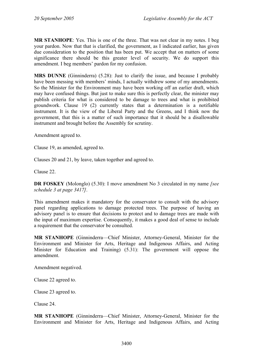**MR STANHOPE**: Yes. This is one of the three. That was not clear in my notes. I beg your pardon. Now that that is clarified, the government, as I indicated earlier, has given due consideration to the position that has been put. We accept that on matters of some significance there should be this greater level of security. We do support this amendment. I beg members' pardon for my confusion.

**MRS DUNNE** (Ginninderra) (5.28): Just to clarify the issue, and because I probably have been messing with members' minds, I actually withdrew some of my amendments. So the Minister for the Environment may have been working off an earlier draft, which may have confused things. But just to make sure this is perfectly clear, the minister may publish criteria for what is considered to be damage to trees and what is prohibited groundwork. Clause 19 (2) currently states that a determination is a notifiable instrument. It is the view of the Liberal Party and the Greens, and I think now the government, that this is a matter of such importance that it should be a disallowable instrument and brought before the Assembly for scrutiny.

Amendment agreed to.

Clause 19, as amended, agreed to.

Clauses 20 and 21, by leave, taken together and agreed to.

Clause 22.

**DR FOSKEY** (Molonglo) (5.30): I move amendment No 3 circulated in my name *[see schedule 3 at page 3417]*.

This amendment makes it mandatory for the conservator to consult with the advisory panel regarding applications to damage protected trees. The purpose of having an advisory panel is to ensure that decisions to protect and to damage trees are made with the input of maximum expertise. Consequently, it makes a good deal of sense to include a requirement that the conservator be consulted.

**MR STANHOPE** (Ginninderra—Chief Minister, Attorney-General, Minister for the Environment and Minister for Arts, Heritage and Indigenous Affairs, and Acting Minister for Education and Training) (5.31): The government will oppose the amendment.

Amendment negatived.

Clause 22 agreed to.

Clause 23 agreed to.

Clause 24.

**MR STANHOPE** (Ginninderra—Chief Minister, Attorney-General, Minister for the Environment and Minister for Arts, Heritage and Indigenous Affairs, and Acting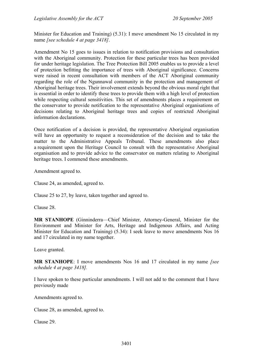Minister for Education and Training) (5.31): I move amendment No 15 circulated in my name *[see schedule 4 at page 3418]*.

Amendment No 15 goes to issues in relation to notification provisions and consultation with the Aboriginal community. Protection for these particular trees has been provided for under heritage legislation. The Tree Protection Bill 2005 enables us to provide a level of protection befitting the importance of trees with Aboriginal significance. Concerns were raised in recent consultation with members of the ACT Aboriginal community regarding the role of the Ngunnawal community in the protection and management of Aboriginal heritage trees. Their involvement extends beyond the obvious moral right that is essential in order to identify these trees to provide them with a high level of protection while respecting cultural sensitivities. This set of amendments places a requirement on the conservator to provide notification to the representative Aboriginal organisations of decisions relating to Aboriginal heritage trees and copies of restricted Aboriginal information declarations.

Once notification of a decision is provided, the representative Aboriginal organisation will have an opportunity to request a reconsideration of the decision and to take the matter to the Administrative Appeals Tribunal. These amendments also place a requirement upon the Heritage Council to consult with the representative Aboriginal organisation and to provide advice to the conservator on matters relating to Aboriginal heritage trees. I commend these amendments.

Amendment agreed to.

Clause 24, as amended, agreed to.

Clause 25 to 27, by leave, taken together and agreed to.

Clause 28.

**MR STANHOPE** (Ginninderra—Chief Minister, Attorney-General, Minister for the Environment and Minister for Arts, Heritage and Indigenous Affairs, and Acting Minister for Education and Training) (5.34): I seek leave to move amendments Nos 16 and 17 circulated in my name together.

Leave granted.

**MR STANHOPE**: I move amendments Nos 16 and 17 circulated in my name *[see schedule 4 at page 3418].* 

I have spoken to these particular amendments. I will not add to the comment that I have previously made

Amendments agreed to.

Clause 28, as amended, agreed to.

Clause 29.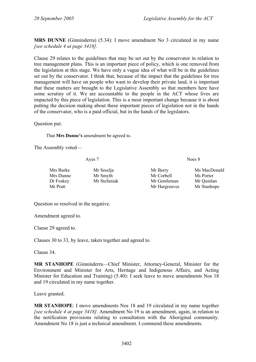**MRS DUNNE** (Ginninderra) (5.34): I move amendment No 3 circulated in my name *[see schedule 4 at page 3418]*.

Clause 29 relates to the guidelines that may be set out by the conservator in relation to tree management plans. This is an important piece of policy, which is one removed from the legislation at this stage. We have only a vague idea of what will be in the guidelines set out by the conservator. I think that, because of the impact that the guidelines for tree management will have on people who want to develop their private land, it is important that these matters are brought to the Legislative Assembly so that members here have some scrutiny of it. We are accountable to the people in the ACT whose lives are impacted by this piece of legislation. This is a most important change because it is about putting the decision making about these important pieces of legislation not in the hands of the conservator, who is a paid official, but in the hands of the legislators.

Question put:

That **Mrs Dunne's** amendment be agreed to.

The Assembly voted—

Ayes 7 Noes 8

| Mrs Burke | Mr Seselja   | Mr Berry      | Ms MacDonald |
|-----------|--------------|---------------|--------------|
| Mrs Dunne | Mr Smyth     | Mr Corbell    | Ms Porter    |
| Dr Foskey | Mr Stefaniak | Mr Gentleman  | Mr Quinlan   |
| Mr Pratt  |              | Mr Hargreaves | Mr Stanhope  |

Question so resolved in the negative.

Amendment agreed to.

Clause 29 agreed to.

Clauses 30 to 33, by leave, taken together and agreed to.

Clause 34.

**MR STANHOPE** (Ginninderra—Chief Minister, Attorney-General, Minister for the Environment and Minister for Arts, Heritage and Indigenous Affairs, and Acting Minister for Education and Training) (5.40): I seek leave to move amendments Nos 18 and 19 circulated in my name together.

Leave granted.

**MR STANHOPE**: I move amendments Nos 18 and 19 circulated in my name together *[see schedule 4 at page 3418]*. Amendment No 19 is an amendment, again, in relation to the notification provisions relating to consultation with the Aboriginal community. Amendment No 18 is just a technical amendment. I commend these amendments.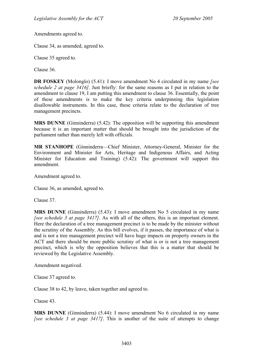Amendments agreed to.

Clause 34, as amended, agreed to.

Clause 35 agreed to.

Clause 36.

**DR FOSKEY** (Molonglo) (5.41): I move amendment No 4 circulated in my name *[see schedule 2 at page 3416]*. Just briefly: for the same reasons as I put in relation to the amendment to clause 19, I am putting this amendment to clause 36. Essentially, the point of these amendments is to make the key criteria underpinning this legislation disallowable instruments. In this case, these criteria relate to the declaration of tree management precincts.

**MRS DUNNE** (Ginninderra) (5.42): The opposition will be supporting this amendment because it is an important matter that should be brought into the jurisdiction of the parliament rather than merely left with officials.

**MR STANHOPE** (Ginninderra—Chief Minister, Attorney-General, Minister for the Environment and Minister for Arts, Heritage and Indigenous Affairs, and Acting Minister for Education and Training) (5.42): The government will support this amendment.

Amendment agreed to.

Clause 36, as amended, agreed to.

Clause 37.

**MRS DUNNE** (Ginninderra) (5.43): I move amendment No 5 circulated in my name *[see schedule 3 at page 3417]*. As with all of the others, this is an important element. Here the declaration of a tree management precinct is to be made by the minister without the scrutiny of the Assembly. As this bill evolves, if it passes, the importance of what is and is not a tree management precinct will have huge impacts on property owners in the ACT and there should be more public scrutiny of what is or is not a tree management precinct, which is why the opposition believes that this is a matter that should be reviewed by the Legislative Assembly.

Amendment negatived.

Clause 37 agreed to.

Clause 38 to 42, by leave, taken together and agreed to.

Clause 43.

**MRS DUNNE** (Ginninderra) (5.44): I move amendment No 6 circulated in my name *[see schedule 3 at page 3417]*. This is another of the suite of attempts to change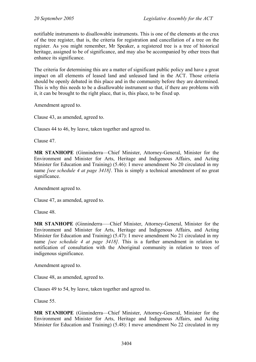notifiable instruments to disallowable instruments. This is one of the elements at the crux of the tree register, that is, the criteria for registration and cancellation of a tree on the register. As you might remember, Mr Speaker, a registered tree is a tree of historical heritage, assigned to be of significance, and may also be accompanied by other trees that enhance its significance.

The criteria for determining this are a matter of significant public policy and have a great impact on all elements of leased land and unleased land in the ACT. Those criteria should be openly debated in this place and in the community before they are determined. This is why this needs to be a disallowable instrument so that, if there are problems with it, it can be brought to the right place, that is, this place, to be fixed up.

Amendment agreed to.

Clause 43, as amended, agreed to.

Clauses 44 to 46, by leave, taken together and agreed to.

Clause 47.

**MR STANHOPE** (Ginninderra—Chief Minister, Attorney-General, Minister for the Environment and Minister for Arts, Heritage and Indigenous Affairs, and Acting Minister for Education and Training) (5.46): I move amendment No 20 circulated in my name *[see schedule 4 at page 3418]*. This is simply a technical amendment of no great significance.

Amendment agreed to.

Clause 47, as amended, agreed to.

Clause 48.

**MR STANHOPE** (Ginninderra—–Chief Minister, Attorney-General, Minister for the Environment and Minister for Arts, Heritage and Indigenous Affairs, and Acting Minister for Education and Training) (5.47): I move amendment No 21 circulated in my name *[see schedule 4 at page 3418]*. This is a further amendment in relation to notification of consultation with the Aboriginal community in relation to trees of indigenous significance.

Amendment agreed to.

Clause 48, as amended, agreed to.

Clauses 49 to 54, by leave, taken together and agreed to.

Clause 55.

**MR STANHOPE** (Ginninderra—Chief Minister, Attorney-General, Minister for the Environment and Minister for Arts, Heritage and Indigenous Affairs, and Acting Minister for Education and Training) (5.48): I move amendment No 22 circulated in my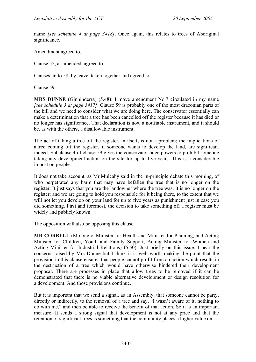name *[see schedule 4 at page 3418]*. Once again, this relates to trees of Aboriginal significance.

Amendment agreed to.

Clause 55, as amended, agreed to.

Clauses 56 to 58, by leave, taken together and agreed to.

Clause 59.

**MRS DUNNE** (Ginninderra) (5.48): I move amendment No 7 circulated in my name *[see schedule 3 at page 3417]*. Clause 59 is probably one of the most draconian parts of the bill and we need to consider what we are doing here. The conservator essentially can make a determination that a tree has been cancelled off the register because it has died or no longer has significance. That declaration is now a notifiable instrument, and it should be, as with the others, a disallowable instrument.

The act of taking a tree off the register, in itself, is not a problem; the implications of a tree coming off the register, if someone wants to develop the land, are significant indeed. Subclause 4 of clause 59 gives the conservator huge powers to prohibit someone taking any development action on the site for up to five years. This is a considerable impost on people.

It does not take account, as Mr Mulcahy said in the in-principle debate this morning, of who perpetrated any harm that may have befallen the tree that is no longer on the register. It just says that you are the landowner where the tree was; it is no longer on the register; and we are going to hold you responsible for it being there, to the extent that we will not let you develop on your land for up to five years as punishment just in case you did something. First and foremost, the decision to take something off a register must be widely and publicly known.

The opposition will also be opposing this clause.

**MR CORBELL** (Molonglo–Minister for Health and Minister for Planning, and Acting Minister for Children, Youth and Family Support, Acting Minister for Women and Acting Minister for Industrial Relations) (5.50): Just briefly on this issue: I hear the concerns raised by Mrs Dunne but I think it is well worth making the point that the provision in this clause ensures that people cannot profit from an action which results in the destruction of a tree which would have otherwise hindered their development proposal. There are processes in place that allow trees to be removed if it can be demonstrated that there is no viable alternative development or design resolution for a development. And those provisions continue.

But it is important that we send a signal, as an Assembly, that someone cannot be party, directly or indirectly, to the removal of a tree and say, "I wasn't aware of it; nothing to do with me," and then be able to receive the benefit of that action. So it is an important measure. It sends a strong signal that development is not at any price and that the retention of significant trees is something that the community places a higher value on.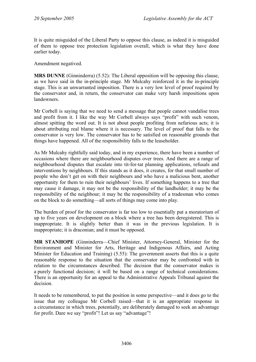It is quite misguided of the Liberal Party to oppose this clause, as indeed it is misguided of them to oppose tree protection legislation overall, which is what they have done earlier today.

Amendment negatived.

**MRS DUNNE** (Ginninderra) (5.52): The Liberal opposition will be opposing this clause, as we have said in the in-principle stage. Mr Mulcahy reinforced it in the in-principle stage. This is an unwarranted imposition. There is a very low level of proof required by the conservator and, in return, the conservator can make very harsh impositions upon **landowners** 

Mr Corbell is saying that we need to send a message that people cannot vandalise trees and profit from it. I like the way Mr Corbell always says "profit" with such venom, almost spitting the word out. It is not about people profiting from nefarious acts; it is about attributing real blame where it is necessary. The level of proof that falls to the conservator is very low. The conservator has to be satisfied on reasonable grounds that things have happened. All of the responsibility falls to the leaseholder.

As Mr Mulcahy rightfully said today, and in my experience, there have been a number of occasions where there are neighbourhood disputes over trees. And there are a range of neighbourhood disputes that escalate into tit-for-tat planning applications, refusals and interventions by neighbours. If this stands as it does, it creates, for that small number of people who don't get on with their neighbours and who have a malicious bent, another opportunity for them to ruin their neighbours' lives. If something happens to a tree that may cause it damage, it may not be the responsibility of the landholder; it may be the responsibility of the neighbour; it may be the responsibility of a tradesman who comes on the block to do something—all sorts of things may come into play.

The burden of proof for the conservator is far too low to essentially put a moratorium of up to five years on development on a block where a tree has been deregistered. This is inappropriate. It is slightly better than it was in the previous legislation. It is inappropriate; it is draconian; and it must be opposed.

**MR STANHOPE** (Ginninderra—Chief Minister, Attorney-General, Minister for the Environment and Minister for Arts, Heritage and Indigenous Affairs, and Acting Minister for Education and Training) (5.55): The government asserts that this is a quite reasonable response to the situation that the conservator may be confronted with in relation to the circumstances described. The decision that the conservator makes is a purely functional decision; it will be based on a range of technical considerations. There is an opportunity for an appeal to the Administrative Appeals Tribunal against the decision.

It needs to be remembered, to put the position in some perspective—and it does go to the issue that my colleague Mr Corbell raised—that it is an appropriate response in a circumstance in which trees, potentially, are deliberately damaged to seek an advantage for profit. Dare we say "profit"! Let us say "advantage"!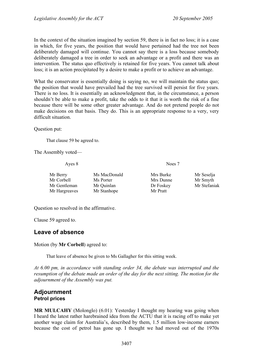In the context of the situation imagined by section 59, there is in fact no loss; it is a case in which, for five years, the position that would have pertained had the tree not been deliberately damaged will continue. You cannot say there is a loss because somebody deliberately damaged a tree in order to seek an advantage or a profit and there was an intervention. The status quo effectively is retained for five years. You cannot talk about loss; it is an action precipitated by a desire to make a profit or to achieve an advantage.

What the conservator is essentially doing is saying no, we will maintain the status quo; the position that would have prevailed had the tree survived will persist for five years. There is no loss. It is essentially an acknowledgment that, in the circumstance, a person shouldn't be able to make a profit, take the odds to it that it is worth the risk of a fine because there will be some other greater advantage. And do not pretend people do not make decisions on that basis. They do. This is an appropriate response to a very, very difficult situation.

Question put:

That clause 59 be agreed to.

The Assembly voted—

Ayes 8 Noes 7

| Mr Berry      | Ms MacDonald | Mrs Burke | Mr Seselja   |
|---------------|--------------|-----------|--------------|
| Mr Corbell    | Ms Porter    | Mrs Dunne | Mr Smyth     |
| Mr Gentleman  | Mr Quinlan   | Dr Foskey | Mr Stefaniak |
| Mr Hargreaves | Mr Stanhope  | Mr Pratt  |              |

Question so resolved in the affirmative.

Clause 59 agreed to.

# **Leave of absence**

Motion (by **Mr Corbell**) agreed to:

That leave of absence be given to Ms Gallagher for this sitting week.

*At 6.00 pm, in accordance with standing order 34, the debate was interrupted and the resumption of the debate made an order of the day for the next sitting. The motion for the adjournment of the Assembly was put.* 

## **Adjournment Petrol prices**

**MR MULCAHY** (Molonglo) (6.01): Yesterday I thought my hearing was going when I heard the latest rather harebrained idea from the ACTU that it is racing off to make yet another wage claim for Australia's, described by them, 1.5 million low-income earners because the cost of petrol has gone up. I thought we had moved out of the 1970s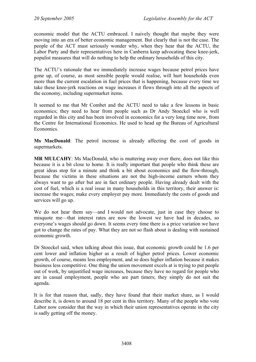economic model that the ACTU embraced. I naively thought that maybe they were moving into an era of better economic management. But clearly that is not the case. The people of the ACT must seriously wonder why, when they hear that the ACTU, the Labor Party and their representatives here in Canberra keep advocating these knee-jerk, populist measures that will do nothing to help the ordinary households of this city.

The ACTU's rationale that we immediately increase wages because petrol prices have gone up, of course, as most sensible people would realise, will hurt households even more than the current escalation in fuel prices that is happening, because every time we take these knee-jerk reactions on wage increases it flows through into all the aspects of the economy, including supermarket items.

It seemed to me that Mr Combet and the ACTU need to take a few lessons in basic economics; they need to hear from people such as Dr Andy Stoeckel who is well regarded in this city and has been involved in economics for a very long time now, from the Centre for International Economics. He used to head up the Bureau of Agricultural Economics.

**Ms MacDonald**: The petrol increase is already affecting the cost of goods in supermarkets.

**MR MULCAHY**: Ms MacDonald, who is muttering away over there, does not like this because it is a bit close to home. It is really important that people who think these are great ideas stop for a minute and think a bit about economics and the flow-through, because the victims in these situations are not the high-income earners whom they always want to go after but are in fact ordinary people. Having already dealt with the cost of fuel, which is a real issue in many households in this territory, their answer is: increase the wages; make every employer pay more. Immediately the costs of goods and services will go up.

We do not hear them say—and I would not advocate, just in case they choose to misquote me—that interest rates are now the lowest we have had in decades, so everyone's wages should go down. It seems every time there is a price variation we have got to change the rates of pay. What they are not so flash about is dealing with sustained economic growth.

Dr Stoeckel said, when talking about this issue, that economic growth could be 1.6 per cent lower and inflation higher as a result of higher petrol prices. Lower economic growth, of course, means less employment, and so does higher inflation because it makes business less competitive. One thing the union movement excels at is trying to put people out of work, by unjustified wage increases, because they have no regard for people who are in casual employment, people who are part timers; they simply do not suit the agenda.

It is for that reason that, sadly, they have found that their market share, as I would describe it, is down to around 18 per cent in this territory. Many of the people who vote Labor now consider that the way in which their union representatives operate in the city is sadly getting off the money.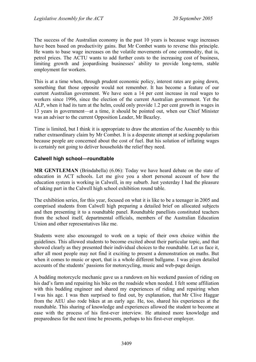The success of the Australian economy in the past 10 years is because wage increases have been based on productivity gains. But Mr Combet wants to reverse this principle. He wants to base wage increases on the volatile movements of one commodity, that is, petrol prices. The ACTU wants to add further costs to the increasing cost of business, limiting growth and jeopardising businesses' ability to provide long-term, stable employment for workers.

This is at a time when, through prudent economic policy, interest rates are going down, something that those opposite would not remember. It has become a feature of our current Australian government. We have seen a 14 per cent increase in real wages to workers since 1996, since the election of the current Australian government. Yet the ALP, when it had its turn at the helm, could only provide 1.2 per cent growth in wages in 13 years in government—at a time, it should be pointed out, when our Chief Minister was an adviser to the current Opposition Leader, Mr Beazley.

Time is limited, but I think it is appropriate to draw the attention of the Assembly to this rather extraordinary claim by Mr Combet. It is a desperate attempt at seeking popularism because people are concerned about the cost of fuel. But his solution of inflating wages is certainly not going to deliver households the relief they need.

# **Calwell high school—roundtable**

**MR GENTLEMAN** (Brindabella) (6.06): Today we have heard debate on the state of education in ACT schools. Let me give you a short personal account of how the education system is working in Calwell, in my suburb. Just yesterday I had the pleasure of taking part in the Calwell high school exhibition round table.

The exhibition series, for this year, focused on what it is like to be a teenager in 2005 and comprised students from Calwell high preparing a detailed brief on allocated subjects and then presenting it to a roundtable panel. Roundtable panellists constituted teachers from the school itself, departmental officials, members of the Australian Education Union and other representatives like me.

Students were also encouraged to work on a topic of their own choice within the guidelines. This allowed students to become excited about their particular topic, and that showed clearly as they presented their individual choices to the roundtable. Let us face it, after all most people may not find it exciting to present a demonstration on maths. But when it comes to music or sport, that is a whole different ballgame. I was given detailed accounts of the students' passions for motorcycling, music and web-page design.

A budding motorcycle mechanic gave us a rundown on his weekend passion of riding on his dad's farm and repairing his bike on the roadside when needed. I felt some affiliation with this budding engineer and shared my experiences of riding and repairing when I was his age. I was then surprised to find out, by explanation, that Mr Clive Haggar from the AEU also rode bikes at an early age. He, too, shared his experiences at the roundtable. This sharing of knowledge and experiences allowed the student to become at ease with the process of his first-ever interview. He attained more knowledge and preparedness for the next time he presents, perhaps to his first-ever employer.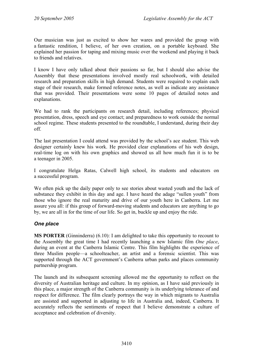Our musician was just as excited to show her wares and provided the group with a fantastic rendition, I believe, of her own creation, on a portable keyboard. She explained her passion for taping and mixing music over the weekend and playing it back to friends and relatives.

I know I have only talked about their passions so far, but I should also advise the Assembly that these presentations involved mostly real schoolwork, with detailed research and preparation skills in high demand. Students were required to explain each stage of their research, make formed reference notes, as well as indicate any assistance that was provided. Their presentations were some 10 pages of detailed notes and explanations.

We had to rank the participants on research detail, including references; physical presentation, dress, speech and eye contact; and preparedness to work outside the normal school regime. These students presented to the roundtable, I understand, during their day off.

The last presentation I could attend was provided by the school's ace student. This web designer certainly knew his work. He provided clear explanations of his web design, real-time log on with his own graphics and showed us all how much fun it is to be a teenager in 2005.

I congratulate Helga Ratas, Calwell high school, its students and educators on a successful program.

We often pick up the daily paper only to see stories about wasted youth and the lack of substance they exhibit in this day and age. I have heard the adage "sullen youth" from those who ignore the real maturity and drive of our youth here in Canberra. Let me assure you all: if this group of forward-moving students and educators are anything to go by, we are all in for the time of our life. So get in, buckle up and enjoy the ride.

# *One place*

**MS PORTER** (Ginninderra) (6.10): I am delighted to take this opportunity to recount to the Assembly the great time I had recently launching a new Islamic film *One place*, during an event at the Canberra Islamic Centre. This film highlights the experience of three Muslim people—a schoolteacher, an artist and a forensic scientist. This was supported through the ACT government's Canberra urban parks and places community partnership program.

The launch and its subsequent screening allowed me the opportunity to reflect on the diversity of Australian heritage and culture. In my opinion, as I have said previously in this place, a major strength of the Canberra community is its underlying tolerance of and respect for difference. The film clearly portrays the way in which migrants to Australia are assisted and supported in adjusting to life in Australia and, indeed, Canberra. It accurately reflects the sentiments of respect that I believe demonstrate a culture of acceptance and celebration of diversity.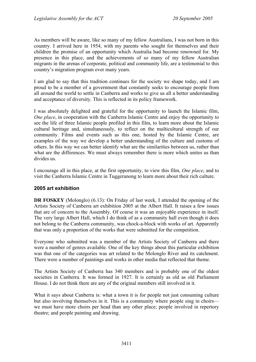As members will be aware, like so many of my fellow Australians, I was not born in this country. I arrived here in 1954, with my parents who sought for themselves and their children the promise of an opportunity which Australia had become renowned for. My presence in this place, and the achievements of so many of my fellow Australian migrants in the arenas of corporate, political and community life, are a testimonial to this country's migration program over many years.

I am glad to say that this tradition continues for the society we shape today, and I am proud to be a member of a government that constantly seeks to encourage people from all around the world to settle in Canberra and works to give us all a better understanding and acceptance of diversity. This is reflected in its policy framework.

I was absolutely delighted and grateful for the opportunity to launch the Islamic film, *One place*, in cooperation with the Canberra Islamic Centre and enjoy the opportunity to see the life of three Islamic people profiled in this film, to learn more about the Islamic cultural heritage and, simultaneously, to reflect on the multicultural strength of our community. Films and events such as this one, hosted by the Islamic Centre, are examples of the way we develop a better understanding of the culture and customs of others. In this way we can better identify what are the similarities between us, rather than what are the differences. We must always remember there is more which unites us than divides us.

I encourage all in this place, at the first opportunity, to view this film, *One place*, and to visit the Canberra Islamic Centre in Tuggeranong to learn more about their rich culture.

# **2005 art exhibition**

**DR FOSKEY** (Molonglo) (6.13): On Friday of last week, I attended the opening of the Artists Society of Canberra art exhibition 2005 at the Albert Hall. It raises a few issues that are of concern to the Assembly. Of course it was an enjoyable experience in itself. The very large Albert Hall, which I do think of as a community hall even though it does not belong to the Canberra community, was chock-a-block with works of art. Apparently that was only a proportion of the works that were submitted for the competition.

Everyone who submitted was a member of the Artists Society of Canberra and there were a number of genres available. One of the key things about this particular exhibition was that one of the categories was art related to the Molonglo River and its catchment. There were a number of paintings and works in other media that reflected that theme.

The Artists Society of Canberra has 340 members and is probably one of the oldest societies in Canberra. It was formed in 1927. It is certainly as old as old Parliament House. I do not think there are any of the original members still involved in it.

What it says about Canberra is: what a town it is for people not just consuming culture but also involving themselves in it. This is a community where people sing in choirs we must have more choirs per head than any other place; people involved in repertory theatre; and people painting and drawing.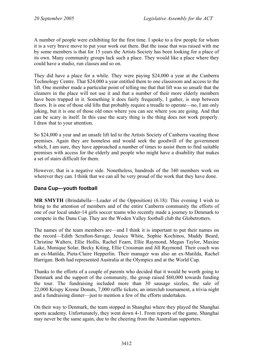A number of people were exhibiting for the first time. I spoke to a few people for whom it is a very brave move to put your work out there. But the issue that was raised with me by some members is that for 15 years the Artists Society has been looking for a place of its own. Many community groups lack such a place. They would like a place where they could have a studio, run classes and so on.

They did have a place for a while. They were paying \$24,000 a year at the Canberra Technology Centre. That \$24,000 a year entitled them to one classroom and access to the lift. One member made a particular point of telling me that that lift was so unsafe that the cleaners in the place will not use it and that a number of their more elderly members have been trapped in it. Something it does fairly frequently, I gather, is stop between floors. It is one of those old lifts that probably require a treadle to operate—no, I am only joking, but it is one of those old ones where you can see where you are going. And that can be scary in itself. In this case the scary thing is the thing does not work properly. I draw that to your attention.

So \$24,000 a year and an unsafe lift led to the Artists Society of Canberra vacating those premises. Again they are homeless and would seek the goodwill of the government which, I am sure, they have approached a number of times to assist them to find suitable premises with access for the elderly and people who might have a disability that makes a set of stairs difficult for them.

However, that is a negative side. Nonetheless, hundreds of the 340 members work on wherever they can. I think that we can all be very proud of the work that they have done.

# **Dana Cup—youth football**

**MR SMYTH** (Brindabella—Leader of the Opposition) (6.18): This evening I wish to bring to the attention of members and of the entire Canberra community the efforts of one of our local under-14 girls soccer teams who recently made a journey to Denmark to compete in the Dana Cup. They are the Woden Valley football club the Globetrotters.

The names of the team members are—and I think it is important to put their names on the record—Edith Scrafton-Savage, Jessica White, Sophie Kochinos, Maddy Beard, Christine Walters, Ellie Hollis, Rachel Fearn, Ellie Raymond, Megan Taylor, Maxine Lake, Monique Solar, Becky Kiting, Ellie Crossman and Jill Raymond. Their coach was an ex-Matilda, Pieta-Claire Hepperlin. Their manager was also an ex-Matilda, Rachel Harrigan. Both had represented Australia at the Olympics and at the World Cup.

Thanks to the efforts of a couple of parents who decided that it would be worth going to Denmark and the support of the community, the group raised \$60,000 towards funding the tour. The fundraising included more than 30 sausage sizzles, the sale of 22,000 Krispy Kreme Donuts, 7,000 raffle tickets, an interclub tournament, a trivia night and a fundraising dinner—just to mention a few of the efforts undertaken.

On their way to Denmark, the team stopped in Shanghai where they played the Shanghai sports academy. Unfortunately, they went down 4-1. From reports of the game, Shanghai may never be the same again, due to the cheering from the Australian supporters.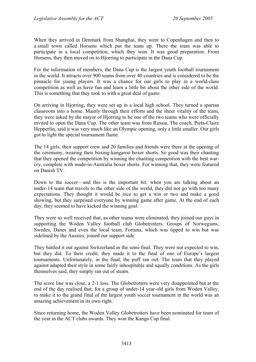When they arrived in Denmark from Shanghai, they went to Copenhagen and then to a small town called Horsens which put the team up. There the team was able to participate in a local competition, which they won. It was good preparation. From Horsens, they then moved on to Hjorring to participate in the Dana Cup.

For the information of members, the Dana Cup is the largest youth football tournament in the world. It attracts over 900 teams from over 40 countries and is considered to be the pinnacle for young players. It was a chance for our girls to play in a world-class competition as well as have fun and learn a little bit about the other side of the world. This is something that they took to with a great deal of gusto.

On arriving in Hjorring, they were set up in a local high school. They turned a spartan classroom into a home. Mainly through their efforts and the sheer vitality of the team, they were asked by the mayor of Hjorring to be one of the two teams who were officially invited to open the Dana Cup. The other team was from Russia. The coach, Pieta-Claire Hepperlin, said it was very much like an Olympic opening, only a little smaller. Our girls got to light the special tournament flame.

The 14 girls, their support crew and 20 families and friends were there at the opening of the ceremony, wearing their boxing-kangaroo boxer shorts. So good was their chanting that they opened the competition by winning the chanting competition with the best warcry, complete with made-in-Australia boxer shorts. For winning that, they were featured on Danish TV.

Down to the soccer—and this is the important bit: when you are talking about an under-14 team that travels to the other side of the world, they did not go with too many expectations. They thought it would be nice to get a win or two and make a good showing, but they surprised everyone by winning game after game. At the end of each day, they seemed to have kicked the winning goal.

They were so well received that, as other teams were eliminated, they joined our guys in supporting the Woden Valley football club Globetrotters. Groups of Norwegians, Swedes, Danes and even the local team, Fortuna, which was tipped to win but was sidelined by the Aussies, joined our support side.

They battled it out against Switzerland in the semi-final. They were not expected to win, but they did. To their credit, they made it to the final of one of Europe's largest tournaments. Unfortunately, in the final, the puff ran out. The team that they played against adapted their style in some fairly inhospitable and squally conditions. As the girls themselves said, they simply ran out of steam.

The score line was close, a 2-1 loss. The Globetrotters were very disappointed but at the end of the day realised that, for a group of under-14 year-old girls from Woden Valley, to make it to the grand final of the largest youth soccer tournament in the world was an amazing achievement in its own right.

Since returning home, the Woden Valley Globetrotters have been nominated for team of the year in the ACT clubs awards. They won the Kanga Cup final.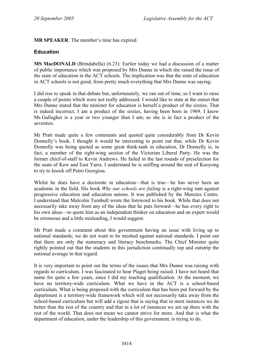# **MR SPEAKER**: The member's time has expired.

# **Education**

**MS MacDONALD** (Brindabella) (6.23): Earlier today we had a discussion of a matter of public importance which was proposed by Mrs Dunne in which she raised the issue of the state of education in the ACT schools. The implication was that the state of education in ACT schools is not good, from pretty much everything that Mrs Dunne was saying.

I did rise to speak in that debate but, unfortunately, we ran out of time; so I want to raise a couple of points which were not really addressed. I would like to state at the outset that Mrs Dunne stated that the minister for education is herself a product of the sixties. That is indeed incorrect. I am a product of the sixties, having been born in 1969. I know Ms Gallagher is a year or two younger than I am; so she is in fact a product of the seventies.

Mr Pratt made quite a few comments and quoted quite considerably from Dr Kevin Donnelly's book. I thought it would be interesting to point out that, while Dr Kevin Donnelly was being quoted as some great think-tank in education, Dr Donnelly is, in fact, a member of the right-wing section of the Victorian Liberal Party. He was the former chief-of-staff to Kevin Andrews. He failed in the last rounds of preselection for the seats of Kew and East Yarra. I understand he is sniffing around the seat of Kooyong to try to knock off Petro Georgiou.

Whilst he does have a doctorate in education—that is true—he has never been an academic in the field. His book *Why our schools are failing* is a right-wing rant against progressive education and education unions. It was published by the Menzies Centre. I understand that Malcolm Turnbull wrote the foreword to his book. While that does not necessarily take away from any of the ideas that he puts forward—he has every right to his own ideas—to quote him as an independent thinker on education and an expert would be erroneous and a little misleading, I would suggest.

Mr Pratt made a comment about this government having an issue with living up to national standards; we do not want to be meshed against national standards. I point out that there are only the numeracy and literacy benchmarks. The Chief Minister quite rightly pointed out that the students in this jurisdiction continually top and outstrip the national average in that regard.

It is very important to point out the terms of the issues that Mrs Dunne was raising with regards to curriculum. I was fascinated to hear Piaget being raised. I have not heard that name for quite a few years, since I did my teaching qualification. At the moment, we have no territory-wide curriculum. What we have in the ACT is a school-based curriculum. What is being proposed with the curriculum that has been put forward by the department is a territory-wide framework which will not necessarily take away from the school-based curriculum but will add a rigour that is saying that in most instances we do better than the rest of the country and that in a lot of instances we are up there with the rest of the world. That does not mean we cannot strive for more. And that is what the department of education, under the leadership of this government, is trying to do.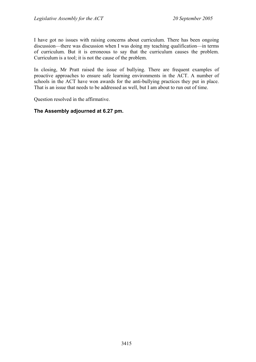I have got no issues with raising concerns about curriculum. There has been ongoing discussion—there was discussion when I was doing my teaching qualification—in terms of curriculum. But it is erroneous to say that the curriculum causes the problem. Curriculum is a tool; it is not the cause of the problem.

In closing, Mr Pratt raised the issue of bullying. There are frequent examples of proactive approaches to ensure safe learning environments in the ACT. A number of schools in the ACT have won awards for the anti-bullying practices they put in place. That is an issue that needs to be addressed as well, but I am about to run out of time.

Question resolved in the affirmative.

# **The Assembly adjourned at 6.27 pm.**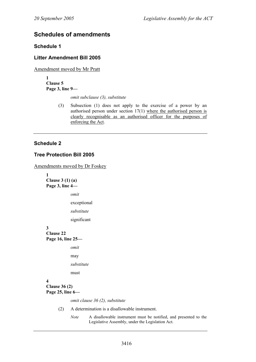# **Schedules of amendments**

## **Schedule 1**

## **Litter Amendment Bill 2005**

Amendment moved by Mr Pratt

**1 Clause 5 Page 3, line 9—** 

*omit subclause (3), substitute* 

(3) Subsection (1) does not apply to the exercise of a power by an authorised person under section 17(1) where the authorised person is clearly recognisable as an authorised officer for the purposes of enforcing the Act.

# **Schedule 2**

## **Tree Protection Bill 2005**

Amendments moved by Dr Foskey

**1 Clause 3 (1) (a) Page 3, line 4**  *omit*  exceptional *substitute*  significant **3 Clause 22 Page 16, line 25**  *omit*  may *substitute*  must **4 Clause 36 (2) Page 25, line 6**  *omit clause 36 (2), substitute*  (2) A determination is a disallowable instrument.

> *Note* A disallowable instrument must be notified, and presented to the Legislative Assembly, under the Legislation Act.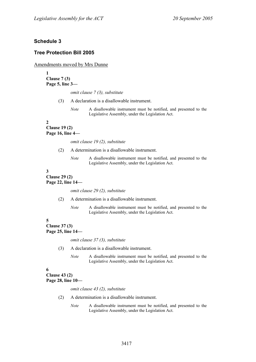## **Schedule 3**

## **Tree Protection Bill 2005**

Amendments moved by Mrs Dunne

**1 Clause 7 (3) Page 5, line 3—** 

*omit clause 7 (3), substitute* 

(3) A declaration is a disallowable instrument.

*Note* A disallowable instrument must be notified, and presented to the Legislative Assembly, under the Legislation Act.

#### **2**

#### **Clause 19 (2) Page 16, line 4—**

*omit clause 19 (2), substitute* 

- (2) A determination is a disallowable instrument.
	- *Note* A disallowable instrument must be notified, and presented to the Legislative Assembly, under the Legislation Act.

# **3**

**Clause 29 (2) Page 22, line 14—** 

*omit clause 29 (2), substitute* 

- (2) A determination is a disallowable instrument.
	- *Note* A disallowable instrument must be notified, and presented to the Legislative Assembly, under the Legislation Act.

## **5**

**Clause 37 (3) Page 25, line 14—** 

*omit clause 37 (3), substitute* 

(3) A declaration is a disallowable instrument.

*Note* A disallowable instrument must be notified, and presented to the Legislative Assembly, under the Legislation Act.

#### **6**

**Clause 43 (2) Page 28, line 10—** 

*omit clause 43 (2), substitute* 

- (2) A determination is a disallowable instrument.
	- *Note* A disallowable instrument must be notified, and presented to the Legislative Assembly, under the Legislation Act.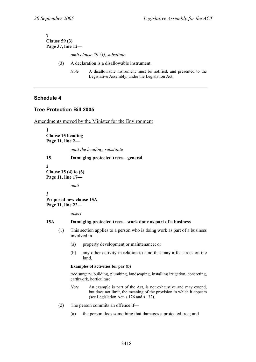#### **7 Clause 59 (3) Page 37, line 12—**

*omit clause 59 (3), substitute* 

- (3) A declaration is a disallowable instrument.
	- *Note* A disallowable instrument must be notified, and presented to the Legislative Assembly, under the Legislation Act.

## **Schedule 4**

## **Tree Protection Bill 2005**

Amendments moved by the Minister for the Environment

**1 Clause 15 heading Page 11, line 2—** 

*omit the heading, substitute* 

#### **15 Damaging protected trees—general**

**2 Clause 15 (4) to (6) Page 11, line 17—** 

*omit* 

**3 Proposed new clause 15A Page 11, line 22—** 

*insert* 

#### **15A Damaging protected trees—work done as part of a business**

- (1) This section applies to a person who is doing work as part of a business involved in—
	- (a) property development or maintenance; or
	- (b) any other activity in relation to land that may affect trees on the land.

#### **Examples of activities for par (b)**

tree surgery, building, plumbing, landscaping, installing irrigation, concreting, earthwork, horticulture

- *Note* An example is part of the Act, is not exhaustive and may extend, but does not limit, the meaning of the provision in which it appears (see Legislation Act, s 126 and s 132).
- (2) The person commits an offence if—
	- (a) the person does something that damages a protected tree; and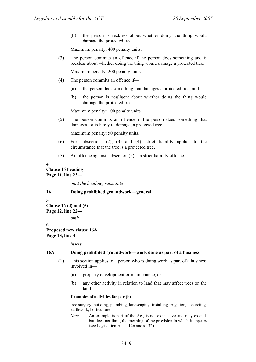(b) the person is reckless about whether doing the thing would damage the protected tree.

Maximum penalty: 400 penalty units.

(3) The person commits an offence if the person does something and is reckless about whether doing the thing would damage a protected tree.

Maximum penalty: 200 penalty units.

- (4) The person commits an offence if—
	- (a) the person does something that damages a protected tree; and
	- (b) the person is negligent about whether doing the thing would damage the protected tree.

Maximum penalty: 100 penalty units.

(5) The person commits an offence if the person does something that damages, or is likely to damage, a protected tree.

Maximum penalty: 50 penalty units.

- (6) For subsections (2), (3) and (4), strict liability applies to the circumstance that the tree is a protected tree.
- (7) An offence against subsection (5) is a strict liability offence.

**4** 

**Clause 16 heading Page 11, line 23—** 

*omit the heading, substitute* 

```
16 Doing prohibited groundwork—general
```
**5** 

# **Clause 16 (4) and (5)**

**Page 12, line 22—** 

*omit* 

#### **6 Proposed new clause 16A Page 13, line 3—**

*insert* 

#### **16A Doing prohibited groundwork—work done as part of a business**

- (1) This section applies to a person who is doing work as part of a business involved in—
	- (a) property development or maintenance; or
	- (b) any other activity in relation to land that may affect trees on the land.

#### **Examples of activities for par (b)**

tree surgery, building, plumbing, landscaping, installing irrigation, concreting, earthwork, horticulture

*Note* An example is part of the Act, is not exhaustive and may extend, but does not limit, the meaning of the provision in which it appears (see Legislation Act, s 126 and s 132).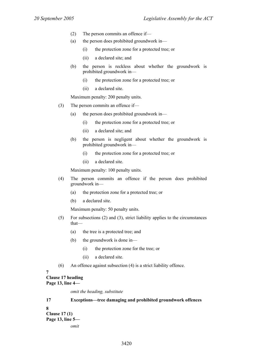- (2) The person commits an offence if—
- (a) the person does prohibited groundwork in—
	- (i) the protection zone for a protected tree; or
	- (ii) a declared site; and
- (b) the person is reckless about whether the groundwork is prohibited groundwork in—
	- (i) the protection zone for a protected tree; or
	- (ii) a declared site.

Maximum penalty: 200 penalty units.

- (3) The person commits an offence if—
	- (a) the person does prohibited groundwork in—
		- (i) the protection zone for a protected tree; or
		- (ii) a declared site; and
	- (b) the person is negligent about whether the groundwork is prohibited groundwork in—
		- (i) the protection zone for a protected tree; or
		- (ii) a declared site.

Maximum penalty: 100 penalty units.

- (4) The person commits an offence if the person does prohibited groundwork in—
	- (a) the protection zone for a protected tree; or
	- (b) a declared site.

Maximum penalty: 50 penalty units.

- (5) For subsections (2) and (3), strict liability applies to the circumstances that—
	- (a) the tree is a protected tree; and
	- (b) the groundwork is done in—
		- (i) the protection zone for the tree; or
		- (ii) a declared site.
- (6) An offence against subsection (4) is a strict liability offence.

## **7**

#### **Clause 17 heading Page 13, line 4—**

*omit the heading, substitute* 

## **17 Exceptions—tree damaging and prohibited groundwork offences**

**8** 

**Clause 17 (1) Page 13, line 5**  *omit*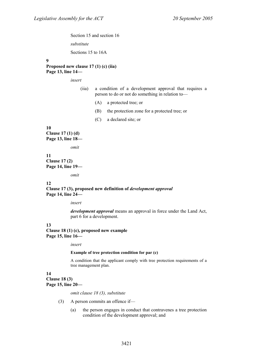Section 15 and section 16

*substitute* 

Sections 15 to 16A

#### **9**

**Proposed new clause 17 (1) (c) (iia) Page 13, line 14—** 

*insert* 

- (iia) a condition of a development approval that requires a person to do or not do something in relation to—
	- (A) a protected tree; or
	- (B) the protection zone for a protected tree; or
	- (C) a declared site; or

#### **10**

**Clause 17 (1) (d) Page 13, line 18—** 

*omit* 

#### **11 Clause 17 (2) Page 14, line 19—**

*omit* 

#### **12**

**Clause 17 (3), proposed new definition of** *development approval* **Page 14, line 24—** 

*insert* 

*development approval* means an approval in force under the Land Act, part 6 for a development.

### **13**

**Clause 18 (1) (c), proposed new example Page 15, line 16—** 

*insert* 

#### **Example of tree protection condition for par (c)**

A condition that the applicant comply with tree protection requirements of a tree management plan.

#### **14**

**Clause 18 (3) Page 15, line 20—** 

*omit clause 18 (3), substitute* 

- (3) A person commits an offence if—
	- (a) the person engages in conduct that contravenes a tree protection condition of the development approval; and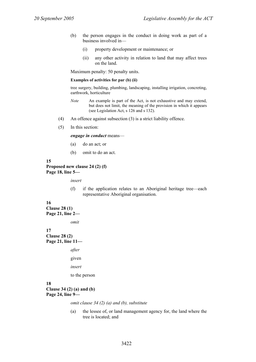- (b) the person engages in the conduct in doing work as part of a business involved in—
	- (i) property development or maintenance; or
	- (ii) any other activity in relation to land that may affect trees on the land.

Maximum penalty: 50 penalty units.

#### **Examples of activities for par (b) (ii)**

tree surgery, building, plumbing, landscaping, installing irrigation, concreting, earthwork, horticulture

- *Note* An example is part of the Act, is not exhaustive and may extend, but does not limit, the meaning of the provision in which it appears (see Legislation Act, s 126 and s 132).
- (4) An offence against subsection (3) is a strict liability offence.
- (5) In this section:

*engage in conduct* means—

- (a) do an act; or
- (b) omit to do an act.

#### **15**

**Proposed new clause 24 (2) (f) Page 18, line 5—** 

*insert* 

(f) if the application relates to an Aboriginal heritage tree—each representative Aboriginal organisation.

## **16**

**Clause 28 (1) Page 21, line 2—** 

*omit* 

**17 Clause 28 (2) Page 21, line 11—** 

*after* 

given

*insert* 

to the person

#### **18**

#### **Clause 34 (2) (a) and (b) Page 24, line 9—**

*omit clause 34 (2) (a) and (b), substitute* 

(a) the lessee of, or land management agency for, the land where the tree is located; and